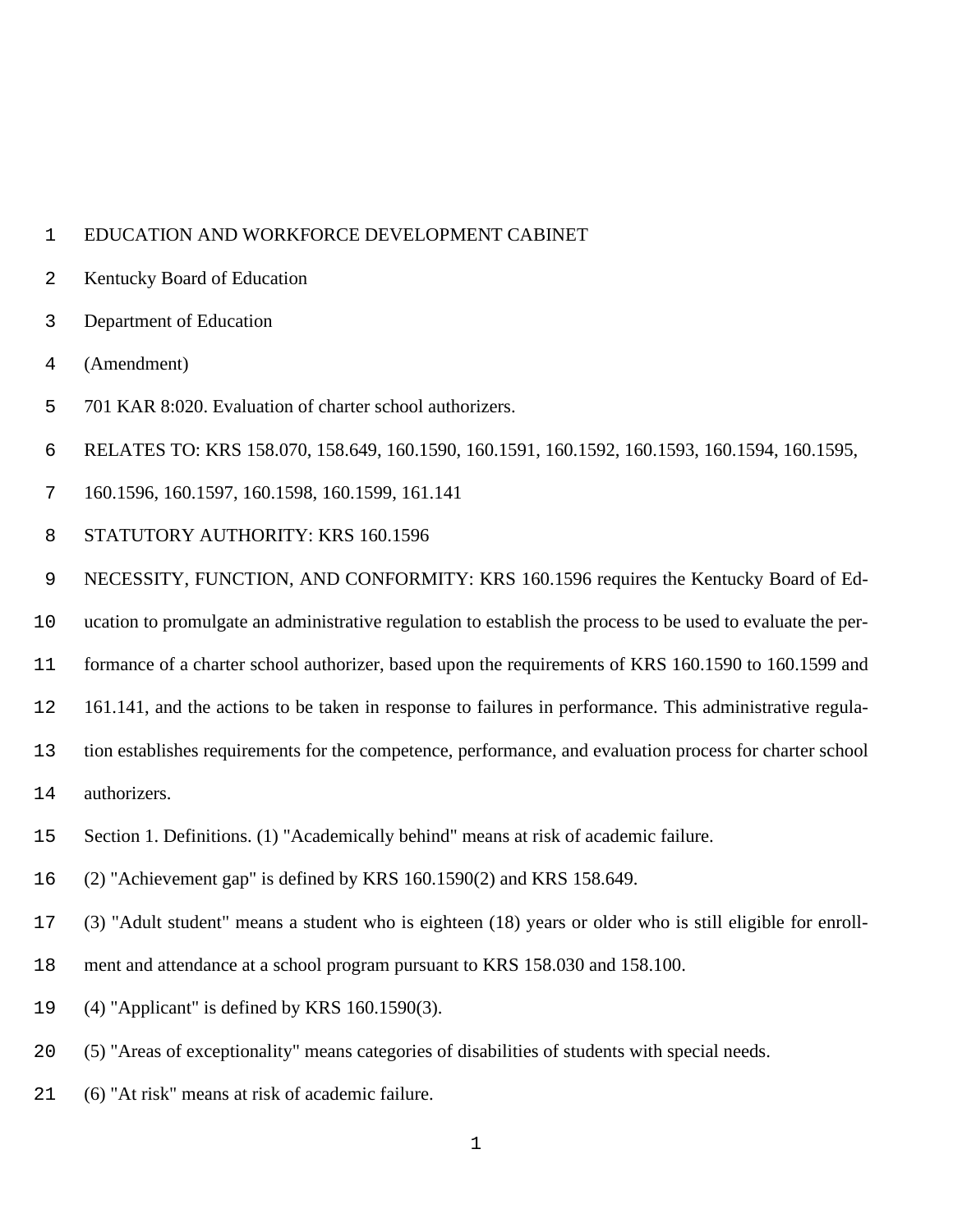## EDUCATION AND WORKFORCE DEVELOPMENT CABINET

- Kentucky Board of Education
- Department of Education
- (Amendment)
- 701 KAR 8:020. Evaluation of charter school authorizers.
- RELATES TO: KRS 158.070, 158.649, 160.1590, 160.1591, 160.1592, 160.1593, 160.1594, 160.1595,
- 160.1596, 160.1597, 160.1598, 160.1599, 161.141
- STATUTORY AUTHORITY: KRS 160.1596
- NECESSITY, FUNCTION, AND CONFORMITY: KRS 160.1596 requires the Kentucky Board of Ed-
- ucation to promulgate an administrative regulation to establish the process to be used to evaluate the per-
- formance of a charter school authorizer, based upon the requirements of KRS 160.1590 to 160.1599 and
- 161.141, and the actions to be taken in response to failures in performance. This administrative regula-
- tion establishes requirements for the competence, performance, and evaluation process for charter school
- authorizers.
- Section 1. Definitions. (1) "Academically behind" means at risk of academic failure.
- (2) "Achievement gap" is defined by KRS 160.1590(2) and KRS 158.649.
- (3) "Adult student" means a student who is eighteen (18) years or older who is still eligible for enroll-
- ment and attendance at a school program pursuant to KRS 158.030 and 158.100.
- (4) "Applicant" is defined by KRS 160.1590(3).
- (5) "Areas of exceptionality" means categories of disabilities of students with special needs.
- (6) "At risk" means at risk of academic failure.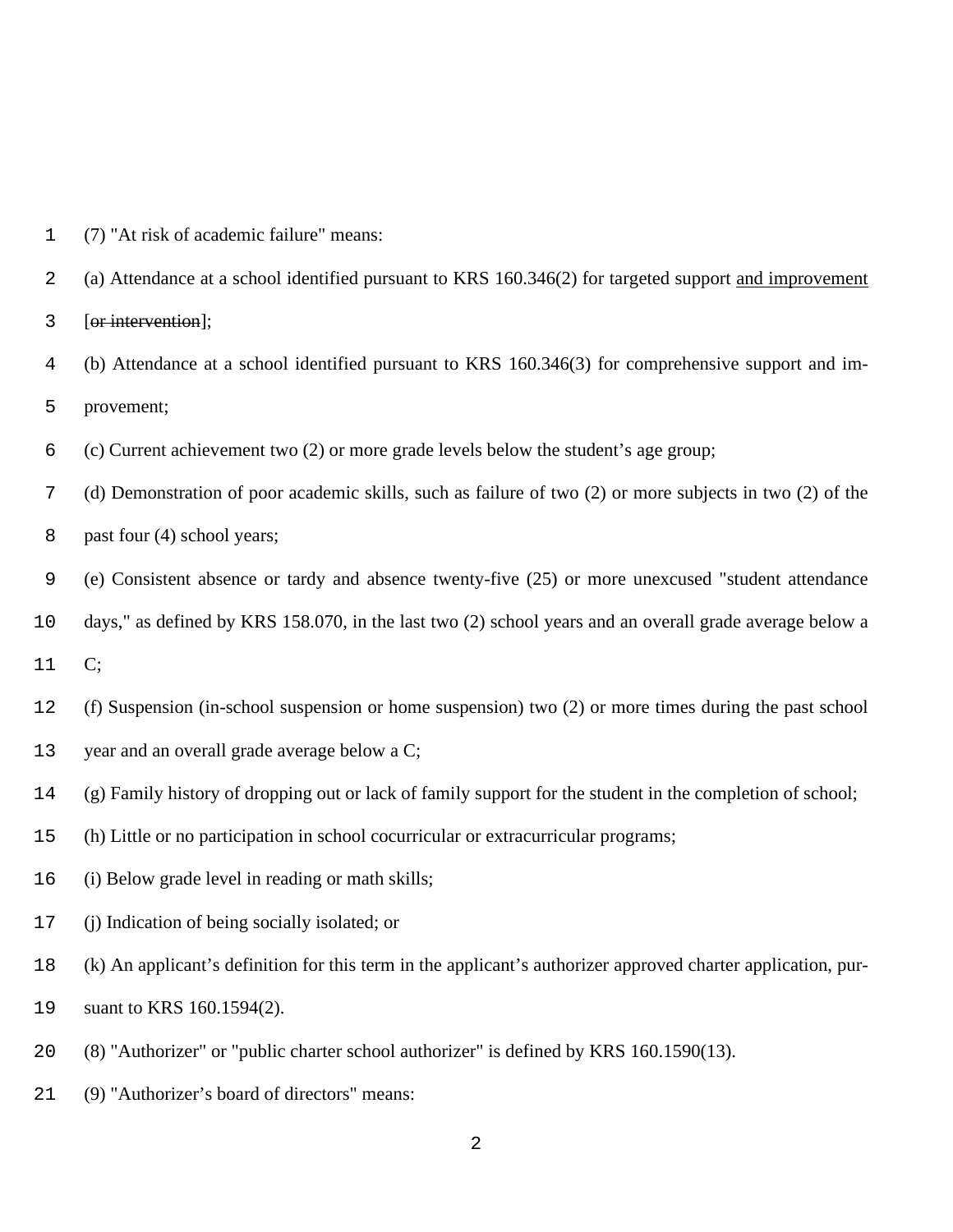(7) "At risk of academic failure" means:

(a) Attendance at a school identified pursuant to KRS 160.346(2) for targeted support and improvement

[or intervention];

 (b) Attendance at a school identified pursuant to KRS 160.346(3) for comprehensive support and im-provement;

(c) Current achievement two (2) or more grade levels below the student's age group;

(d) Demonstration of poor academic skills, such as failure of two (2) or more subjects in two (2) of the

past four (4) school years;

(e) Consistent absence or tardy and absence twenty-five (25) or more unexcused "student attendance

days," as defined by KRS 158.070, in the last two (2) school years and an overall grade average below a

C;

(f) Suspension (in-school suspension or home suspension) two (2) or more times during the past school

year and an overall grade average below a C;

(g) Family history of dropping out or lack of family support for the student in the completion of school;

(h) Little or no participation in school cocurricular or extracurricular programs;

(i) Below grade level in reading or math skills;

(j) Indication of being socially isolated; or

(k) An applicant's definition for this term in the applicant's authorizer approved charter application, pur-

suant to KRS 160.1594(2).

(8) "Authorizer" or "public charter school authorizer" is defined by KRS 160.1590(13).

(9) "Authorizer's board of directors" means: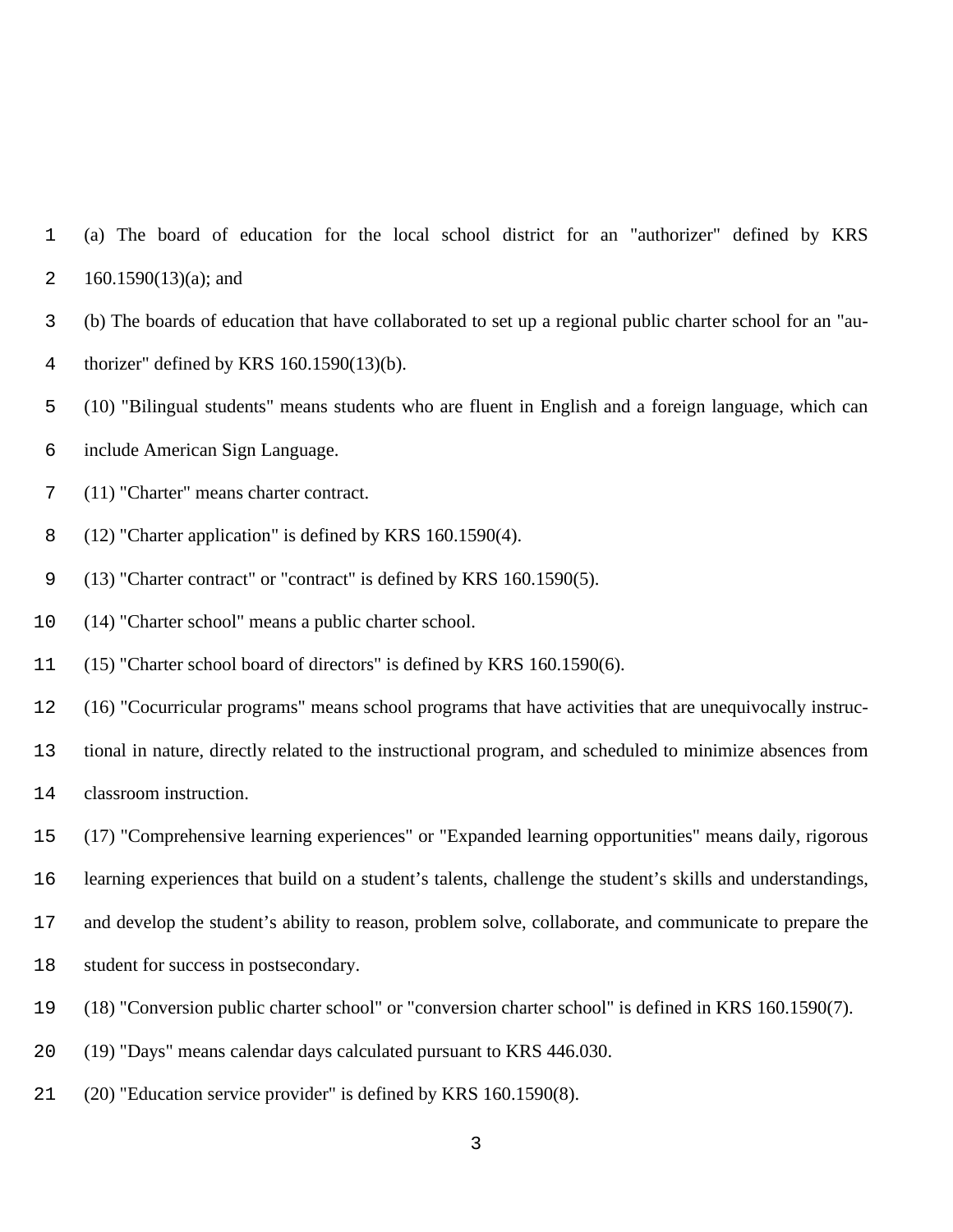(a) The board of education for the local school district for an "authorizer" defined by KRS 2 160.1590 $(13)(a)$ ; and

- (b) The boards of education that have collaborated to set up a regional public charter school for an "au-
- thorizer" defined by KRS 160.1590(13)(b).
- (10) "Bilingual students" means students who are fluent in English and a foreign language, which can
- include American Sign Language.
- (11) "Charter" means charter contract.
- (12) "Charter application" is defined by KRS 160.1590(4).
- (13) "Charter contract" or "contract" is defined by KRS 160.1590(5).
- (14) "Charter school" means a public charter school.
- (15) "Charter school board of directors" is defined by KRS 160.1590(6).
- (16) "Cocurricular programs" means school programs that have activities that are unequivocally instruc-
- tional in nature, directly related to the instructional program, and scheduled to minimize absences from
- classroom instruction.
- (17) "Comprehensive learning experiences" or "Expanded learning opportunities" means daily, rigorous
- learning experiences that build on a student's talents, challenge the student's skills and understandings,
- and develop the student's ability to reason, problem solve, collaborate, and communicate to prepare the
- student for success in postsecondary.
- (18) "Conversion public charter school" or "conversion charter school" is defined in KRS 160.1590(7).
- (19) "Days" means calendar days calculated pursuant to KRS 446.030.
- (20) "Education service provider" is defined by KRS 160.1590(8).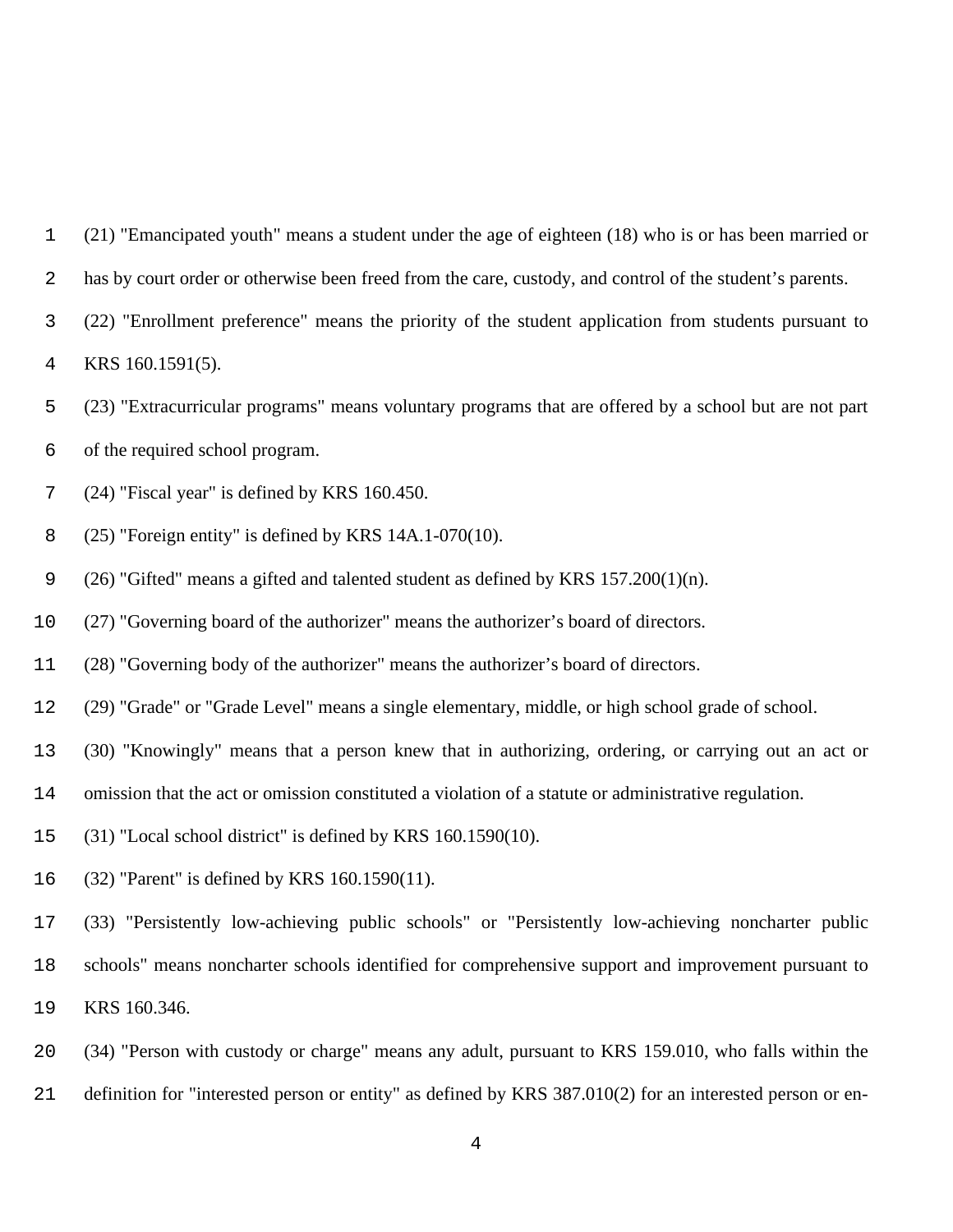(21) "Emancipated youth" means a student under the age of eighteen (18) who is or has been married or

- 2 has by court order or otherwise been freed from the care, custody, and control of the student's parents.
- (22) "Enrollment preference" means the priority of the student application from students pursuant to KRS 160.1591(5).

- (23) "Extracurricular programs" means voluntary programs that are offered by a school but are not part
- of the required school program.
- (24) "Fiscal year" is defined by KRS 160.450.
- (25) "Foreign entity" is defined by KRS 14A.1-070(10).
- (26) "Gifted" means a gifted and talented student as defined by KRS 157.200(1)(n).
- (27) "Governing board of the authorizer" means the authorizer's board of directors.
- (28) "Governing body of the authorizer" means the authorizer's board of directors.
- (29) "Grade" or "Grade Level" means a single elementary, middle, or high school grade of school.
- (30) "Knowingly" means that a person knew that in authorizing, ordering, or carrying out an act or
- omission that the act or omission constituted a violation of a statute or administrative regulation.
- (31) "Local school district" is defined by KRS 160.1590(10).
- (32) "Parent" is defined by KRS 160.1590(11).
- (33) "Persistently low-achieving public schools" or "Persistently low-achieving noncharter public schools" means noncharter schools identified for comprehensive support and improvement pursuant to KRS 160.346.
- (34) "Person with custody or charge" means any adult, pursuant to KRS 159.010, who falls within the definition for "interested person or entity" as defined by KRS 387.010(2) for an interested person or en-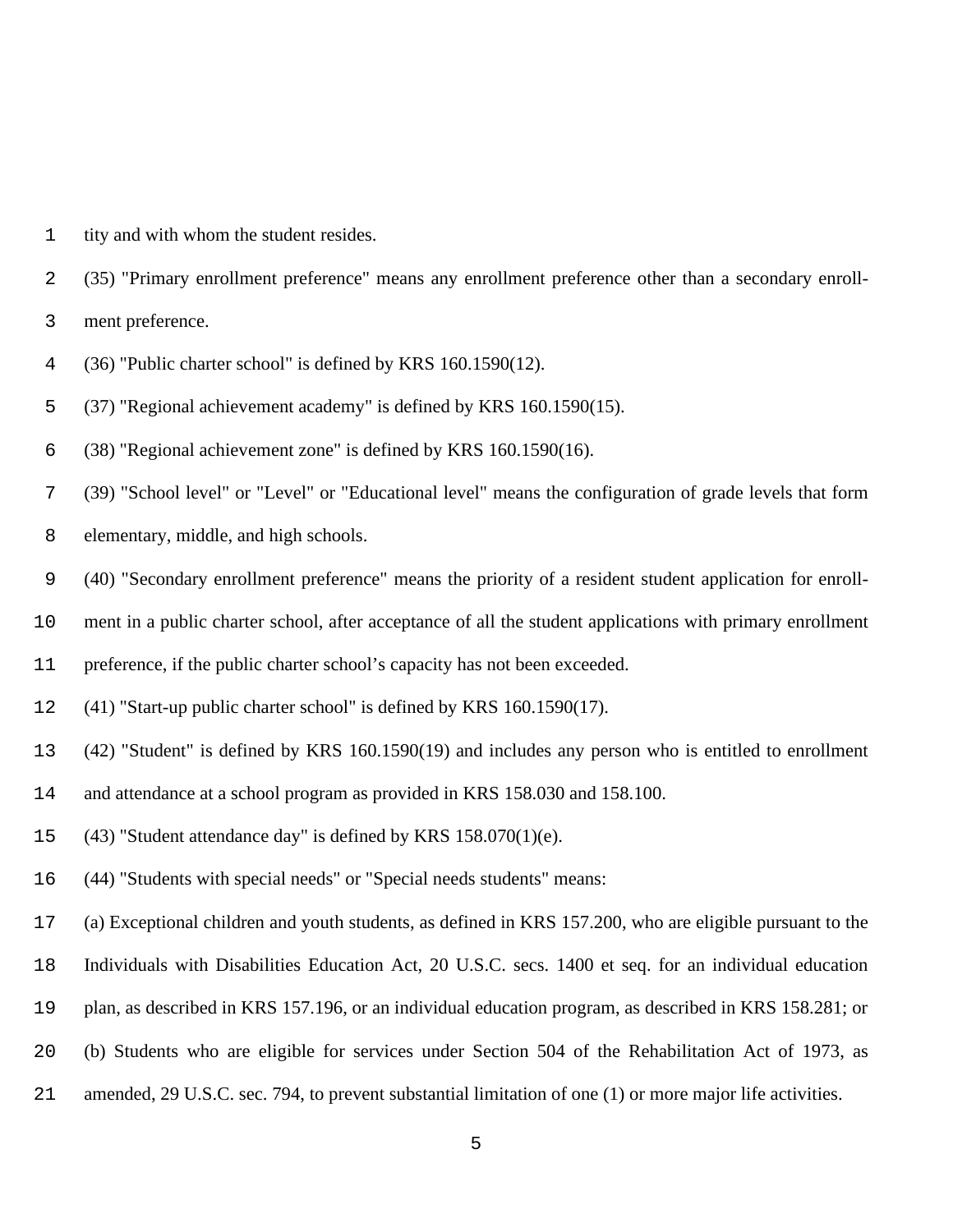tity and with whom the student resides.

(35) "Primary enrollment preference" means any enrollment preference other than a secondary enroll-

ment preference.

(36) "Public charter school" is defined by KRS 160.1590(12).

(37) "Regional achievement academy" is defined by KRS 160.1590(15).

(38) "Regional achievement zone" is defined by KRS 160.1590(16).

 (39) "School level" or "Level" or "Educational level" means the configuration of grade levels that form elementary, middle, and high schools.

(40) "Secondary enrollment preference" means the priority of a resident student application for enroll-

ment in a public charter school, after acceptance of all the student applications with primary enrollment

preference, if the public charter school's capacity has not been exceeded.

- (41) "Start-up public charter school" is defined by KRS 160.1590(17).
- (42) "Student" is defined by KRS 160.1590(19) and includes any person who is entitled to enrollment
- and attendance at a school program as provided in KRS 158.030 and 158.100.
- (43) "Student attendance day" is defined by KRS 158.070(1)(e).
- (44) "Students with special needs" or "Special needs students" means:
- (a) Exceptional children and youth students, as defined in KRS 157.200, who are eligible pursuant to the
- Individuals with Disabilities Education Act, 20 U.S.C. secs. 1400 et seq. for an individual education
- plan, as described in KRS 157.196, or an individual education program, as described in KRS 158.281; or
- (b) Students who are eligible for services under Section 504 of the Rehabilitation Act of 1973, as
- amended, 29 U.S.C. sec. 794, to prevent substantial limitation of one (1) or more major life activities.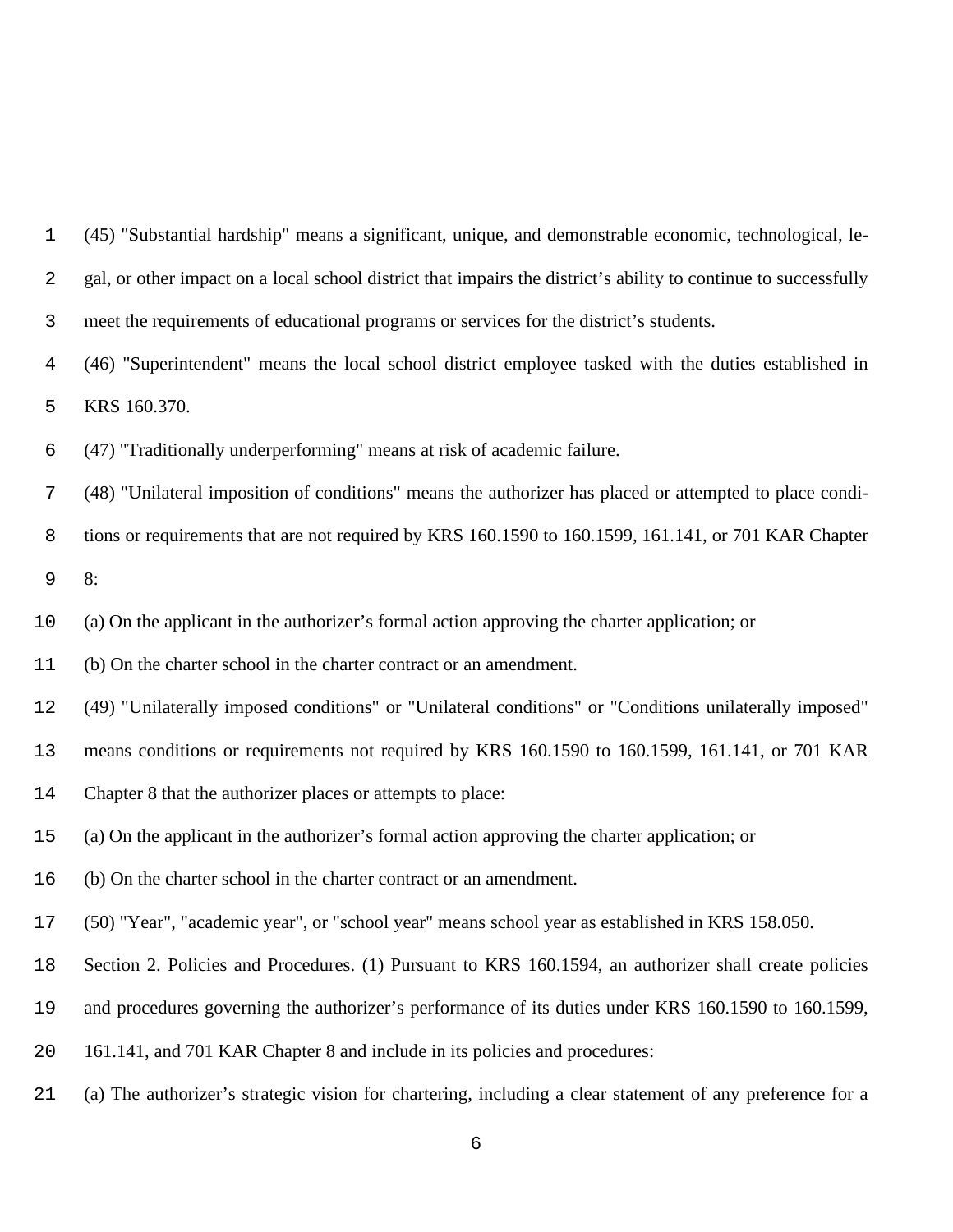| 1           | (45) "Substantial hardship" means a significant, unique, and demonstrable economic, technological, le-          |
|-------------|-----------------------------------------------------------------------------------------------------------------|
| 2           | gal, or other impact on a local school district that impairs the district's ability to continue to successfully |
| 3           | meet the requirements of educational programs or services for the district's students.                          |
| 4           | (46) "Superintendent" means the local school district employee tasked with the duties established in            |
| 5           | KRS 160.370.                                                                                                    |
| 6           | (47) "Traditionally underperforming" means at risk of academic failure.                                         |
| 7           | (48) "Unilateral imposition of conditions" means the authorizer has placed or attempted to place condi-         |
| 8           | tions or requirements that are not required by KRS 160.1590 to 160.1599, 161.141, or 701 KAR Chapter            |
| $\mathsf 9$ | 8:                                                                                                              |
| 10          | (a) On the applicant in the authorizer's formal action approving the charter application; or                    |
| 11          | (b) On the charter school in the charter contract or an amendment.                                              |
| 12          | (49) "Unilaterally imposed conditions" or "Unilateral conditions" or "Conditions unilaterally imposed"          |
| 13          | means conditions or requirements not required by KRS 160.1590 to 160.1599, 161.141, or 701 KAR                  |
| 14          | Chapter 8 that the authorizer places or attempts to place:                                                      |
| 15          | (a) On the applicant in the authorizer's formal action approving the charter application; or                    |
| 16          | (b) On the charter school in the charter contract or an amendment.                                              |
| 17          | (50) "Year", "academic year", or "school year" means school year as established in KRS 158.050.                 |
| 18          | Section 2. Policies and Procedures. (1) Pursuant to KRS 160.1594, an authorizer shall create policies           |
| 19          | and procedures governing the authorizer's performance of its duties under KRS 160.1590 to 160.1599,             |
| 20          | 161.141, and 701 KAR Chapter 8 and include in its policies and procedures:                                      |
| 21          | (a) The authorizer's strategic vision for chartering, including a clear statement of any preference for a       |
|             |                                                                                                                 |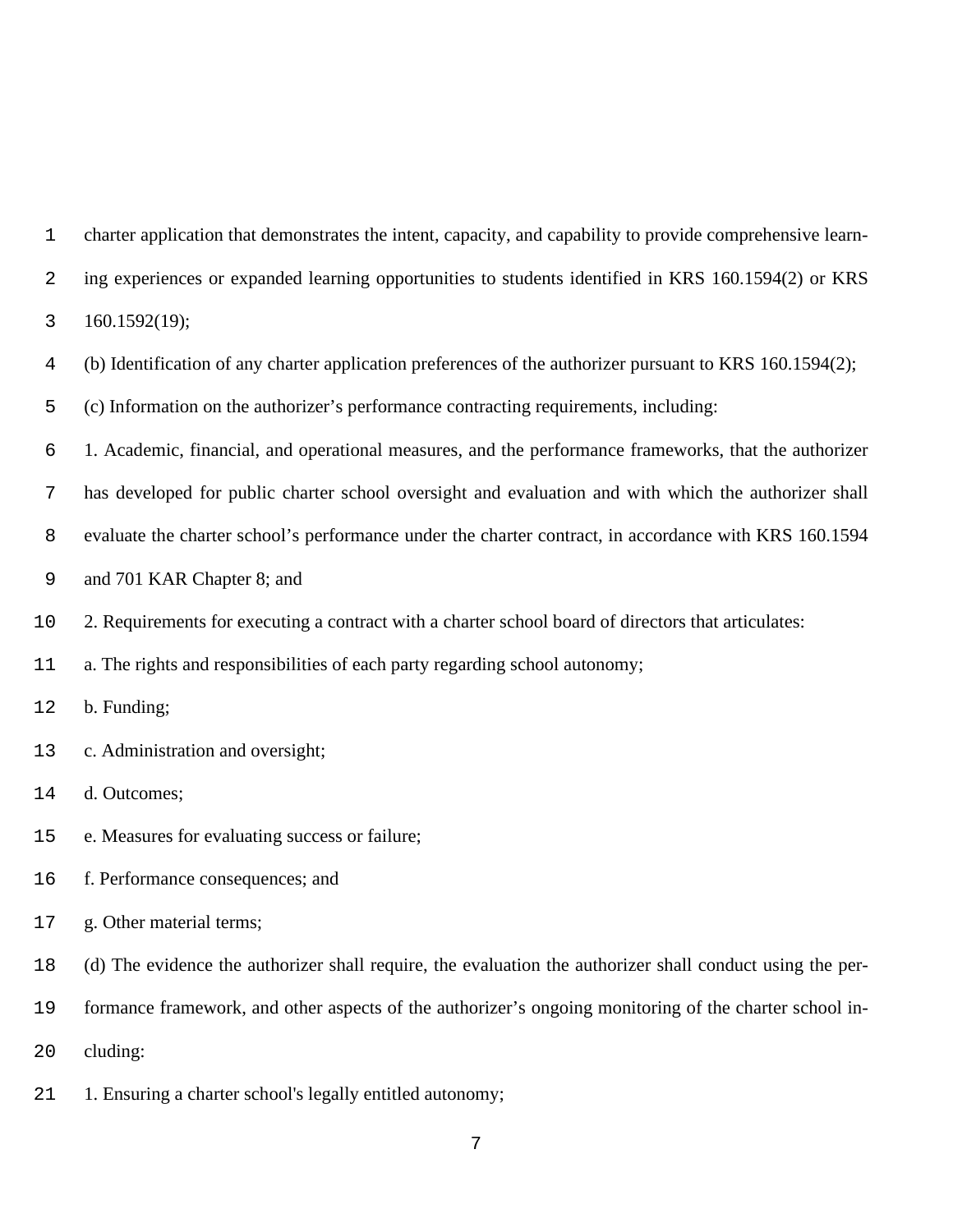| charter application that demonstrates the intent, capacity, and capability to provide comprehensive learn- |
|------------------------------------------------------------------------------------------------------------|
| ing experiences or expanded learning opportunities to students identified in KRS 160.1594(2) or KRS        |
| 160.1592(19);                                                                                              |
| (b) Identification of any charter application preferences of the authorizer pursuant to KRS 160.1594(2);   |
| (c) Information on the authorizer's performance contracting requirements, including:                       |
| 1. Academic, financial, and operational measures, and the performance frameworks, that the authorizer      |
| has developed for public charter school oversight and evaluation and with which the authorizer shall       |
| evaluate the charter school's performance under the charter contract, in accordance with KRS 160.1594      |
| and 701 KAR Chapter 8; and                                                                                 |
| 2. Requirements for executing a contract with a charter school board of directors that articulates:        |
| a. The rights and responsibilities of each party regarding school autonomy;                                |
| b. Funding;                                                                                                |
| c. Administration and oversight;                                                                           |
| d. Outcomes;                                                                                               |
| e. Measures for evaluating success or failure;                                                             |
| f. Performance consequences; and                                                                           |
| 17 g. Other material terms;                                                                                |
| (d) The evidence the authorizer shall require, the evaluation the authorizer shall conduct using the per-  |
| formance framework, and other aspects of the authorizer's ongoing monitoring of the charter school in-     |
| cluding:                                                                                                   |
|                                                                                                            |

1. Ensuring a charter school's legally entitled autonomy;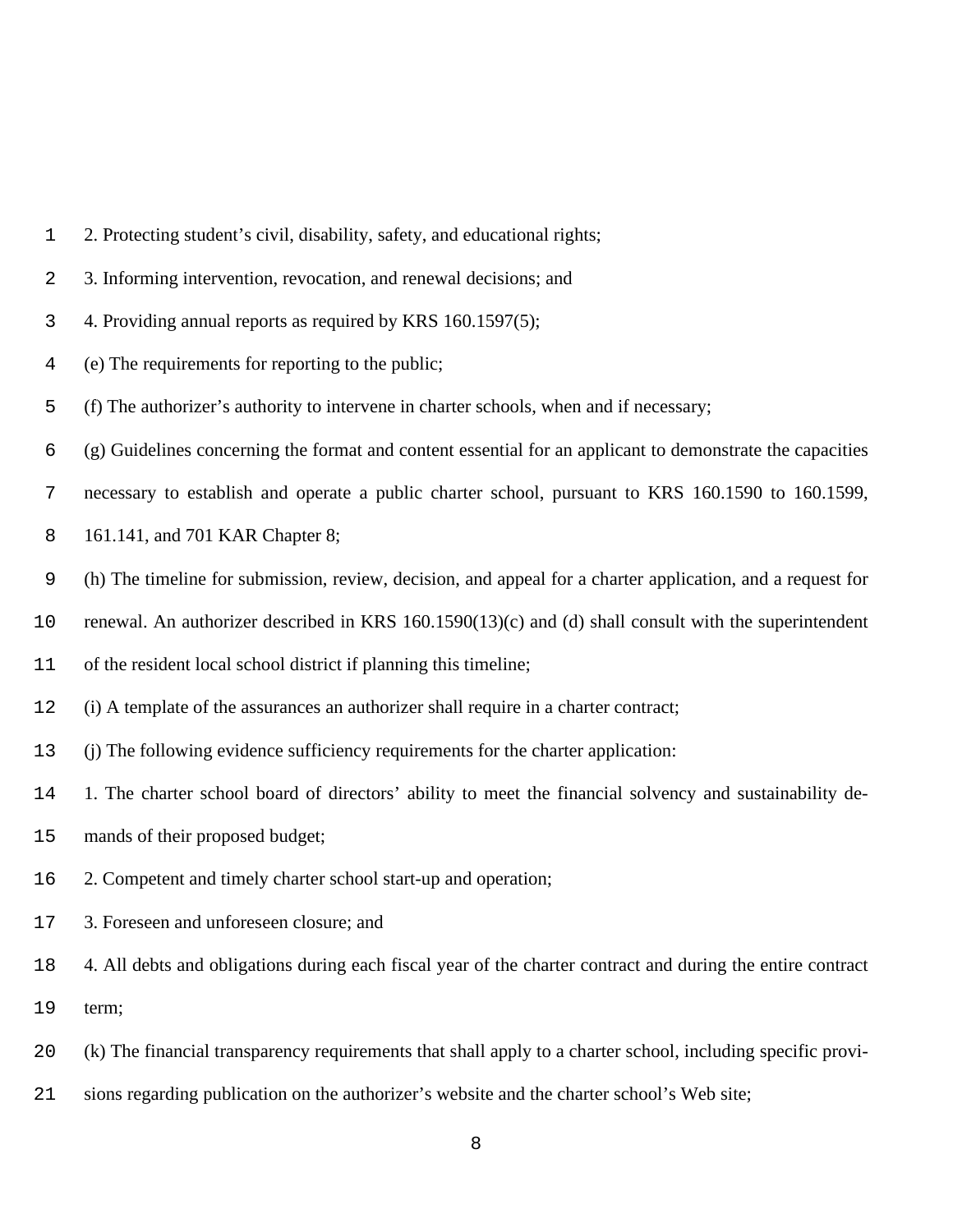- 2. Protecting student's civil, disability, safety, and educational rights;
- 3. Informing intervention, revocation, and renewal decisions; and
- 4. Providing annual reports as required by KRS 160.1597(5);
- (e) The requirements for reporting to the public;
- (f) The authorizer's authority to intervene in charter schools, when and if necessary;
- (g) Guidelines concerning the format and content essential for an applicant to demonstrate the capacities
- necessary to establish and operate a public charter school, pursuant to KRS 160.1590 to 160.1599,
- 161.141, and 701 KAR Chapter 8;
- (h) The timeline for submission, review, decision, and appeal for a charter application, and a request for
- renewal. An authorizer described in KRS 160.1590(13)(c) and (d) shall consult with the superintendent
- of the resident local school district if planning this timeline;
- (i) A template of the assurances an authorizer shall require in a charter contract;
- (j) The following evidence sufficiency requirements for the charter application:
- 1. The charter school board of directors' ability to meet the financial solvency and sustainability de-
- mands of their proposed budget;
- 2. Competent and timely charter school start-up and operation;
- 3. Foreseen and unforeseen closure; and
- 4. All debts and obligations during each fiscal year of the charter contract and during the entire contract term;
- (k) The financial transparency requirements that shall apply to a charter school, including specific provi-
- sions regarding publication on the authorizer's website and the charter school's Web site;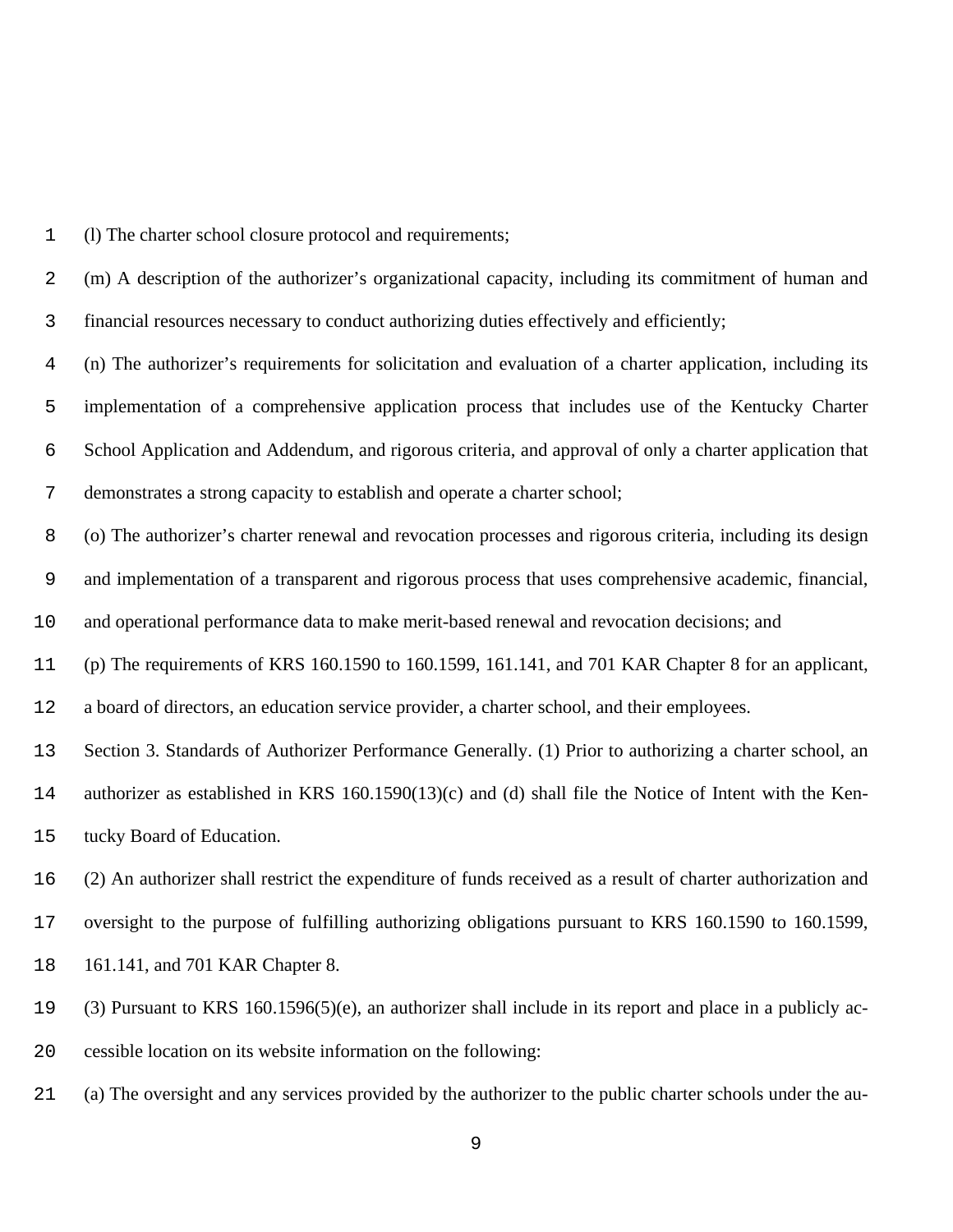(l) The charter school closure protocol and requirements;

 (m) A description of the authorizer's organizational capacity, including its commitment of human and financial resources necessary to conduct authorizing duties effectively and efficiently;

 (n) The authorizer's requirements for solicitation and evaluation of a charter application, including its implementation of a comprehensive application process that includes use of the Kentucky Charter School Application and Addendum, and rigorous criteria, and approval of only a charter application that demonstrates a strong capacity to establish and operate a charter school;

(o) The authorizer's charter renewal and revocation processes and rigorous criteria, including its design

and implementation of a transparent and rigorous process that uses comprehensive academic, financial,

and operational performance data to make merit-based renewal and revocation decisions; and

(p) The requirements of KRS 160.1590 to 160.1599, 161.141, and 701 KAR Chapter 8 for an applicant,

a board of directors, an education service provider, a charter school, and their employees.

Section 3. Standards of Authorizer Performance Generally. (1) Prior to authorizing a charter school, an

 authorizer as established in KRS 160.1590(13)(c) and (d) shall file the Notice of Intent with the Ken-tucky Board of Education.

(2) An authorizer shall restrict the expenditure of funds received as a result of charter authorization and

oversight to the purpose of fulfilling authorizing obligations pursuant to KRS 160.1590 to 160.1599,

161.141, and 701 KAR Chapter 8.

 (3) Pursuant to KRS 160.1596(5)(e), an authorizer shall include in its report and place in a publicly ac-cessible location on its website information on the following:

(a) The oversight and any services provided by the authorizer to the public charter schools under the au-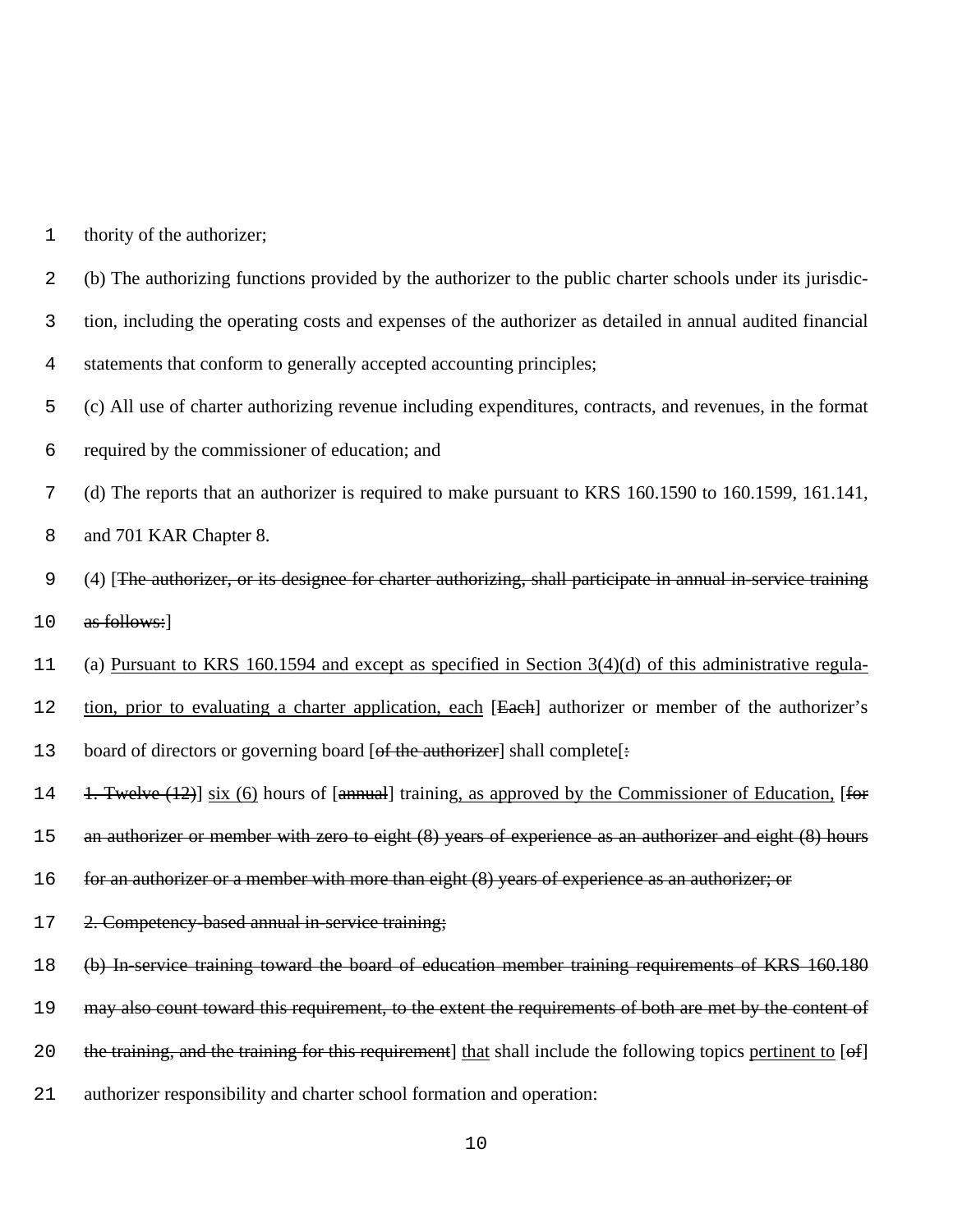| 1 |  |  | thority of the authorizer; |
|---|--|--|----------------------------|
|---|--|--|----------------------------|

- 2 (b) The authorizing functions provided by the authorizer to the public charter schools under its jurisdic-
- 3 tion, including the operating costs and expenses of the authorizer as detailed in annual audited financial
- 4 statements that conform to generally accepted accounting principles;
- 5 (c) All use of charter authorizing revenue including expenditures, contracts, and revenues, in the format
- 6 required by the commissioner of education; and
- 7 (d) The reports that an authorizer is required to make pursuant to KRS 160.1590 to 160.1599, 161.141,
- 8 and 701 KAR Chapter 8.
- 9 (4) [The authorizer, or its designee for charter authorizing, shall participate in annual in-service training 10 as follows:
- 11 (a) Pursuant to KRS 160.1594 and except as specified in Section 3(4)(d) of this administrative regula-
- 12 tion, prior to evaluating a charter application, each [Each] authorizer or member of the authorizer's
- 13 board of directors or governing board [of the authorizer] shall complete[:
- 14 1. Twelve (12) six (6) hours of [annual] training, as approved by the Commissioner of Education, [for
- 15 an authorizer or member with zero to eight (8) years of experience as an authorizer and eight (8) hours
- 16 for an authorizer or a member with more than eight (8) years of experience as an authorizer; or
- 17 2. Competency-based annual in-service training;
- 18 (b) In-service training toward the board of education member training requirements of KRS 160.180
- 19 may also count toward this requirement, to the extent the requirements of both are met by the content of
- 20 the training, and the training for this requirement] that shall include the following topics pertinent to [of]
- 21 authorizer responsibility and charter school formation and operation: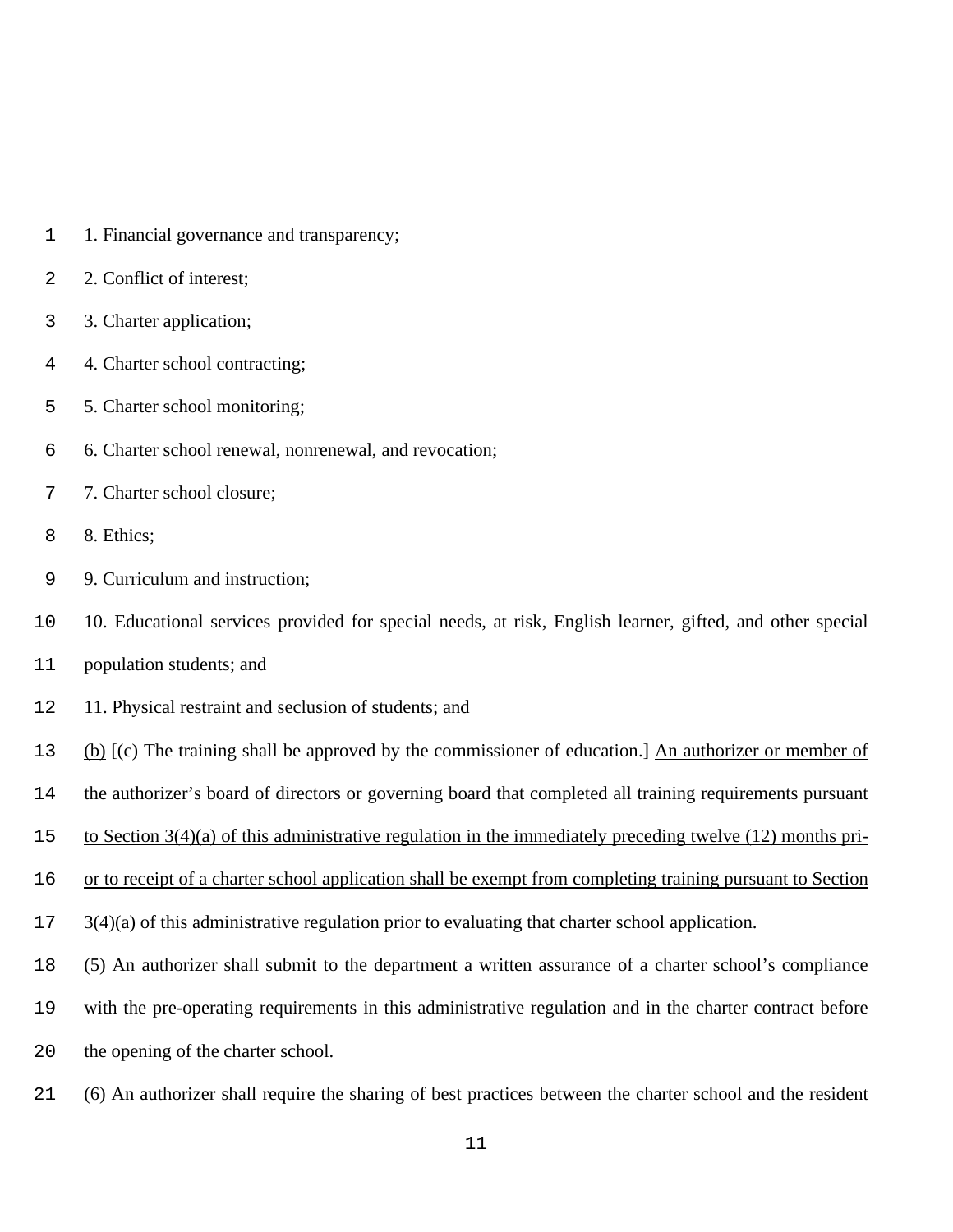- 1. Financial governance and transparency;
- 2. Conflict of interest;
- 3. Charter application;
- 4. Charter school contracting;
- 5. Charter school monitoring;
- 6. Charter school renewal, nonrenewal, and revocation;
- 7. Charter school closure;
- 8. Ethics;
- 9. Curriculum and instruction;
- 10. Educational services provided for special needs, at risk, English learner, gifted, and other special
- population students; and
- 11. Physical restraint and seclusion of students; and
- (b) [(c) The training shall be approved by the commissioner of education.] An authorizer or member of
- the authorizer's board of directors or governing board that completed all training requirements pursuant
- to Section 3(4)(a) of this administrative regulation in the immediately preceding twelve (12) months pri-
- or to receipt of a charter school application shall be exempt from completing training pursuant to Section
- 3(4)(a) of this administrative regulation prior to evaluating that charter school application.
- (5) An authorizer shall submit to the department a written assurance of a charter school's compliance
- with the pre-operating requirements in this administrative regulation and in the charter contract before
- the opening of the charter school.
- (6) An authorizer shall require the sharing of best practices between the charter school and the resident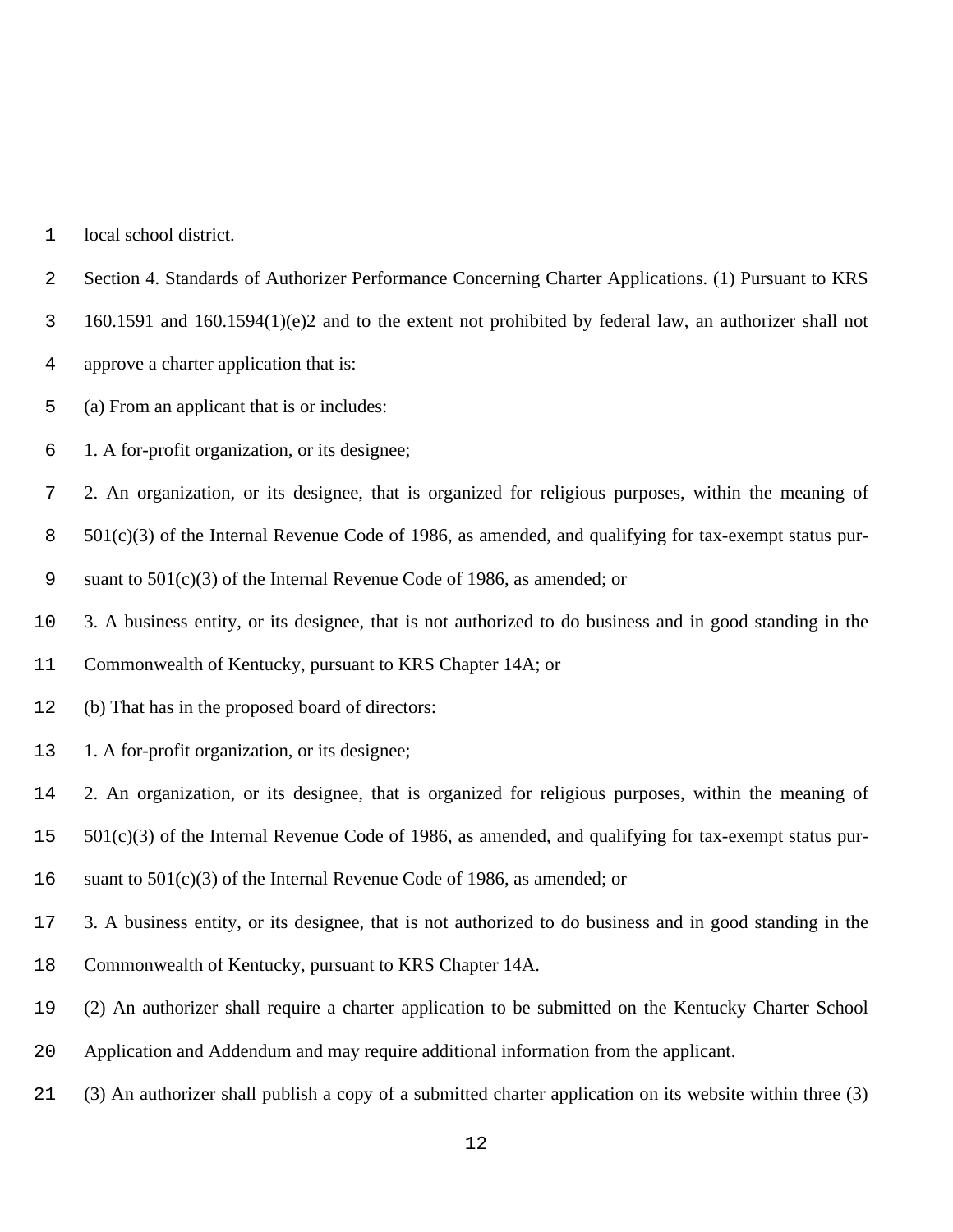local school district.

Section 4. Standards of Authorizer Performance Concerning Charter Applications. (1) Pursuant to KRS

160.1591 and 160.1594(1)(e)2 and to the extent not prohibited by federal law, an authorizer shall not

approve a charter application that is:

(a) From an applicant that is or includes:

1. A for-profit organization, or its designee;

2. An organization, or its designee, that is organized for religious purposes, within the meaning of

501(c)(3) of the Internal Revenue Code of 1986, as amended, and qualifying for tax-exempt status pur-

suant to 501(c)(3) of the Internal Revenue Code of 1986, as amended; or

3. A business entity, or its designee, that is not authorized to do business and in good standing in the

Commonwealth of Kentucky, pursuant to KRS Chapter 14A; or

(b) That has in the proposed board of directors:

1. A for-profit organization, or its designee;

2. An organization, or its designee, that is organized for religious purposes, within the meaning of

501(c)(3) of the Internal Revenue Code of 1986, as amended, and qualifying for tax-exempt status pur-

16 suant to  $501(c)(3)$  of the Internal Revenue Code of 1986, as amended; or

3. A business entity, or its designee, that is not authorized to do business and in good standing in the

Commonwealth of Kentucky, pursuant to KRS Chapter 14A.

(2) An authorizer shall require a charter application to be submitted on the Kentucky Charter School

Application and Addendum and may require additional information from the applicant.

(3) An authorizer shall publish a copy of a submitted charter application on its website within three (3)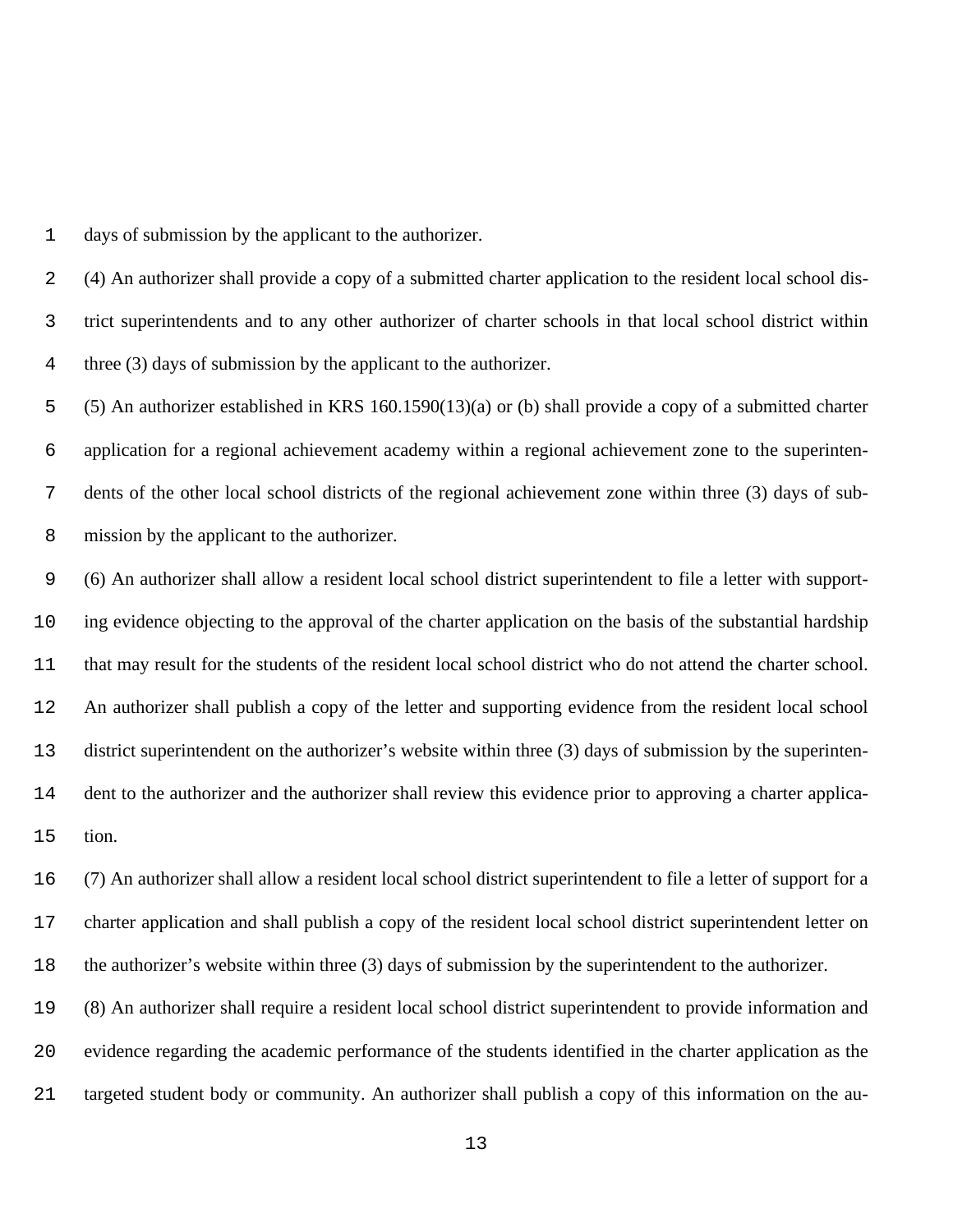days of submission by the applicant to the authorizer.

 (4) An authorizer shall provide a copy of a submitted charter application to the resident local school dis- trict superintendents and to any other authorizer of charter schools in that local school district within three (3) days of submission by the applicant to the authorizer.

 (5) An authorizer established in KRS 160.1590(13)(a) or (b) shall provide a copy of a submitted charter application for a regional achievement academy within a regional achievement zone to the superinten- dents of the other local school districts of the regional achievement zone within three (3) days of sub-mission by the applicant to the authorizer.

 (6) An authorizer shall allow a resident local school district superintendent to file a letter with support- ing evidence objecting to the approval of the charter application on the basis of the substantial hardship that may result for the students of the resident local school district who do not attend the charter school. An authorizer shall publish a copy of the letter and supporting evidence from the resident local school district superintendent on the authorizer's website within three (3) days of submission by the superinten- dent to the authorizer and the authorizer shall review this evidence prior to approving a charter applica-tion.

 (7) An authorizer shall allow a resident local school district superintendent to file a letter of support for a charter application and shall publish a copy of the resident local school district superintendent letter on the authorizer's website within three (3) days of submission by the superintendent to the authorizer.

 (8) An authorizer shall require a resident local school district superintendent to provide information and evidence regarding the academic performance of the students identified in the charter application as the targeted student body or community. An authorizer shall publish a copy of this information on the au-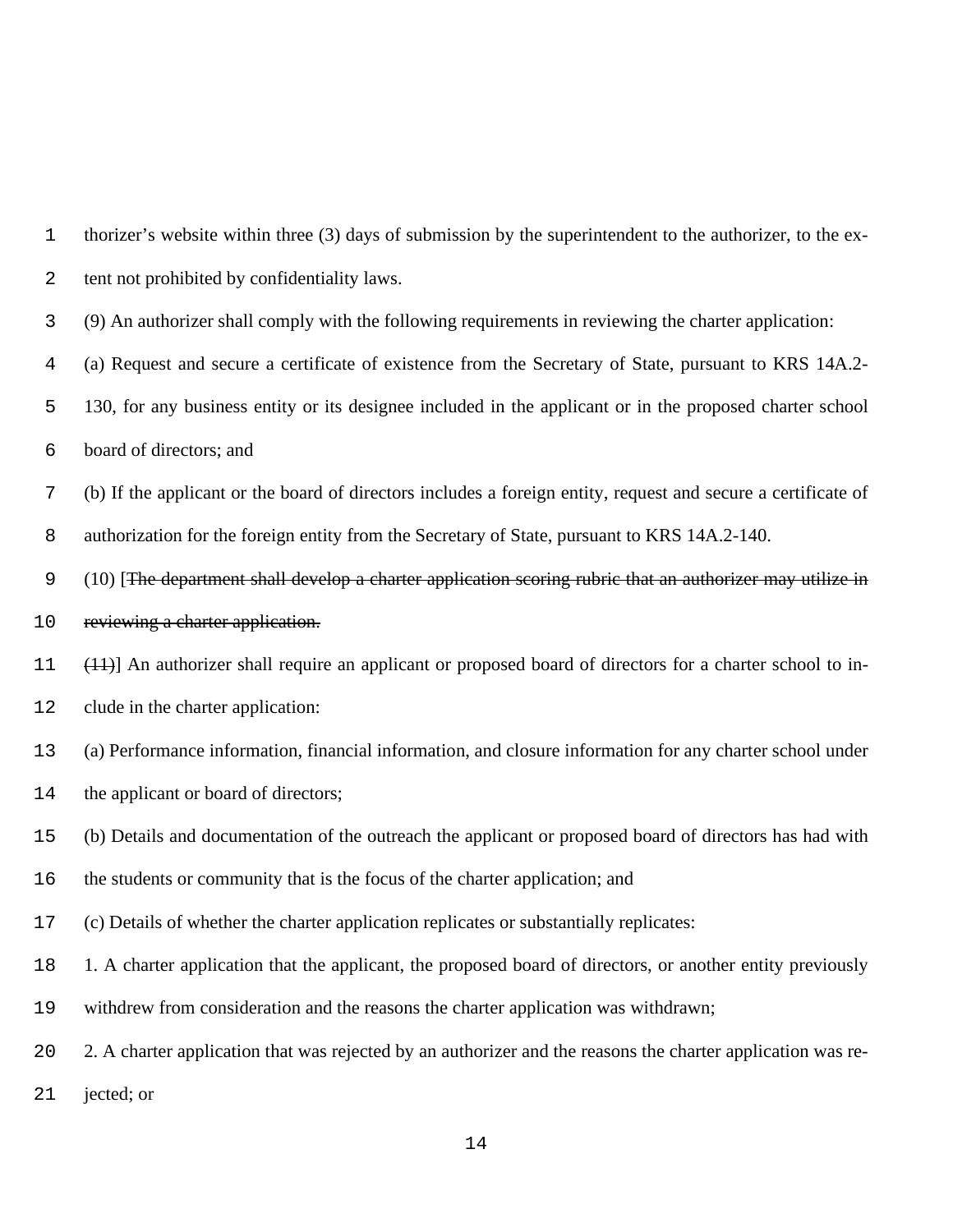| 1            | thorizer's website within three (3) days of submission by the superintendent to the authorizer, to the ex-    |
|--------------|---------------------------------------------------------------------------------------------------------------|
| $\mathbf{2}$ | tent not prohibited by confidentiality laws.                                                                  |
| 3            | (9) An authorizer shall comply with the following requirements in reviewing the charter application:          |
| 4            | (a) Request and secure a certificate of existence from the Secretary of State, pursuant to KRS 14A.2-         |
| 5            | 130, for any business entity or its designee included in the applicant or in the proposed charter school      |
| 6            | board of directors; and                                                                                       |
| 7            | (b) If the applicant or the board of directors includes a foreign entity, request and secure a certificate of |
| $\,8\,$      | authorization for the foreign entity from the Secretary of State, pursuant to KRS 14A.2-140.                  |
| 9            | (10) [The department shall develop a charter application scoring rubric that an authorizer may utilize in     |
| 10           | reviewing a charter application.                                                                              |
| 11           | $(11)$ ] An authorizer shall require an applicant or proposed board of directors for a charter school to in-  |
| 12           | clude in the charter application:                                                                             |
| 13           | (a) Performance information, financial information, and closure information for any charter school under      |
| 14           | the applicant or board of directors;                                                                          |
| 15           | (b) Details and documentation of the outreach the applicant or proposed board of directors has had with       |
| 16           | the students or community that is the focus of the charter application; and                                   |
| 17           | (c) Details of whether the charter application replicates or substantially replicates:                        |
| 18           | 1. A charter application that the applicant, the proposed board of directors, or another entity previously    |
| 19           | withdrew from consideration and the reasons the charter application was withdrawn;                            |
| 20           | 2. A charter application that was rejected by an authorizer and the reasons the charter application was re-   |
| 21           | jected; or                                                                                                    |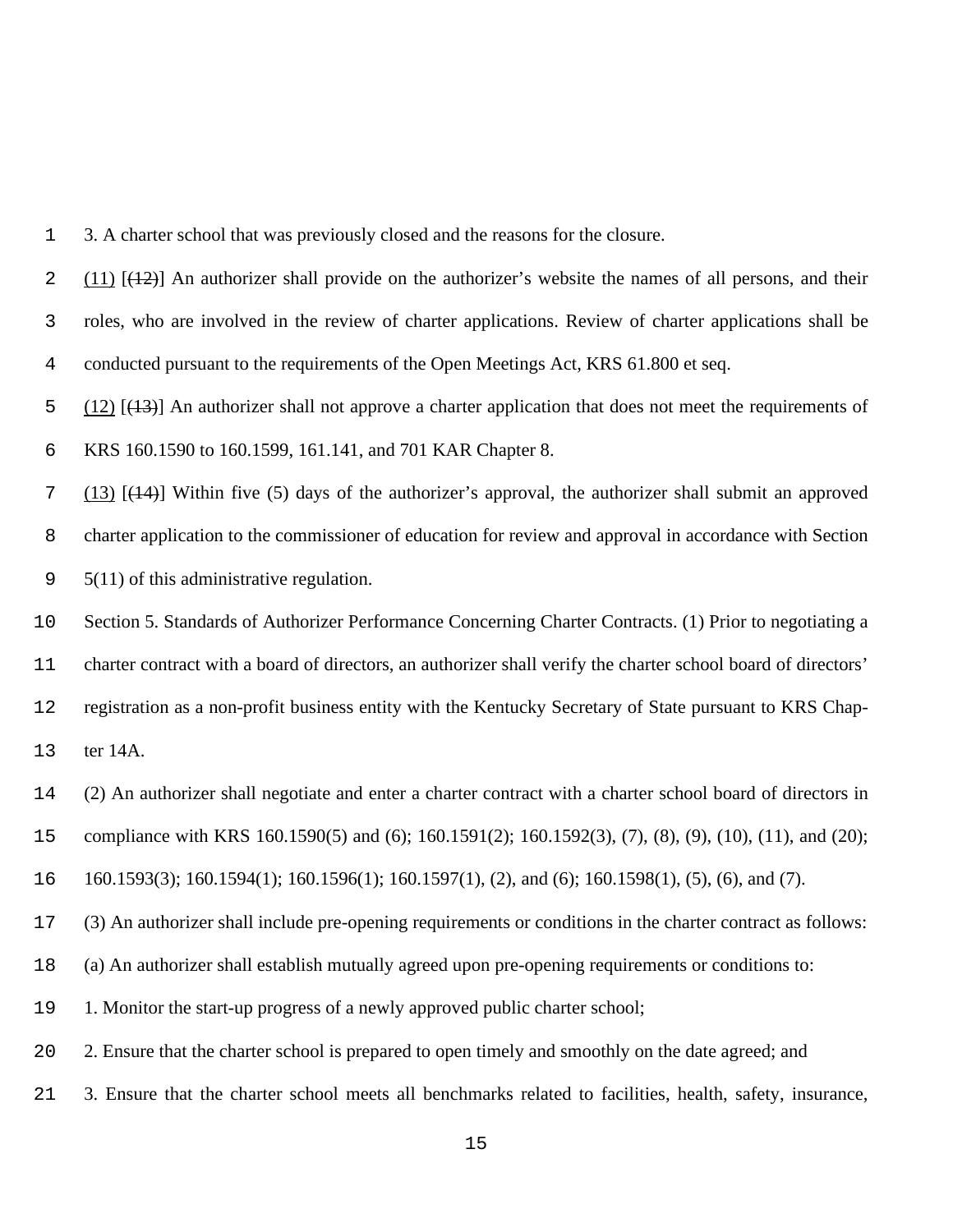3. A charter school that was previously closed and the reasons for the closure.

2 (11)  $[42]$  An authorizer shall provide on the authorizer's website the names of all persons, and their roles, who are involved in the review of charter applications. Review of charter applications shall be conducted pursuant to the requirements of the Open Meetings Act, KRS 61.800 et seq.

 $\frac{12}{12}$  (12) [(13)] An authorizer shall not approve a charter application that does not meet the requirements of

KRS 160.1590 to 160.1599, 161.141, and 701 KAR Chapter 8.

 (13) [(14)] Within five (5) days of the authorizer's approval, the authorizer shall submit an approved charter application to the commissioner of education for review and approval in accordance with Section 9 5(11) of this administrative regulation.

 Section 5. Standards of Authorizer Performance Concerning Charter Contracts. (1) Prior to negotiating a charter contract with a board of directors, an authorizer shall verify the charter school board of directors' registration as a non-profit business entity with the Kentucky Secretary of State pursuant to KRS Chap-

ter 14A.

(2) An authorizer shall negotiate and enter a charter contract with a charter school board of directors in

compliance with KRS 160.1590(5) and (6); 160.1591(2); 160.1592(3), (7), (8), (9), (10), (11), and (20);

160.1593(3); 160.1594(1); 160.1596(1); 160.1597(1), (2), and (6); 160.1598(1), (5), (6), and (7).

(3) An authorizer shall include pre-opening requirements or conditions in the charter contract as follows:

(a) An authorizer shall establish mutually agreed upon pre-opening requirements or conditions to:

1. Monitor the start-up progress of a newly approved public charter school;

20 2. Ensure that the charter school is prepared to open timely and smoothly on the date agreed; and

3. Ensure that the charter school meets all benchmarks related to facilities, health, safety, insurance,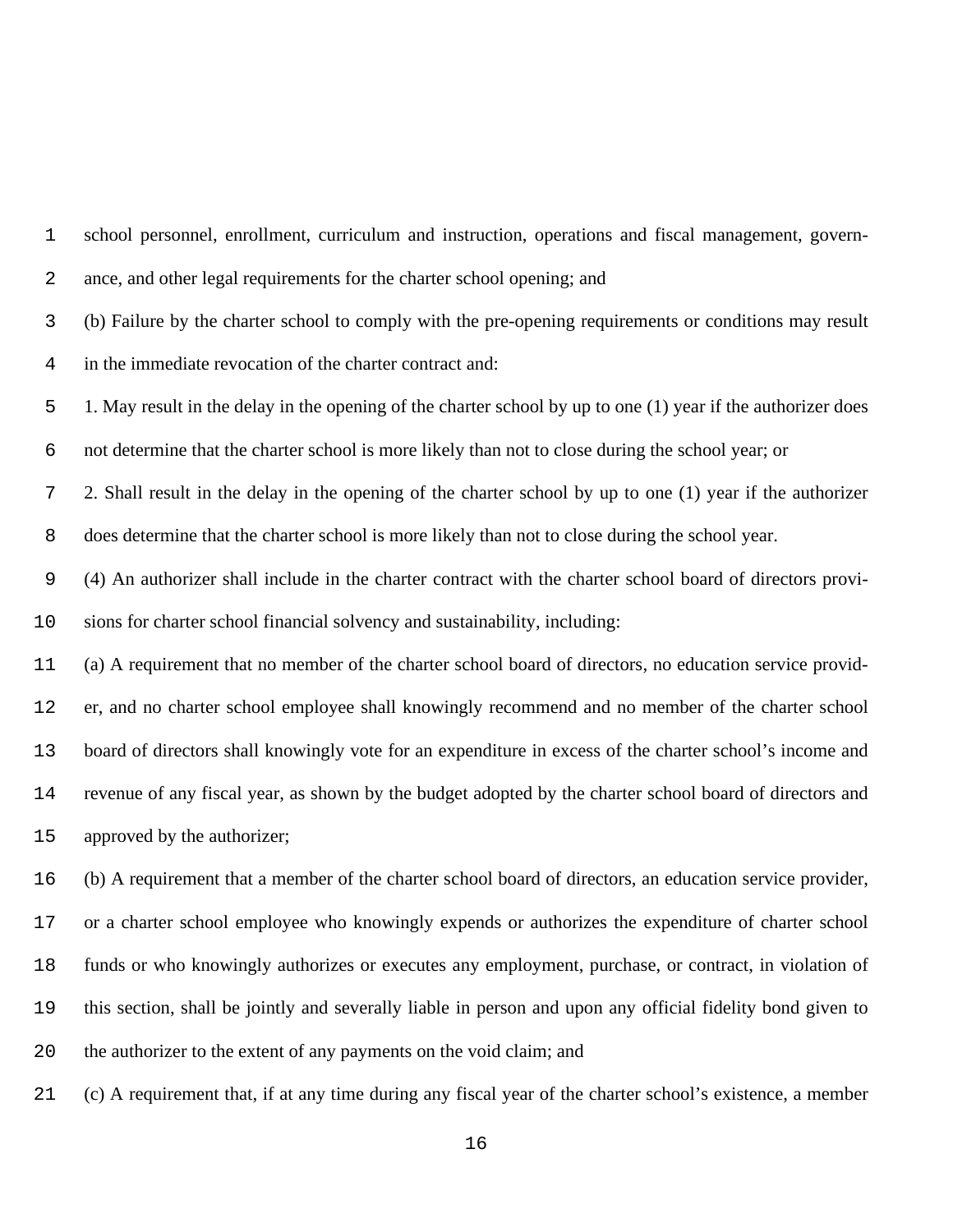school personnel, enrollment, curriculum and instruction, operations and fiscal management, govern- ance, and other legal requirements for the charter school opening; and (b) Failure by the charter school to comply with the pre-opening requirements or conditions may result in the immediate revocation of the charter contract and: 1. May result in the delay in the opening of the charter school by up to one (1) year if the authorizer does not determine that the charter school is more likely than not to close during the school year; or 2. Shall result in the delay in the opening of the charter school by up to one (1) year if the authorizer does determine that the charter school is more likely than not to close during the school year. (4) An authorizer shall include in the charter contract with the charter school board of directors provi- sions for charter school financial solvency and sustainability, including: (a) A requirement that no member of the charter school board of directors, no education service provid- er, and no charter school employee shall knowingly recommend and no member of the charter school board of directors shall knowingly vote for an expenditure in excess of the charter school's income and revenue of any fiscal year, as shown by the budget adopted by the charter school board of directors and approved by the authorizer; (b) A requirement that a member of the charter school board of directors, an education service provider, or a charter school employee who knowingly expends or authorizes the expenditure of charter school funds or who knowingly authorizes or executes any employment, purchase, or contract, in violation of this section, shall be jointly and severally liable in person and upon any official fidelity bond given to the authorizer to the extent of any payments on the void claim; and (c) A requirement that, if at any time during any fiscal year of the charter school's existence, a member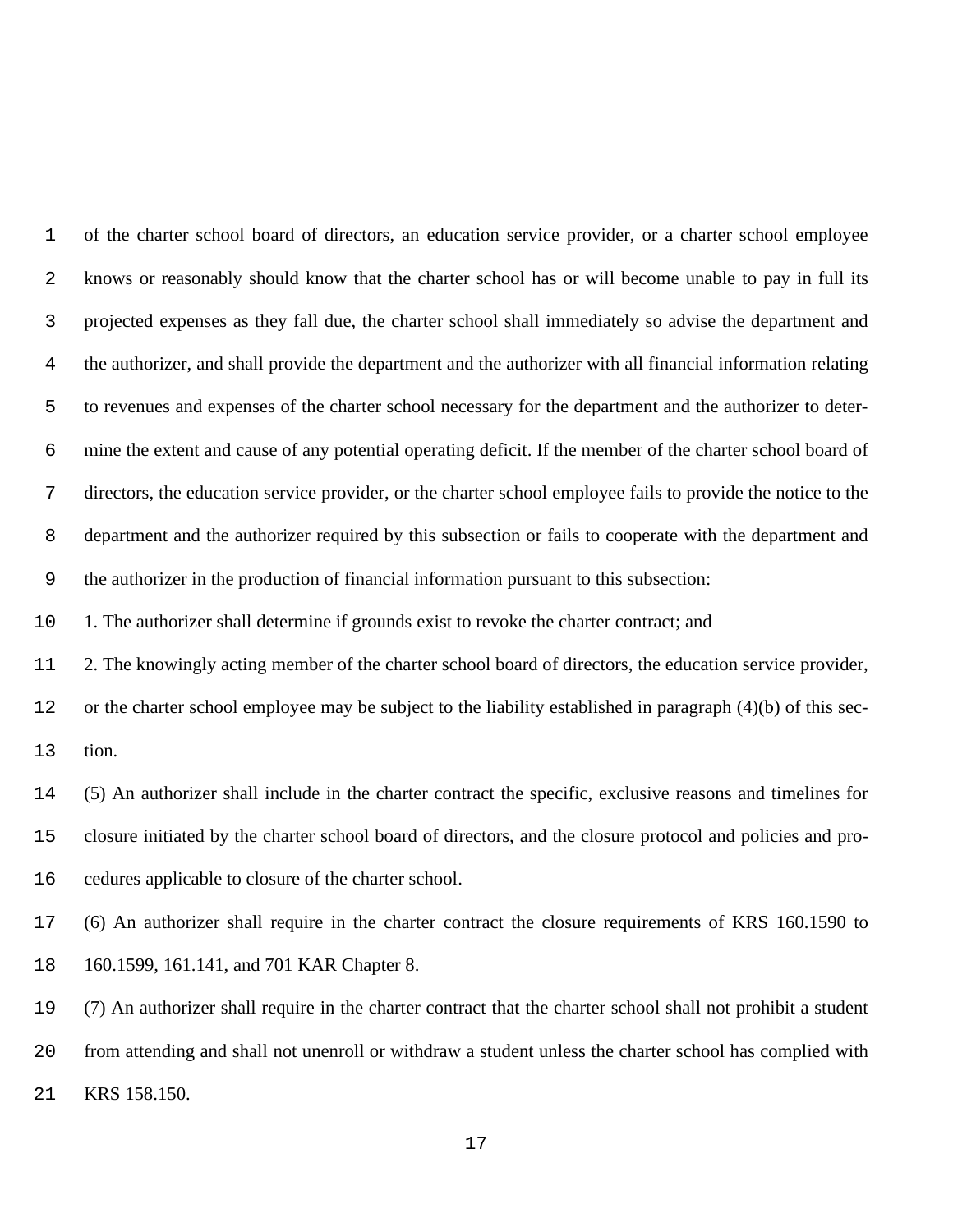of the charter school board of directors, an education service provider, or a charter school employee knows or reasonably should know that the charter school has or will become unable to pay in full its projected expenses as they fall due, the charter school shall immediately so advise the department and the authorizer, and shall provide the department and the authorizer with all financial information relating to revenues and expenses of the charter school necessary for the department and the authorizer to deter- mine the extent and cause of any potential operating deficit. If the member of the charter school board of directors, the education service provider, or the charter school employee fails to provide the notice to the department and the authorizer required by this subsection or fails to cooperate with the department and the authorizer in the production of financial information pursuant to this subsection:

1. The authorizer shall determine if grounds exist to revoke the charter contract; and

2. The knowingly acting member of the charter school board of directors, the education service provider,

 or the charter school employee may be subject to the liability established in paragraph (4)(b) of this sec-tion.

 (5) An authorizer shall include in the charter contract the specific, exclusive reasons and timelines for closure initiated by the charter school board of directors, and the closure protocol and policies and pro-cedures applicable to closure of the charter school.

 (6) An authorizer shall require in the charter contract the closure requirements of KRS 160.1590 to 160.1599, 161.141, and 701 KAR Chapter 8.

 (7) An authorizer shall require in the charter contract that the charter school shall not prohibit a student from attending and shall not unenroll or withdraw a student unless the charter school has complied with KRS 158.150.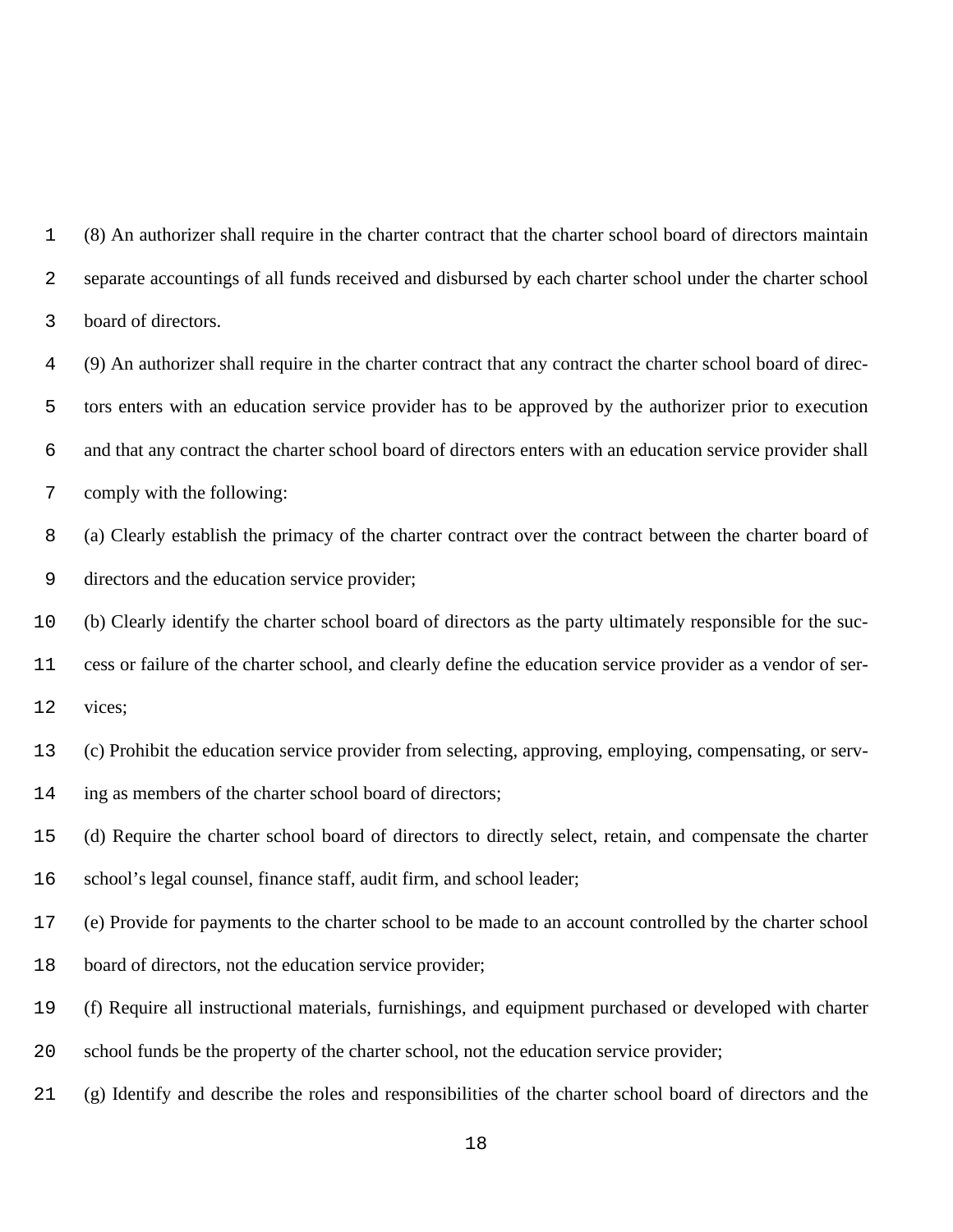(8) An authorizer shall require in the charter contract that the charter school board of directors maintain separate accountings of all funds received and disbursed by each charter school under the charter school board of directors.

 (9) An authorizer shall require in the charter contract that any contract the charter school board of direc- tors enters with an education service provider has to be approved by the authorizer prior to execution and that any contract the charter school board of directors enters with an education service provider shall comply with the following:

 (a) Clearly establish the primacy of the charter contract over the contract between the charter board of directors and the education service provider;

 (b) Clearly identify the charter school board of directors as the party ultimately responsible for the suc-cess or failure of the charter school, and clearly define the education service provider as a vendor of ser-

vices;

(c) Prohibit the education service provider from selecting, approving, employing, compensating, or serv-

ing as members of the charter school board of directors;

(d) Require the charter school board of directors to directly select, retain, and compensate the charter

school's legal counsel, finance staff, audit firm, and school leader;

(e) Provide for payments to the charter school to be made to an account controlled by the charter school

board of directors, not the education service provider;

(f) Require all instructional materials, furnishings, and equipment purchased or developed with charter

school funds be the property of the charter school, not the education service provider;

(g) Identify and describe the roles and responsibilities of the charter school board of directors and the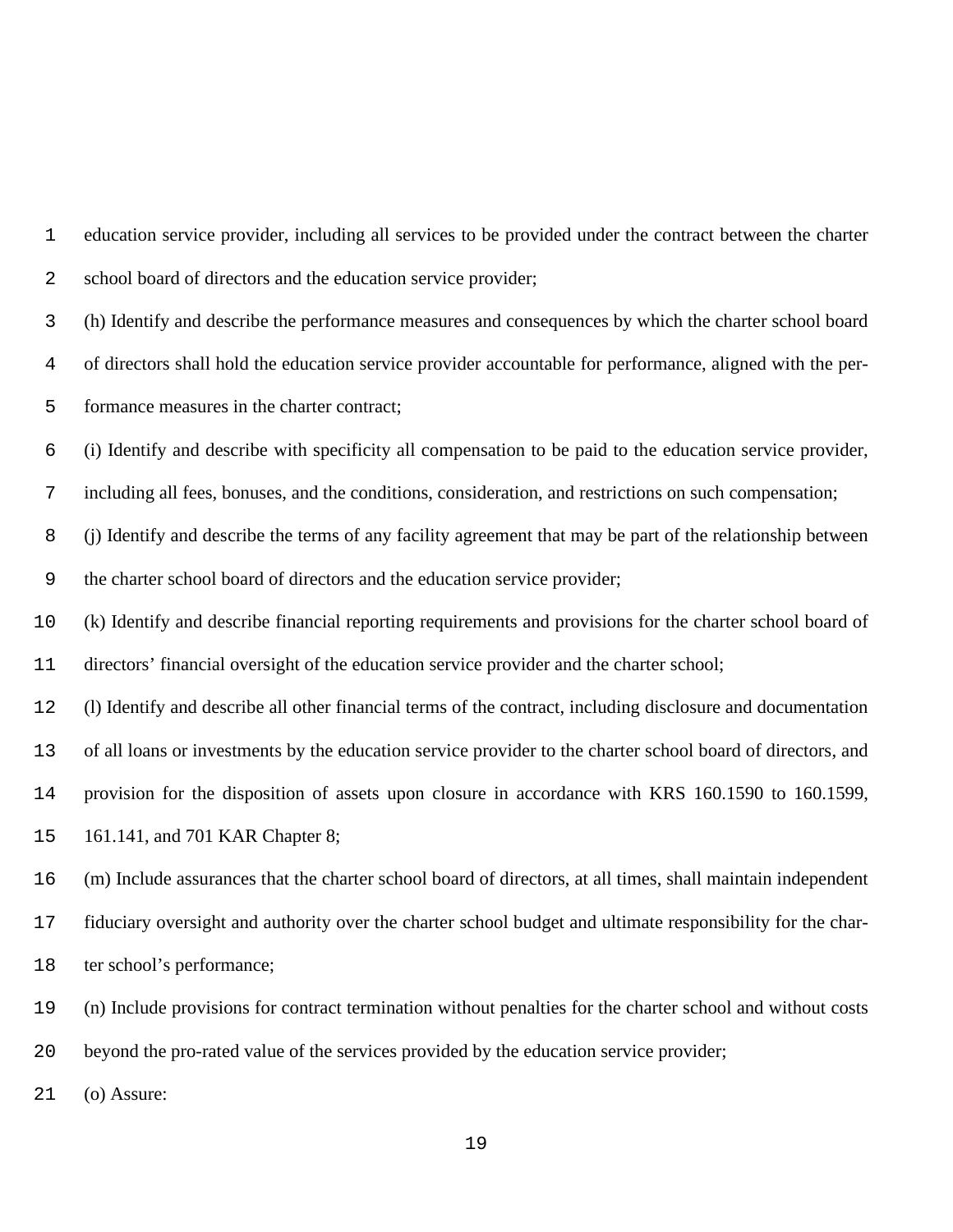education service provider, including all services to be provided under the contract between the charter school board of directors and the education service provider;

 (h) Identify and describe the performance measures and consequences by which the charter school board of directors shall hold the education service provider accountable for performance, aligned with the per-formance measures in the charter contract;

(i) Identify and describe with specificity all compensation to be paid to the education service provider,

including all fees, bonuses, and the conditions, consideration, and restrictions on such compensation;

 (j) Identify and describe the terms of any facility agreement that may be part of the relationship between the charter school board of directors and the education service provider;

 (k) Identify and describe financial reporting requirements and provisions for the charter school board of directors' financial oversight of the education service provider and the charter school;

(l) Identify and describe all other financial terms of the contract, including disclosure and documentation

of all loans or investments by the education service provider to the charter school board of directors, and

provision for the disposition of assets upon closure in accordance with KRS 160.1590 to 160.1599,

161.141, and 701 KAR Chapter 8;

(m) Include assurances that the charter school board of directors, at all times, shall maintain independent

fiduciary oversight and authority over the charter school budget and ultimate responsibility for the char-

18 ter school's performance;

(n) Include provisions for contract termination without penalties for the charter school and without costs

beyond the pro-rated value of the services provided by the education service provider;

(o) Assure: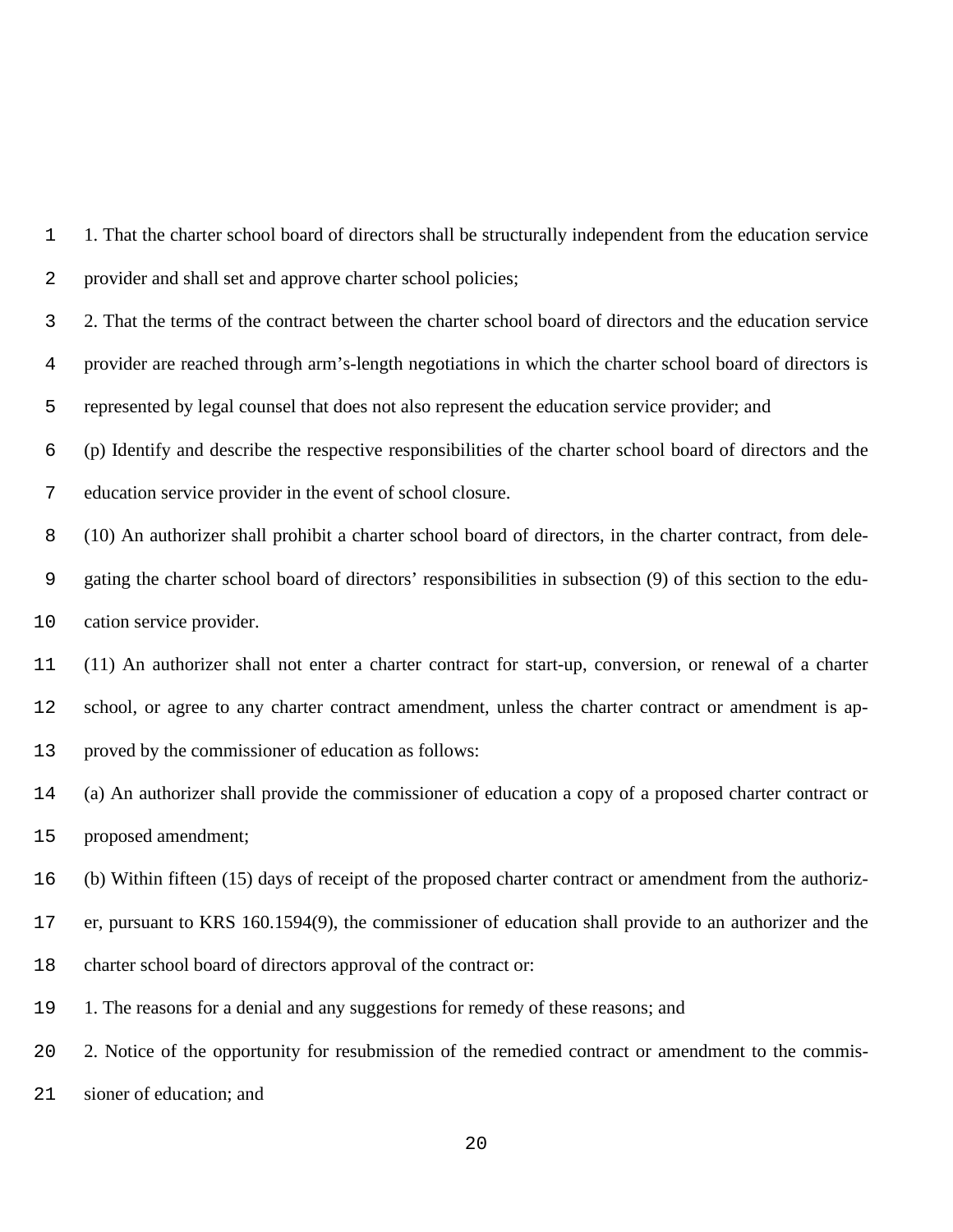1. That the charter school board of directors shall be structurally independent from the education service provider and shall set and approve charter school policies;

 2. That the terms of the contract between the charter school board of directors and the education service provider are reached through arm's-length negotiations in which the charter school board of directors is represented by legal counsel that does not also represent the education service provider; and

 (p) Identify and describe the respective responsibilities of the charter school board of directors and the education service provider in the event of school closure.

 (10) An authorizer shall prohibit a charter school board of directors, in the charter contract, from dele- gating the charter school board of directors' responsibilities in subsection (9) of this section to the edu-cation service provider.

 (11) An authorizer shall not enter a charter contract for start-up, conversion, or renewal of a charter school, or agree to any charter contract amendment, unless the charter contract or amendment is ap-proved by the commissioner of education as follows:

 (a) An authorizer shall provide the commissioner of education a copy of a proposed charter contract or proposed amendment;

(b) Within fifteen (15) days of receipt of the proposed charter contract or amendment from the authoriz-

er, pursuant to KRS 160.1594(9), the commissioner of education shall provide to an authorizer and the

charter school board of directors approval of the contract or:

1. The reasons for a denial and any suggestions for remedy of these reasons; and

2. Notice of the opportunity for resubmission of the remedied contract or amendment to the commis-

sioner of education; and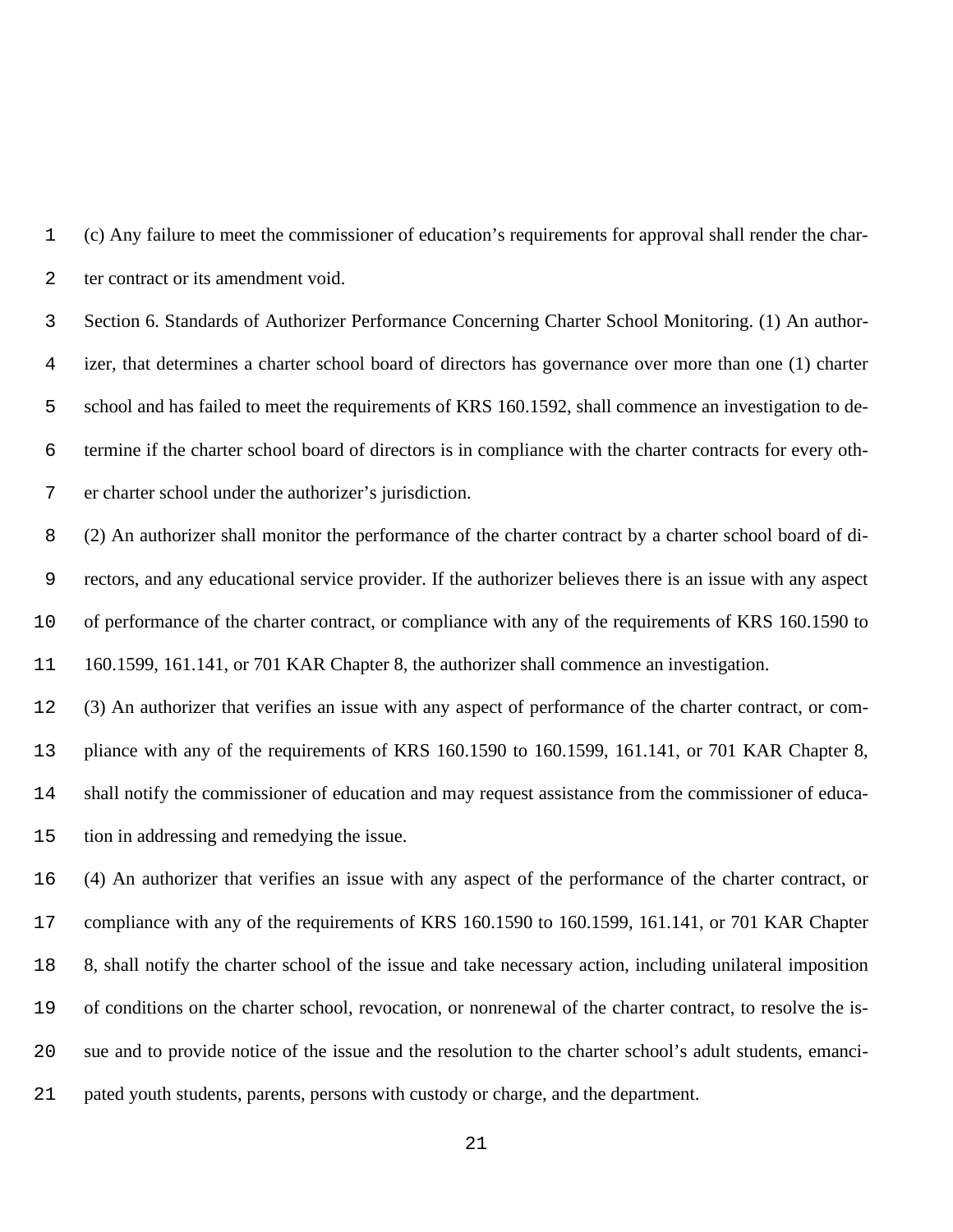(c) Any failure to meet the commissioner of education's requirements for approval shall render the char-ter contract or its amendment void.

 Section 6. Standards of Authorizer Performance Concerning Charter School Monitoring. (1) An author- izer, that determines a charter school board of directors has governance over more than one (1) charter school and has failed to meet the requirements of KRS 160.1592, shall commence an investigation to de- termine if the charter school board of directors is in compliance with the charter contracts for every oth-er charter school under the authorizer's jurisdiction.

 (2) An authorizer shall monitor the performance of the charter contract by a charter school board of di- rectors, and any educational service provider. If the authorizer believes there is an issue with any aspect of performance of the charter contract, or compliance with any of the requirements of KRS 160.1590 to 160.1599, 161.141, or 701 KAR Chapter 8, the authorizer shall commence an investigation.

 (3) An authorizer that verifies an issue with any aspect of performance of the charter contract, or com- pliance with any of the requirements of KRS 160.1590 to 160.1599, 161.141, or 701 KAR Chapter 8, shall notify the commissioner of education and may request assistance from the commissioner of educa-tion in addressing and remedying the issue.

 (4) An authorizer that verifies an issue with any aspect of the performance of the charter contract, or compliance with any of the requirements of KRS 160.1590 to 160.1599, 161.141, or 701 KAR Chapter 8, shall notify the charter school of the issue and take necessary action, including unilateral imposition of conditions on the charter school, revocation, or nonrenewal of the charter contract, to resolve the is- sue and to provide notice of the issue and the resolution to the charter school's adult students, emanci-pated youth students, parents, persons with custody or charge, and the department.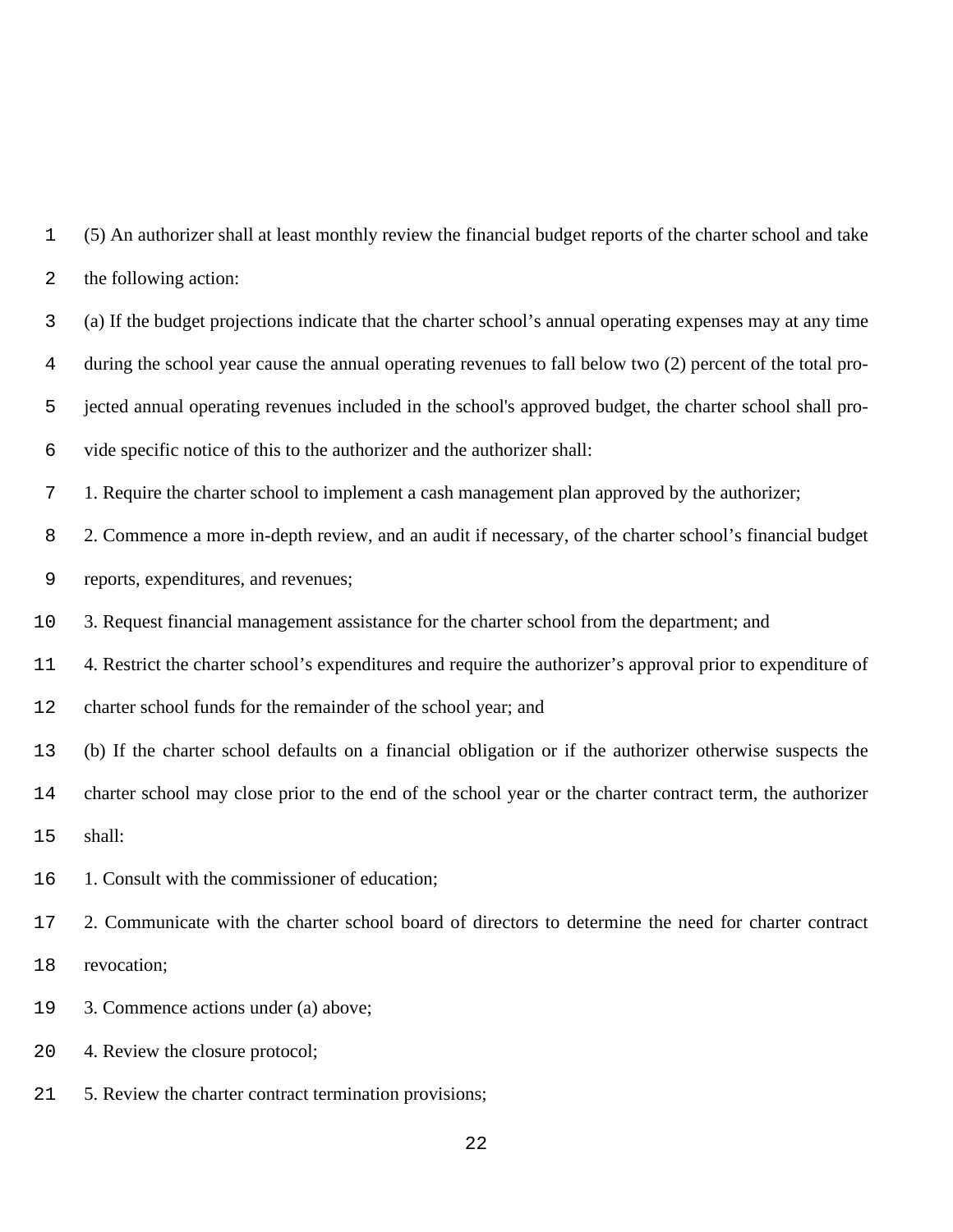(5) An authorizer shall at least monthly review the financial budget reports of the charter school and take the following action:

 (a) If the budget projections indicate that the charter school's annual operating expenses may at any time during the school year cause the annual operating revenues to fall below two (2) percent of the total pro- jected annual operating revenues included in the school's approved budget, the charter school shall pro-vide specific notice of this to the authorizer and the authorizer shall:

1. Require the charter school to implement a cash management plan approved by the authorizer;

 2. Commence a more in-depth review, and an audit if necessary, of the charter school's financial budget reports, expenditures, and revenues;

3. Request financial management assistance for the charter school from the department; and

4. Restrict the charter school's expenditures and require the authorizer's approval prior to expenditure of

charter school funds for the remainder of the school year; and

(b) If the charter school defaults on a financial obligation or if the authorizer otherwise suspects the

charter school may close prior to the end of the school year or the charter contract term, the authorizer

shall:

1. Consult with the commissioner of education;

 2. Communicate with the charter school board of directors to determine the need for charter contract revocation;

3. Commence actions under (a) above;

4. Review the closure protocol;

5. Review the charter contract termination provisions;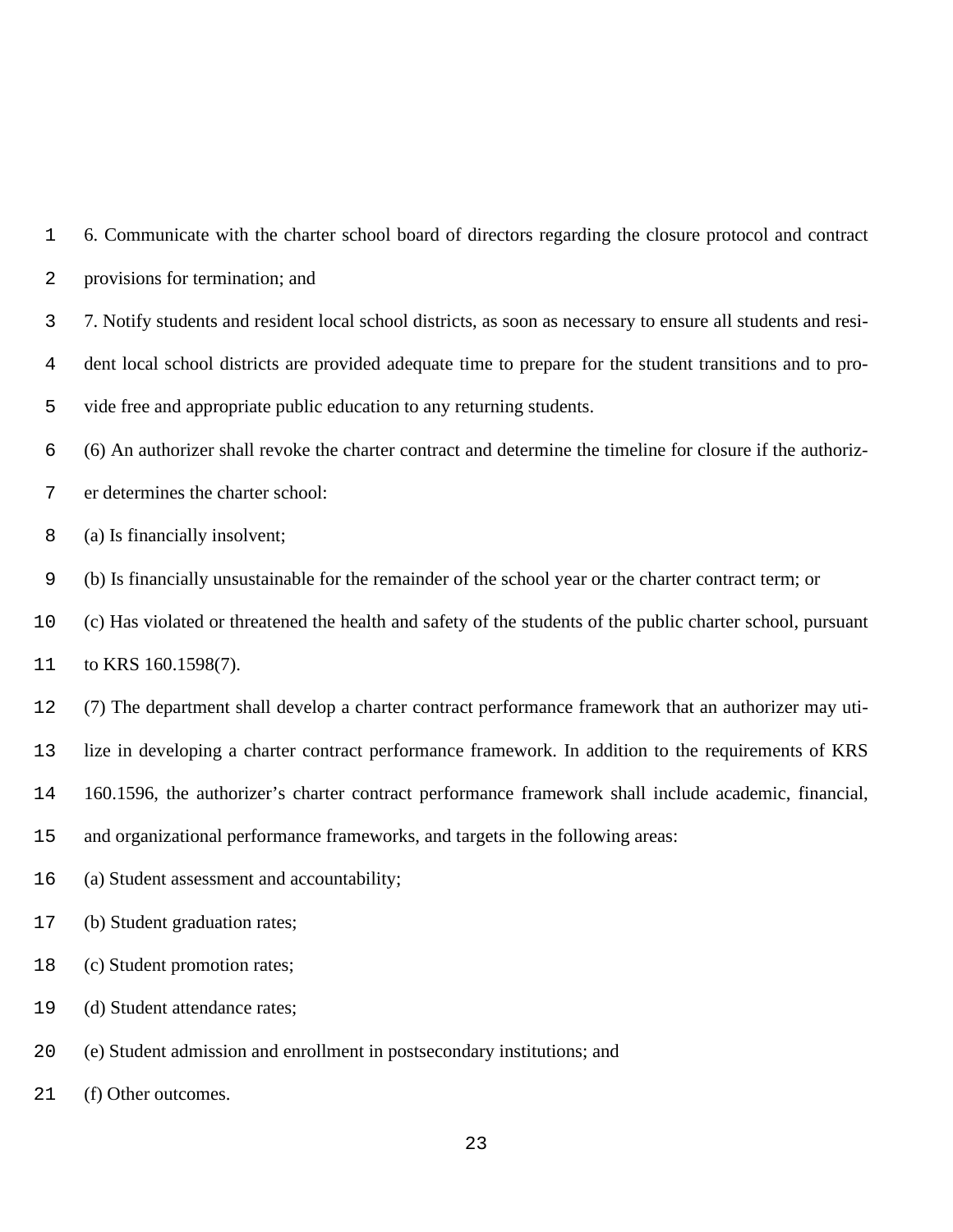| 1  | 6. Communicate with the charter school board of directors regarding the closure protocol and contract         |
|----|---------------------------------------------------------------------------------------------------------------|
| 2  | provisions for termination; and                                                                               |
| 3  | 7. Notify students and resident local school districts, as soon as necessary to ensure all students and resi- |
| 4  | dent local school districts are provided adequate time to prepare for the student transitions and to pro-     |
| 5  | vide free and appropriate public education to any returning students.                                         |
| 6  | (6) An authorizer shall revoke the charter contract and determine the timeline for closure if the authoriz-   |
| 7  | er determines the charter school:                                                                             |
| 8  | (a) Is financially insolvent;                                                                                 |
| 9  | (b) Is financially unsustainable for the remainder of the school year or the charter contract term; or        |
| 10 | (c) Has violated or threatened the health and safety of the students of the public charter school, pursuant   |
| 11 | to KRS 160.1598(7).                                                                                           |
| 12 | (7) The department shall develop a charter contract performance framework that an authorizer may uti-         |
| 13 | lize in developing a charter contract performance framework. In addition to the requirements of KRS           |
| 14 | 160.1596, the authorizer's charter contract performance framework shall include academic, financial,          |
| 15 | and organizational performance frameworks, and targets in the following areas:                                |
| 16 | (a) Student assessment and accountability;                                                                    |
| 17 | (b) Student graduation rates;                                                                                 |
| 18 | (c) Student promotion rates;                                                                                  |
| 19 | (d) Student attendance rates;                                                                                 |
| 20 | (e) Student admission and enrollment in postsecondary institutions; and                                       |

(f) Other outcomes.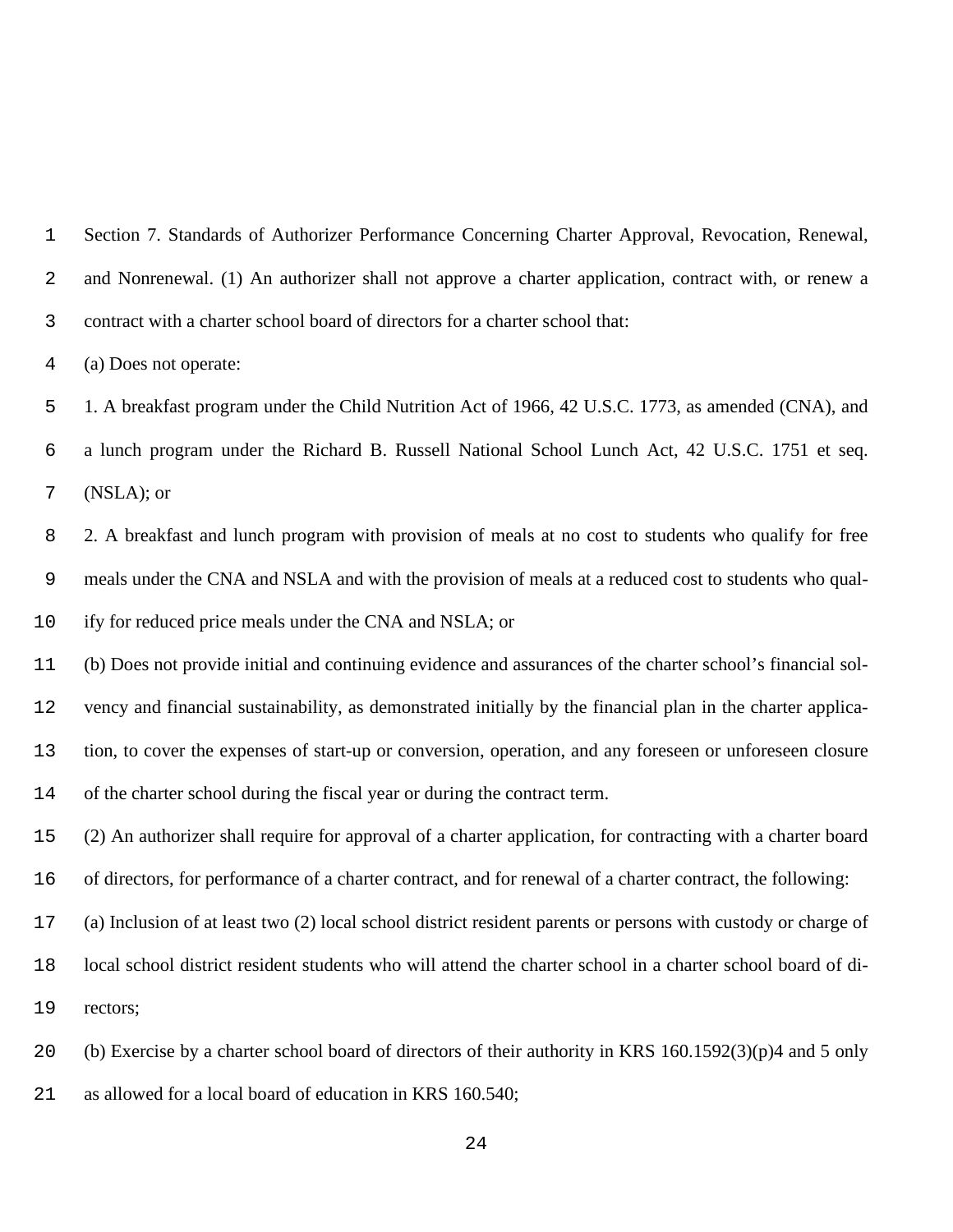Section 7. Standards of Authorizer Performance Concerning Charter Approval, Revocation, Renewal, and Nonrenewal. (1) An authorizer shall not approve a charter application, contract with, or renew a contract with a charter school board of directors for a charter school that:

(a) Does not operate:

 1. A breakfast program under the Child Nutrition Act of 1966, 42 U.S.C. 1773, as amended (CNA), and a lunch program under the Richard B. Russell National School Lunch Act, 42 U.S.C. 1751 et seq. (NSLA); or

 2. A breakfast and lunch program with provision of meals at no cost to students who qualify for free meals under the CNA and NSLA and with the provision of meals at a reduced cost to students who qual-ify for reduced price meals under the CNA and NSLA; or

 (b) Does not provide initial and continuing evidence and assurances of the charter school's financial sol- vency and financial sustainability, as demonstrated initially by the financial plan in the charter applica- tion, to cover the expenses of start-up or conversion, operation, and any foreseen or unforeseen closure of the charter school during the fiscal year or during the contract term.

(2) An authorizer shall require for approval of a charter application, for contracting with a charter board

of directors, for performance of a charter contract, and for renewal of a charter contract, the following:

(a) Inclusion of at least two (2) local school district resident parents or persons with custody or charge of

local school district resident students who will attend the charter school in a charter school board of di-

rectors;

(b) Exercise by a charter school board of directors of their authority in KRS 160.1592(3)(p)4 and 5 only

as allowed for a local board of education in KRS 160.540;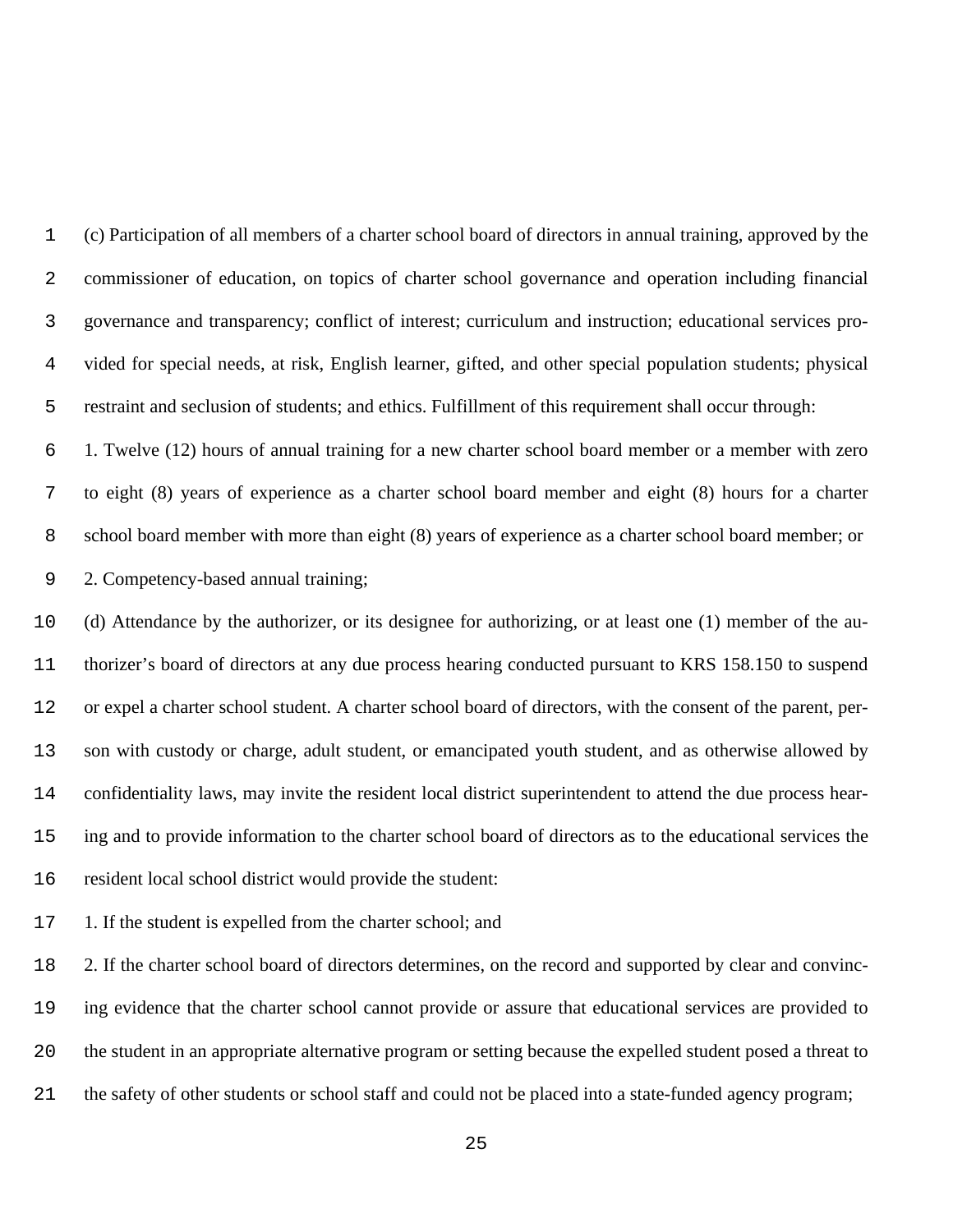(c) Participation of all members of a charter school board of directors in annual training, approved by the commissioner of education, on topics of charter school governance and operation including financial governance and transparency; conflict of interest; curriculum and instruction; educational services pro- vided for special needs, at risk, English learner, gifted, and other special population students; physical restraint and seclusion of students; and ethics. Fulfillment of this requirement shall occur through:

 1. Twelve (12) hours of annual training for a new charter school board member or a member with zero to eight (8) years of experience as a charter school board member and eight (8) hours for a charter school board member with more than eight (8) years of experience as a charter school board member; or 2. Competency-based annual training;

 (d) Attendance by the authorizer, or its designee for authorizing, or at least one (1) member of the au- thorizer's board of directors at any due process hearing conducted pursuant to KRS 158.150 to suspend or expel a charter school student. A charter school board of directors, with the consent of the parent, per- son with custody or charge, adult student, or emancipated youth student, and as otherwise allowed by confidentiality laws, may invite the resident local district superintendent to attend the due process hear- ing and to provide information to the charter school board of directors as to the educational services the resident local school district would provide the student:

17 1. If the student is expelled from the charter school; and

 2. If the charter school board of directors determines, on the record and supported by clear and convinc- ing evidence that the charter school cannot provide or assure that educational services are provided to the student in an appropriate alternative program or setting because the expelled student posed a threat to the safety of other students or school staff and could not be placed into a state-funded agency program;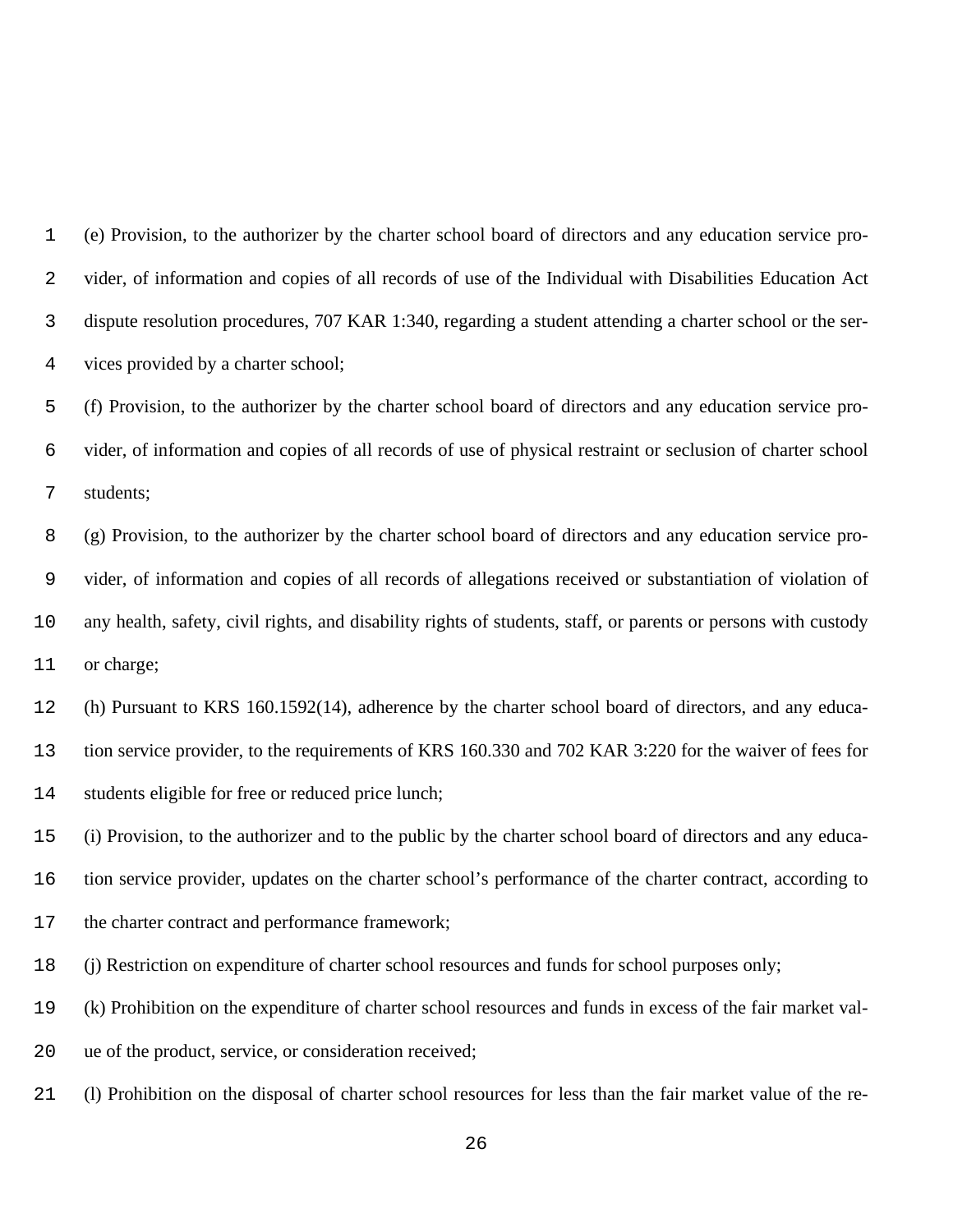(e) Provision, to the authorizer by the charter school board of directors and any education service pro- vider, of information and copies of all records of use of the Individual with Disabilities Education Act dispute resolution procedures, 707 KAR 1:340, regarding a student attending a charter school or the ser-vices provided by a charter school;

 (f) Provision, to the authorizer by the charter school board of directors and any education service pro- vider, of information and copies of all records of use of physical restraint or seclusion of charter school students;

 (g) Provision, to the authorizer by the charter school board of directors and any education service pro- vider, of information and copies of all records of allegations received or substantiation of violation of any health, safety, civil rights, and disability rights of students, staff, or parents or persons with custody or charge;

(h) Pursuant to KRS 160.1592(14), adherence by the charter school board of directors, and any educa-

tion service provider, to the requirements of KRS 160.330 and 702 KAR 3:220 for the waiver of fees for

students eligible for free or reduced price lunch;

(i) Provision, to the authorizer and to the public by the charter school board of directors and any educa-

tion service provider, updates on the charter school's performance of the charter contract, according to

the charter contract and performance framework;

(j) Restriction on expenditure of charter school resources and funds for school purposes only;

(k) Prohibition on the expenditure of charter school resources and funds in excess of the fair market val-

ue of the product, service, or consideration received;

(l) Prohibition on the disposal of charter school resources for less than the fair market value of the re-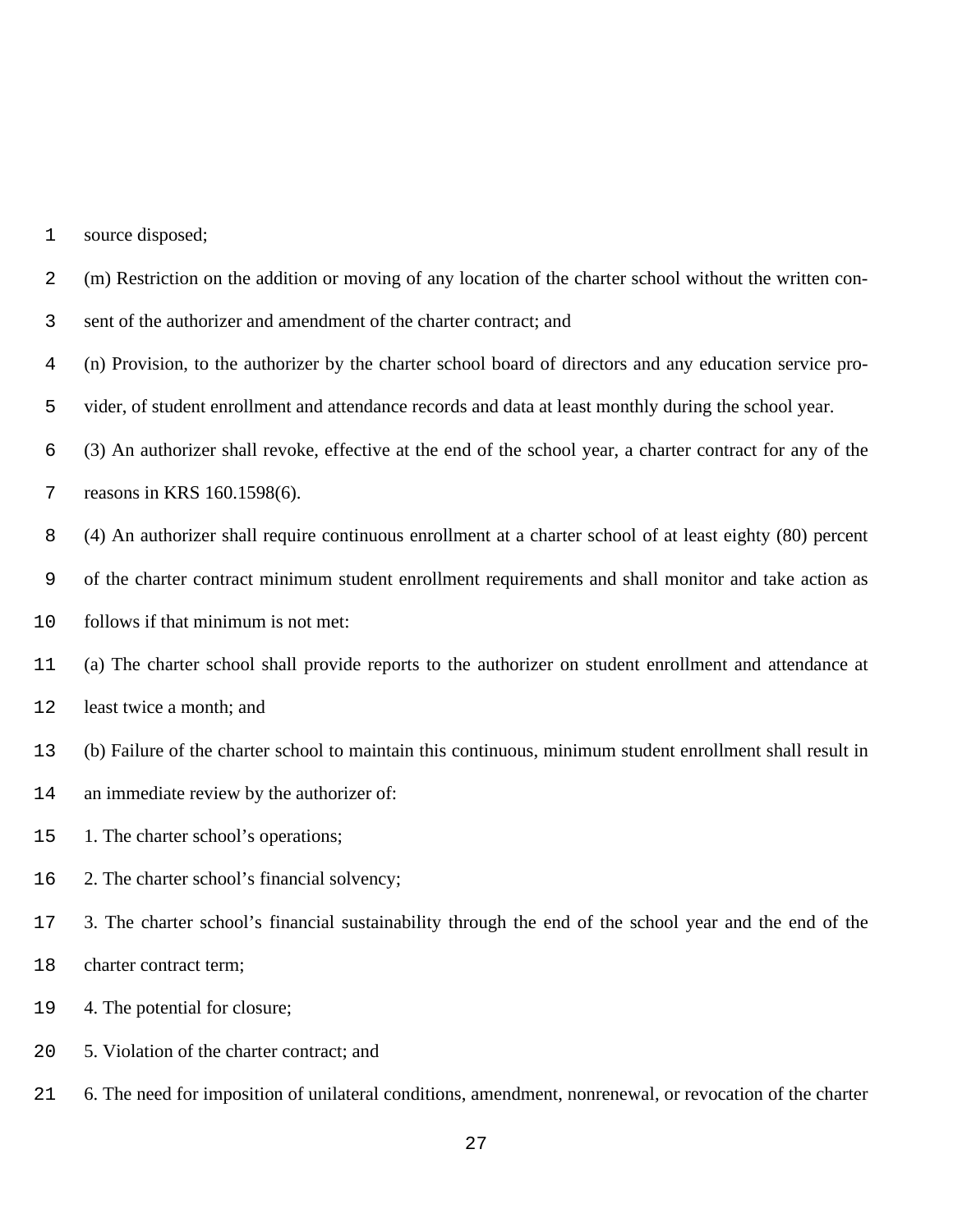| 1  | source disposed;                                                                                           |
|----|------------------------------------------------------------------------------------------------------------|
| 2  | (m) Restriction on the addition or moving of any location of the charter school without the written con-   |
| 3  | sent of the authorizer and amendment of the charter contract; and                                          |
| 4  | (n) Provision, to the authorizer by the charter school board of directors and any education service pro-   |
| 5  | vider, of student enrollment and attendance records and data at least monthly during the school year.      |
| 6  | (3) An authorizer shall revoke, effective at the end of the school year, a charter contract for any of the |
| 7  | reasons in KRS 160.1598(6).                                                                                |
| 8  | (4) An authorizer shall require continuous enrollment at a charter school of at least eighty (80) percent  |
| 9  | of the charter contract minimum student enrollment requirements and shall monitor and take action as       |
| 10 | follows if that minimum is not met:                                                                        |
| 11 | (a) The charter school shall provide reports to the authorizer on student enrollment and attendance at     |
| 12 | least twice a month; and                                                                                   |
| 13 | (b) Failure of the charter school to maintain this continuous, minimum student enrollment shall result in  |
| 14 | an immediate review by the authorizer of:                                                                  |
| 15 | 1. The charter school's operations;                                                                        |
| 16 | 2. The charter school's financial solvency;                                                                |
| 17 | 3. The charter school's financial sustainability through the end of the school year and the end of the     |
| 18 | charter contract term;                                                                                     |
| 19 | 4. The potential for closure;                                                                              |
| 20 | 5. Violation of the charter contract; and                                                                  |

6. The need for imposition of unilateral conditions, amendment, nonrenewal, or revocation of the charter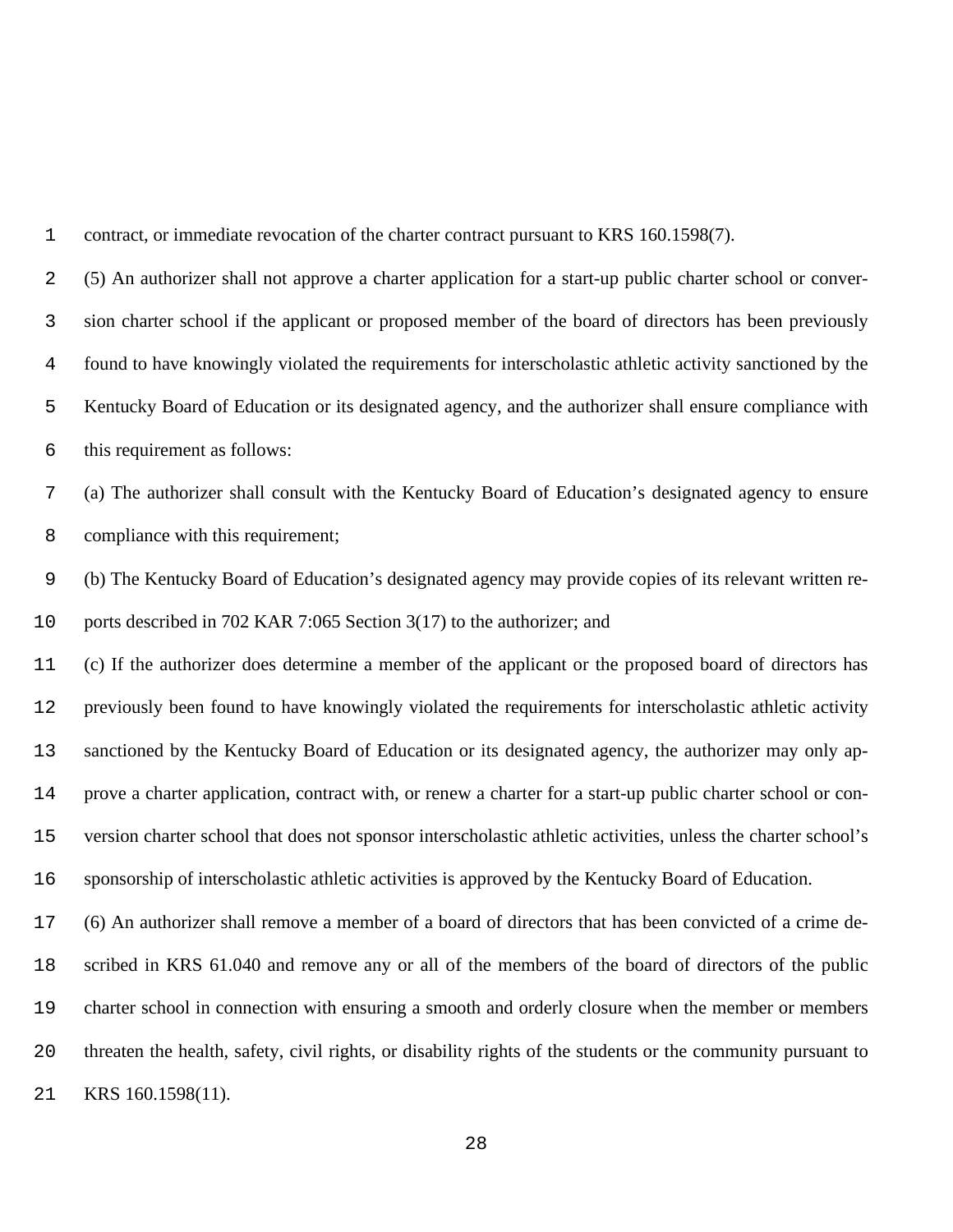(5) An authorizer shall not approve a charter application for a start-up public charter school or conver- sion charter school if the applicant or proposed member of the board of directors has been previously found to have knowingly violated the requirements for interscholastic athletic activity sanctioned by the Kentucky Board of Education or its designated agency, and the authorizer shall ensure compliance with this requirement as follows: (a) The authorizer shall consult with the Kentucky Board of Education's designated agency to ensure compliance with this requirement; (b) The Kentucky Board of Education's designated agency may provide copies of its relevant written re- ports described in 702 KAR 7:065 Section 3(17) to the authorizer; and (c) If the authorizer does determine a member of the applicant or the proposed board of directors has previously been found to have knowingly violated the requirements for interscholastic athletic activity sanctioned by the Kentucky Board of Education or its designated agency, the authorizer may only ap- prove a charter application, contract with, or renew a charter for a start-up public charter school or con- version charter school that does not sponsor interscholastic athletic activities, unless the charter school's sponsorship of interscholastic athletic activities is approved by the Kentucky Board of Education. (6) An authorizer shall remove a member of a board of directors that has been convicted of a crime de- scribed in KRS 61.040 and remove any or all of the members of the board of directors of the public charter school in connection with ensuring a smooth and orderly closure when the member or members threaten the health, safety, civil rights, or disability rights of the students or the community pursuant to KRS 160.1598(11).

contract, or immediate revocation of the charter contract pursuant to KRS 160.1598(7).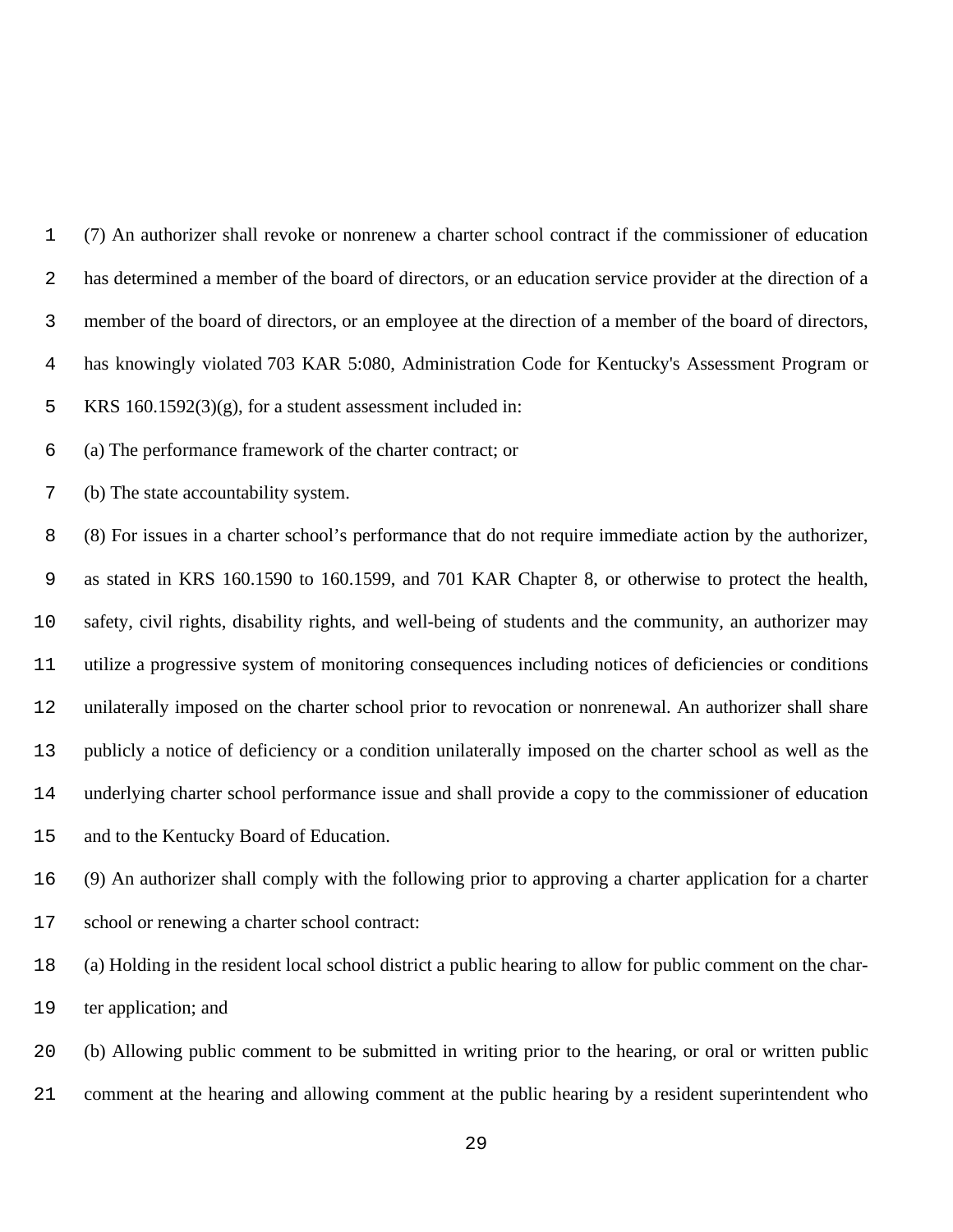(7) An authorizer shall revoke or nonrenew a charter school contract if the commissioner of education has determined a member of the board of directors, or an education service provider at the direction of a member of the board of directors, or an employee at the direction of a member of the board of directors, has knowingly violated 703 KAR 5:080, Administration Code for Kentucky's Assessment Program or KRS 160.1592(3)(g), for a student assessment included in: (a) The performance framework of the charter contract; or (b) The state accountability system. (8) For issues in a charter school's performance that do not require immediate action by the authorizer, as stated in KRS 160.1590 to 160.1599, and 701 KAR Chapter 8, or otherwise to protect the health, safety, civil rights, disability rights, and well-being of students and the community, an authorizer may utilize a progressive system of monitoring consequences including notices of deficiencies or conditions unilaterally imposed on the charter school prior to revocation or nonrenewal. An authorizer shall share publicly a notice of deficiency or a condition unilaterally imposed on the charter school as well as the underlying charter school performance issue and shall provide a copy to the commissioner of education and to the Kentucky Board of Education. (9) An authorizer shall comply with the following prior to approving a charter application for a charter school or renewing a charter school contract:

 (a) Holding in the resident local school district a public hearing to allow for public comment on the char-ter application; and

 (b) Allowing public comment to be submitted in writing prior to the hearing, or oral or written public comment at the hearing and allowing comment at the public hearing by a resident superintendent who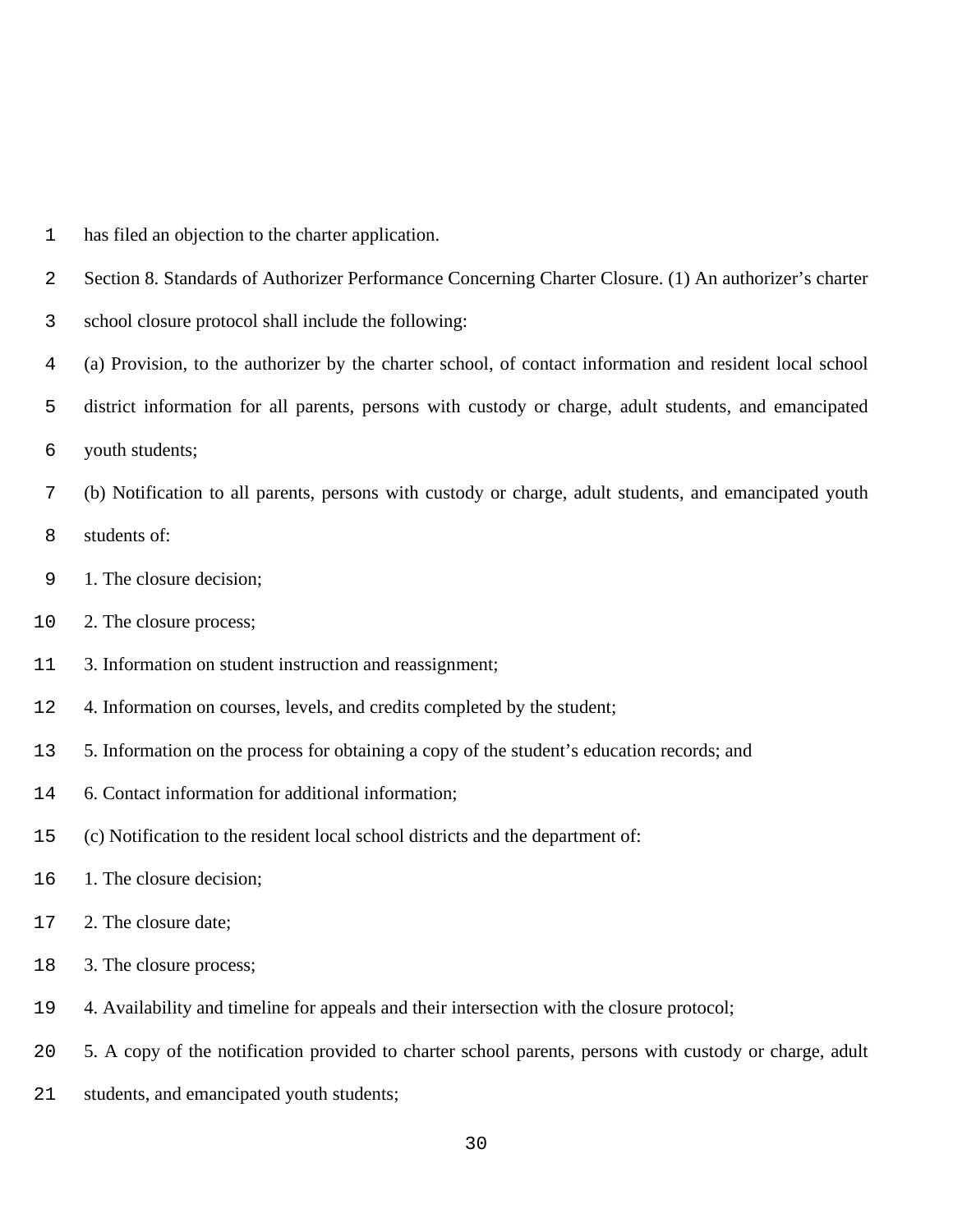- has filed an objection to the charter application.
- Section 8. Standards of Authorizer Performance Concerning Charter Closure. (1) An authorizer's charter
- school closure protocol shall include the following:
- (a) Provision, to the authorizer by the charter school, of contact information and resident local school
- district information for all parents, persons with custody or charge, adult students, and emancipated
- youth students;
- (b) Notification to all parents, persons with custody or charge, adult students, and emancipated youth
- students of:
- 1. The closure decision;
- 2. The closure process;
- 3. Information on student instruction and reassignment;
- 4. Information on courses, levels, and credits completed by the student;
- 5. Information on the process for obtaining a copy of the student's education records; and
- 6. Contact information for additional information;
- (c) Notification to the resident local school districts and the department of:
- 1. The closure decision;
- 2. The closure date;
- 3. The closure process;
- 4. Availability and timeline for appeals and their intersection with the closure protocol;
- 5. A copy of the notification provided to charter school parents, persons with custody or charge, adult
- students, and emancipated youth students;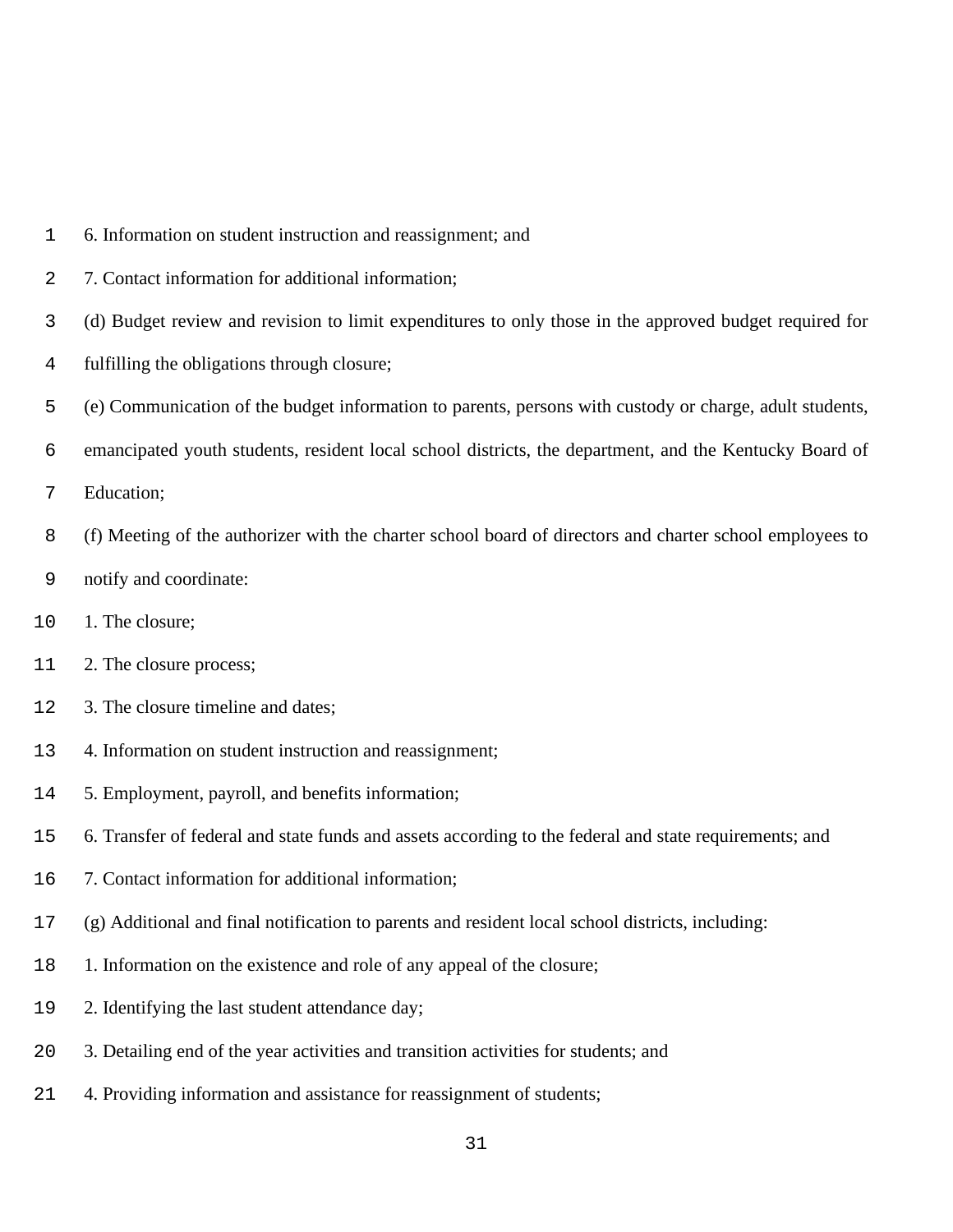- 6. Information on student instruction and reassignment; and
- 7. Contact information for additional information;
- (d) Budget review and revision to limit expenditures to only those in the approved budget required for
- fulfilling the obligations through closure;
- (e) Communication of the budget information to parents, persons with custody or charge, adult students,
- emancipated youth students, resident local school districts, the department, and the Kentucky Board of
- Education;
- (f) Meeting of the authorizer with the charter school board of directors and charter school employees to
- notify and coordinate:
- 1. The closure;
- 2. The closure process;
- 3. The closure timeline and dates;
- 4. Information on student instruction and reassignment;
- 5. Employment, payroll, and benefits information;
- 6. Transfer of federal and state funds and assets according to the federal and state requirements; and
- 7. Contact information for additional information;
- (g) Additional and final notification to parents and resident local school districts, including:
- 1. Information on the existence and role of any appeal of the closure;
- 2. Identifying the last student attendance day;
- 3. Detailing end of the year activities and transition activities for students; and
- 4. Providing information and assistance for reassignment of students;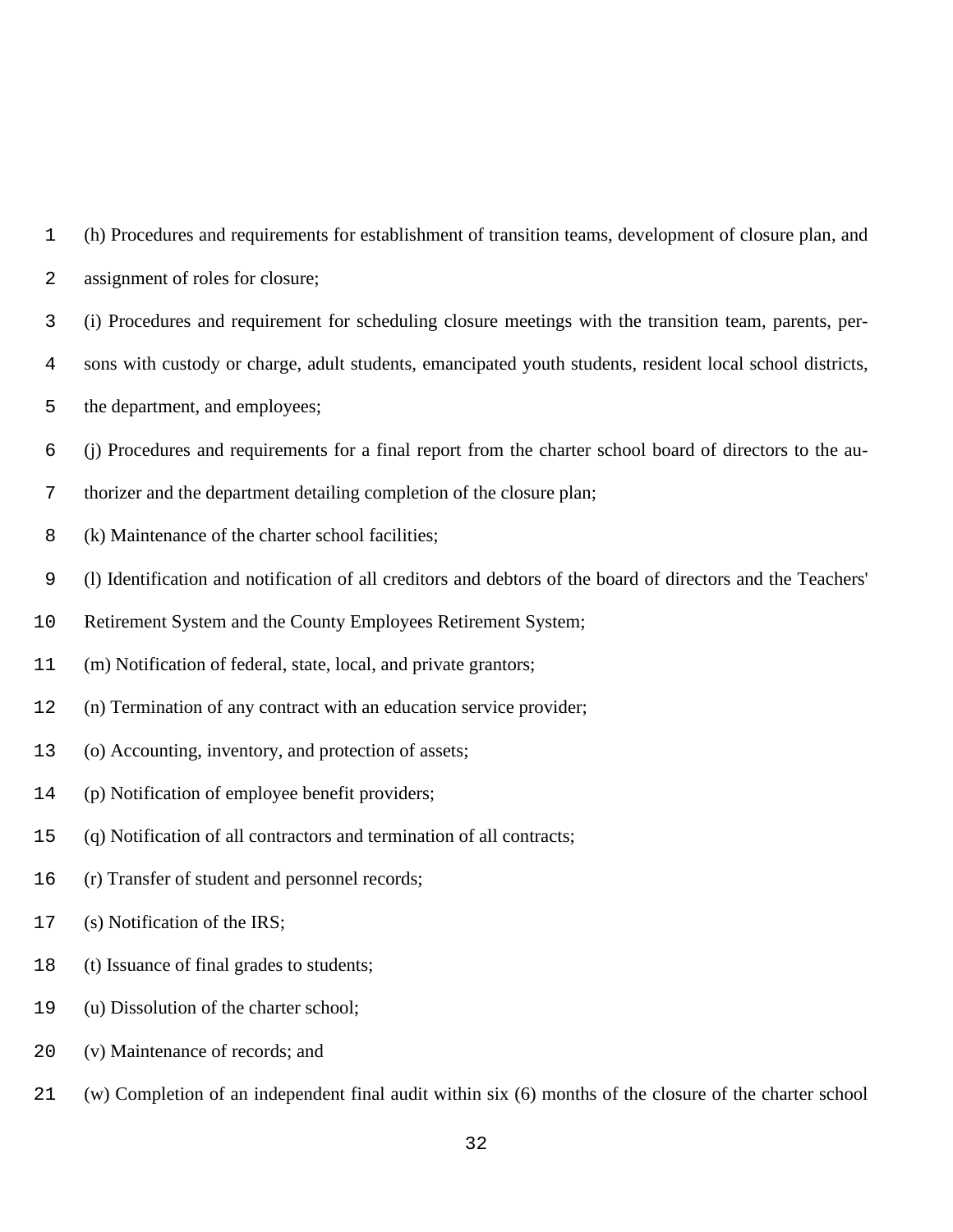|              | (h) Procedures and requirements for establishment of transition teams, development of closure plan, and |
|--------------|---------------------------------------------------------------------------------------------------------|
| $\mathbf{2}$ | assignment of roles for closure;                                                                        |

- (i) Procedures and requirement for scheduling closure meetings with the transition team, parents, per-
- sons with custody or charge, adult students, emancipated youth students, resident local school districts,
- the department, and employees;
- (j) Procedures and requirements for a final report from the charter school board of directors to the au-
- thorizer and the department detailing completion of the closure plan;
- (k) Maintenance of the charter school facilities;
- (l) Identification and notification of all creditors and debtors of the board of directors and the Teachers'
- Retirement System and the County Employees Retirement System;
- (m) Notification of federal, state, local, and private grantors;
- (n) Termination of any contract with an education service provider;
- (o) Accounting, inventory, and protection of assets;
- (p) Notification of employee benefit providers;
- (q) Notification of all contractors and termination of all contracts;
- (r) Transfer of student and personnel records;
- (s) Notification of the IRS;
- (t) Issuance of final grades to students;
- (u) Dissolution of the charter school;
- (v) Maintenance of records; and
- (w) Completion of an independent final audit within six (6) months of the closure of the charter school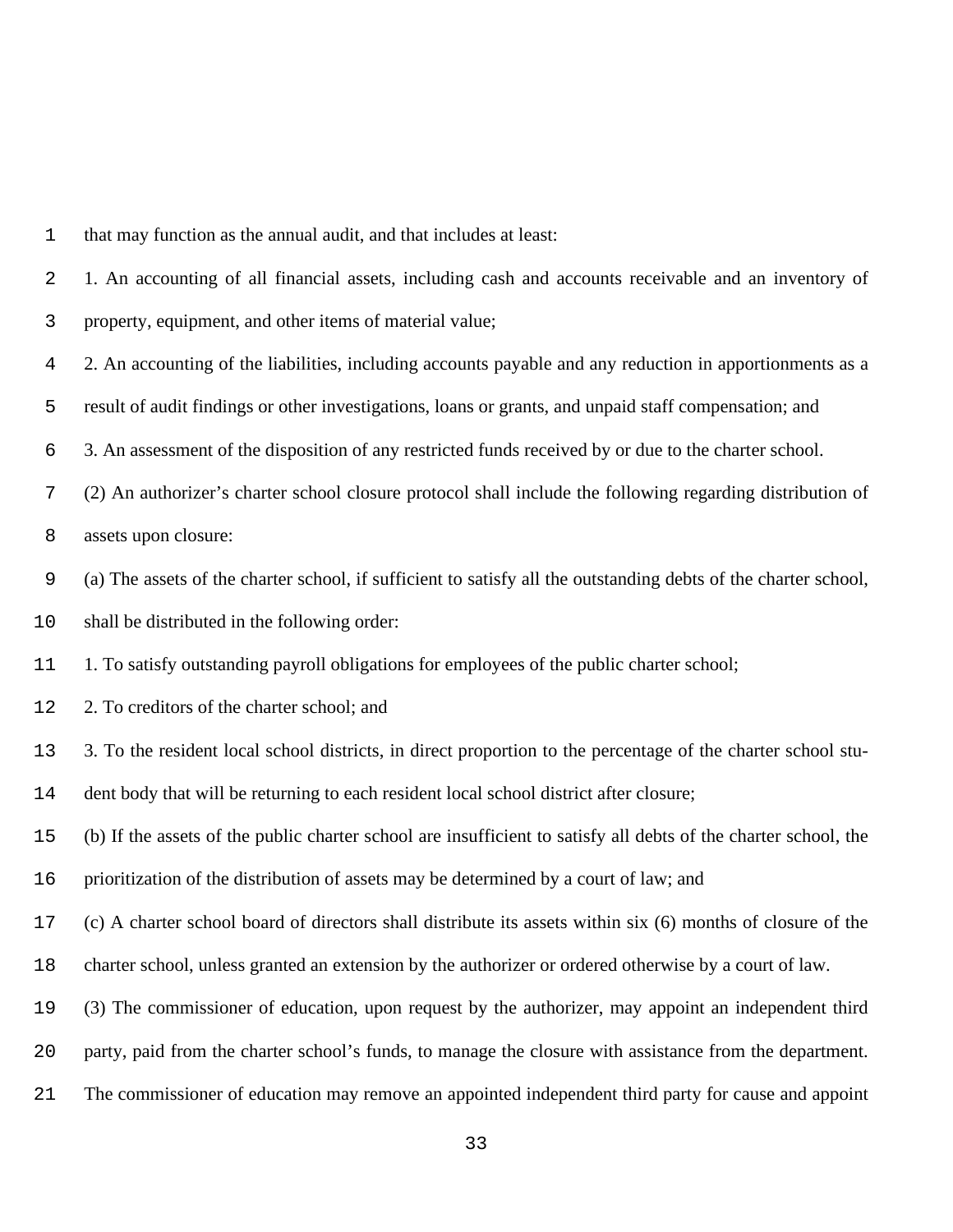| 1                | that may function as the annual audit, and that includes at least:                                              |
|------------------|-----------------------------------------------------------------------------------------------------------------|
| 2                | 1. An accounting of all financial assets, including cash and accounts receivable and an inventory of            |
| 3                | property, equipment, and other items of material value;                                                         |
| 4                | 2. An accounting of the liabilities, including accounts payable and any reduction in apportionments as a        |
| 5                | result of audit findings or other investigations, loans or grants, and unpaid staff compensation; and           |
| 6                | 3. An assessment of the disposition of any restricted funds received by or due to the charter school.           |
| $\boldsymbol{7}$ | (2) An authorizer's charter school closure protocol shall include the following regarding distribution of       |
| 8                | assets upon closure:                                                                                            |
| $\mathsf 9$      | (a) The assets of the charter school, if sufficient to satisfy all the outstanding debts of the charter school, |
| 10               | shall be distributed in the following order:                                                                    |
| 11               | 1. To satisfy outstanding payroll obligations for employees of the public charter school;                       |
| 12               | 2. To creditors of the charter school; and                                                                      |
| 13               | 3. To the resident local school districts, in direct proportion to the percentage of the charter school stu-    |
| 14               | dent body that will be returning to each resident local school district after closure;                          |
| 15               | (b) If the assets of the public charter school are insufficient to satisfy all debts of the charter school, the |
| 16               | prioritization of the distribution of assets may be determined by a court of law; and                           |
| 17               | (c) A charter school board of directors shall distribute its assets within six (6) months of closure of the     |
| 18               | charter school, unless granted an extension by the authorizer or ordered otherwise by a court of law.           |
| 19               | (3) The commissioner of education, upon request by the authorizer, may appoint an independent third             |
| 20               | party, paid from the charter school's funds, to manage the closure with assistance from the department.         |
| 21               | The commissioner of education may remove an appointed independent third party for cause and appoint             |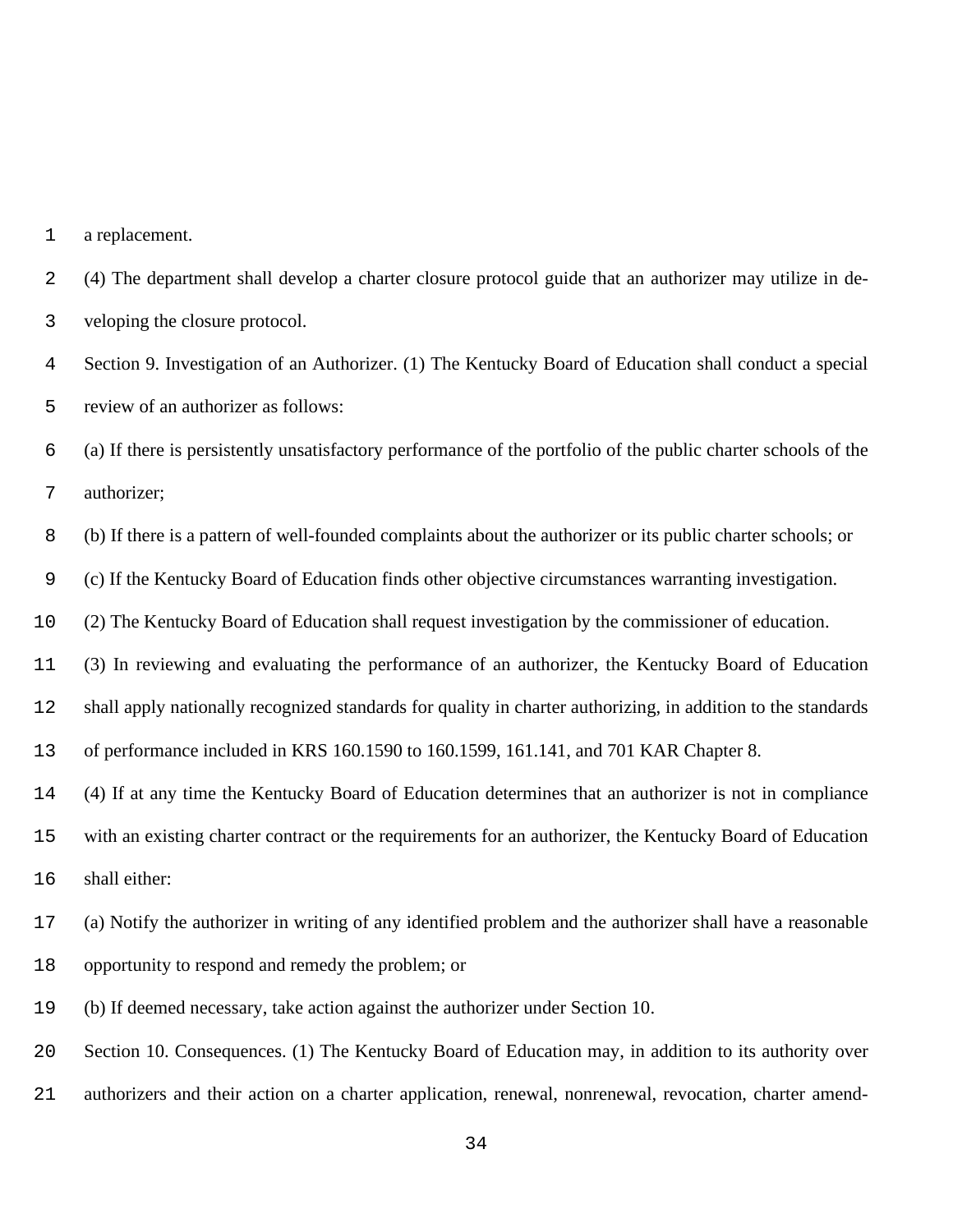a replacement.

 (4) The department shall develop a charter closure protocol guide that an authorizer may utilize in de-veloping the closure protocol.

 Section 9. Investigation of an Authorizer. (1) The Kentucky Board of Education shall conduct a special review of an authorizer as follows:

 (a) If there is persistently unsatisfactory performance of the portfolio of the public charter schools of the authorizer;

(b) If there is a pattern of well-founded complaints about the authorizer or its public charter schools; or

(c) If the Kentucky Board of Education finds other objective circumstances warranting investigation.

(2) The Kentucky Board of Education shall request investigation by the commissioner of education.

(3) In reviewing and evaluating the performance of an authorizer, the Kentucky Board of Education

shall apply nationally recognized standards for quality in charter authorizing, in addition to the standards

of performance included in KRS 160.1590 to 160.1599, 161.141, and 701 KAR Chapter 8.

(4) If at any time the Kentucky Board of Education determines that an authorizer is not in compliance

with an existing charter contract or the requirements for an authorizer, the Kentucky Board of Education

shall either:

 (a) Notify the authorizer in writing of any identified problem and the authorizer shall have a reasonable opportunity to respond and remedy the problem; or

(b) If deemed necessary, take action against the authorizer under Section 10.

Section 10. Consequences. (1) The Kentucky Board of Education may, in addition to its authority over

authorizers and their action on a charter application, renewal, nonrenewal, revocation, charter amend-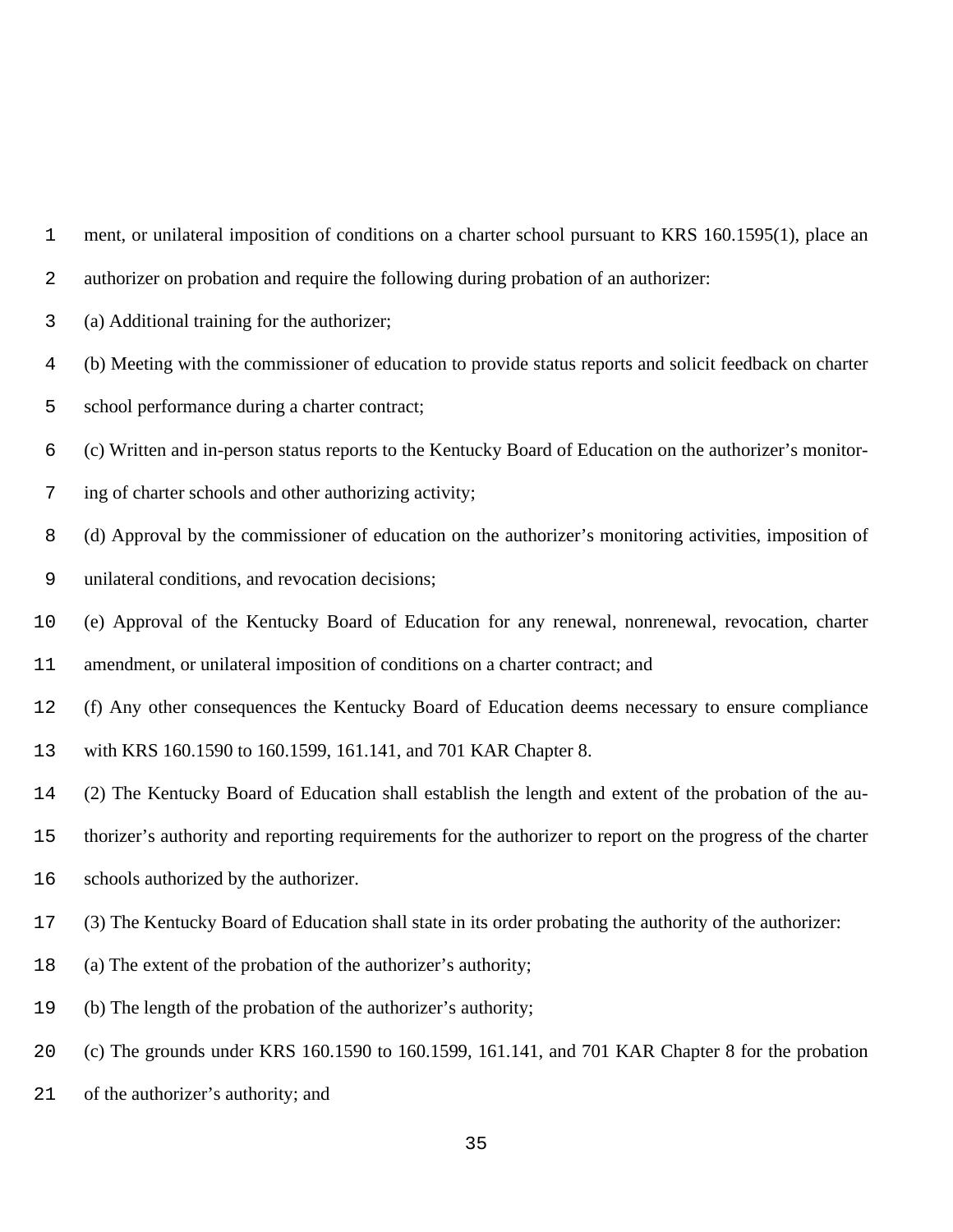ment, or unilateral imposition of conditions on a charter school pursuant to KRS 160.1595(1), place an

authorizer on probation and require the following during probation of an authorizer:

(a) Additional training for the authorizer;

(b) Meeting with the commissioner of education to provide status reports and solicit feedback on charter

school performance during a charter contract;

(c) Written and in-person status reports to the Kentucky Board of Education on the authorizer's monitor-

ing of charter schools and other authorizing activity;

 (d) Approval by the commissioner of education on the authorizer's monitoring activities, imposition of unilateral conditions, and revocation decisions;

(e) Approval of the Kentucky Board of Education for any renewal, nonrenewal, revocation, charter

amendment, or unilateral imposition of conditions on a charter contract; and

(f) Any other consequences the Kentucky Board of Education deems necessary to ensure compliance

with KRS 160.1590 to 160.1599, 161.141, and 701 KAR Chapter 8.

(2) The Kentucky Board of Education shall establish the length and extent of the probation of the au-

thorizer's authority and reporting requirements for the authorizer to report on the progress of the charter

- schools authorized by the authorizer.
- (3) The Kentucky Board of Education shall state in its order probating the authority of the authorizer:
- (a) The extent of the probation of the authorizer's authority;
- (b) The length of the probation of the authorizer's authority;
- (c) The grounds under KRS 160.1590 to 160.1599, 161.141, and 701 KAR Chapter 8 for the probation
- of the authorizer's authority; and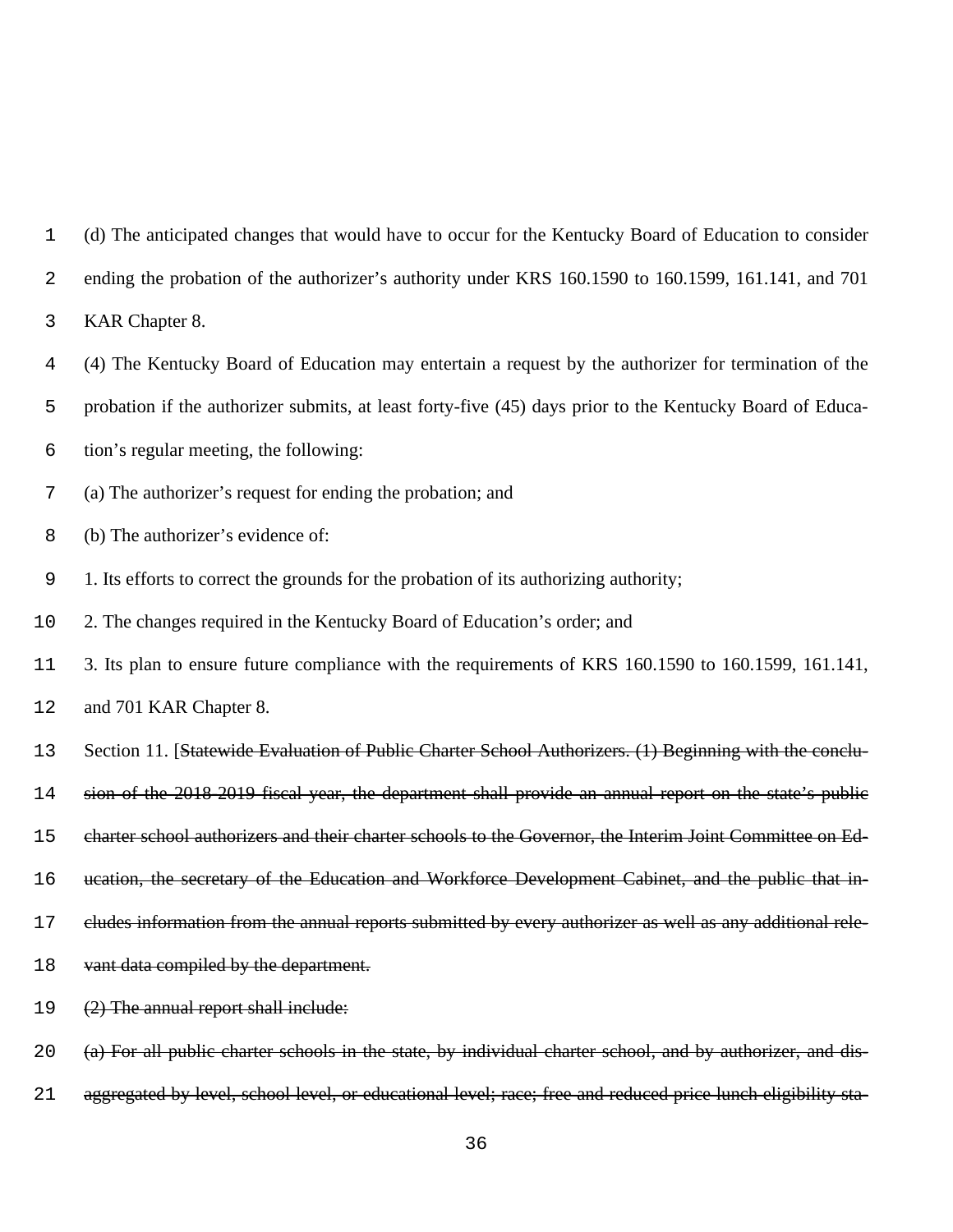(d) The anticipated changes that would have to occur for the Kentucky Board of Education to consider ending the probation of the authorizer's authority under KRS 160.1590 to 160.1599, 161.141, and 701 KAR Chapter 8. (4) The Kentucky Board of Education may entertain a request by the authorizer for termination of the probation if the authorizer submits, at least forty-five (45) days prior to the Kentucky Board of Educa- tion's regular meeting, the following: (a) The authorizer's request for ending the probation; and (b) The authorizer's evidence of: 1. Its efforts to correct the grounds for the probation of its authorizing authority; 2. The changes required in the Kentucky Board of Education's order; and 3. Its plan to ensure future compliance with the requirements of KRS 160.1590 to 160.1599, 161.141, and 701 KAR Chapter 8. 13 Section 11. [Statewide Evaluation of Public Charter School Authorizers. (1) Beginning with the conclu- sion of the 2018-2019 fiscal year, the department shall provide an annual report on the state's public charter school authorizers and their charter schools to the Governor, the Interim Joint Committee on Ed-16 ucation, the secretary of the Education and Workforce Development Cabinet, and the public that in- cludes information from the annual reports submitted by every authorizer as well as any additional rele-18 vant data compiled by the department. (2) The annual report shall include: (a) For all public charter schools in the state, by individual charter school, and by authorizer, and dis-21 aggregated by level, school level, or educational level; race; free and reduced price lunch eligibility sta-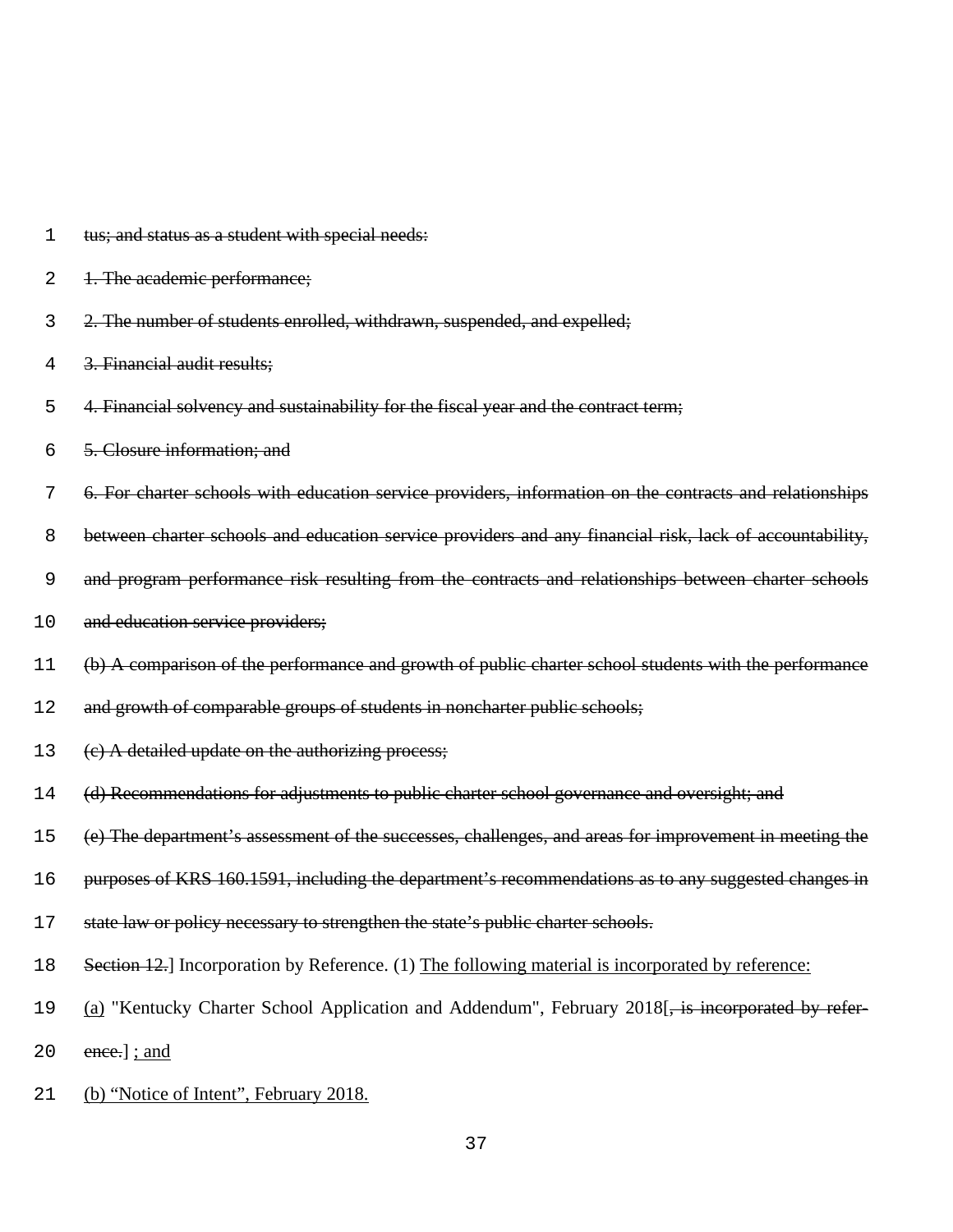| 1  | tus; and status as a student with special needs:                                                               |
|----|----------------------------------------------------------------------------------------------------------------|
| 2  | 1. The academic performance;                                                                                   |
| 3  | 2. The number of students enrolled, withdrawn, suspended, and expelled;                                        |
| 4  | 3. Financial audit results;                                                                                    |
| 5  | 4. Financial solvency and sustainability for the fiscal year and the contract term;                            |
| 6  | 5. Closure information; and                                                                                    |
| 7  | 6. For charter schools with education service providers, information on the contracts and relationships        |
| 8  | between charter schools and education service providers and any financial risk, lack of accountability,        |
| 9  | and program performance risk resulting from the contracts and relationships between charter schools            |
| 10 | and education service providers;                                                                               |
| 11 | (b) A comparison of the performance and growth of public charter school students with the performance          |
| 12 | and growth of comparable groups of students in noncharter public schools;                                      |
| 13 | (e) A detailed update on the authorizing process;                                                              |
| 14 | (d) Recommendations for adjustments to public charter school governance and oversight; and                     |
| 15 | (e) The department's assessment of the successes, challenges, and areas for improvement in meeting the         |
| 16 | purposes of KRS 160.1591, including the department's recommendations as to any suggested changes in            |
| 17 | state law or policy necessary to strengthen the state's public charter schools.                                |
| 18 | Section 12. Incorporation by Reference. (1) The following material is incorporated by reference:               |
| 19 | (a) "Kentucky Charter School Application and Addendum", February 2018 <sup>[</sup> , is incorporated by refer- |
| 20 | ence.]; and                                                                                                    |
| 21 | (b) "Notice of Intent", February 2018.                                                                         |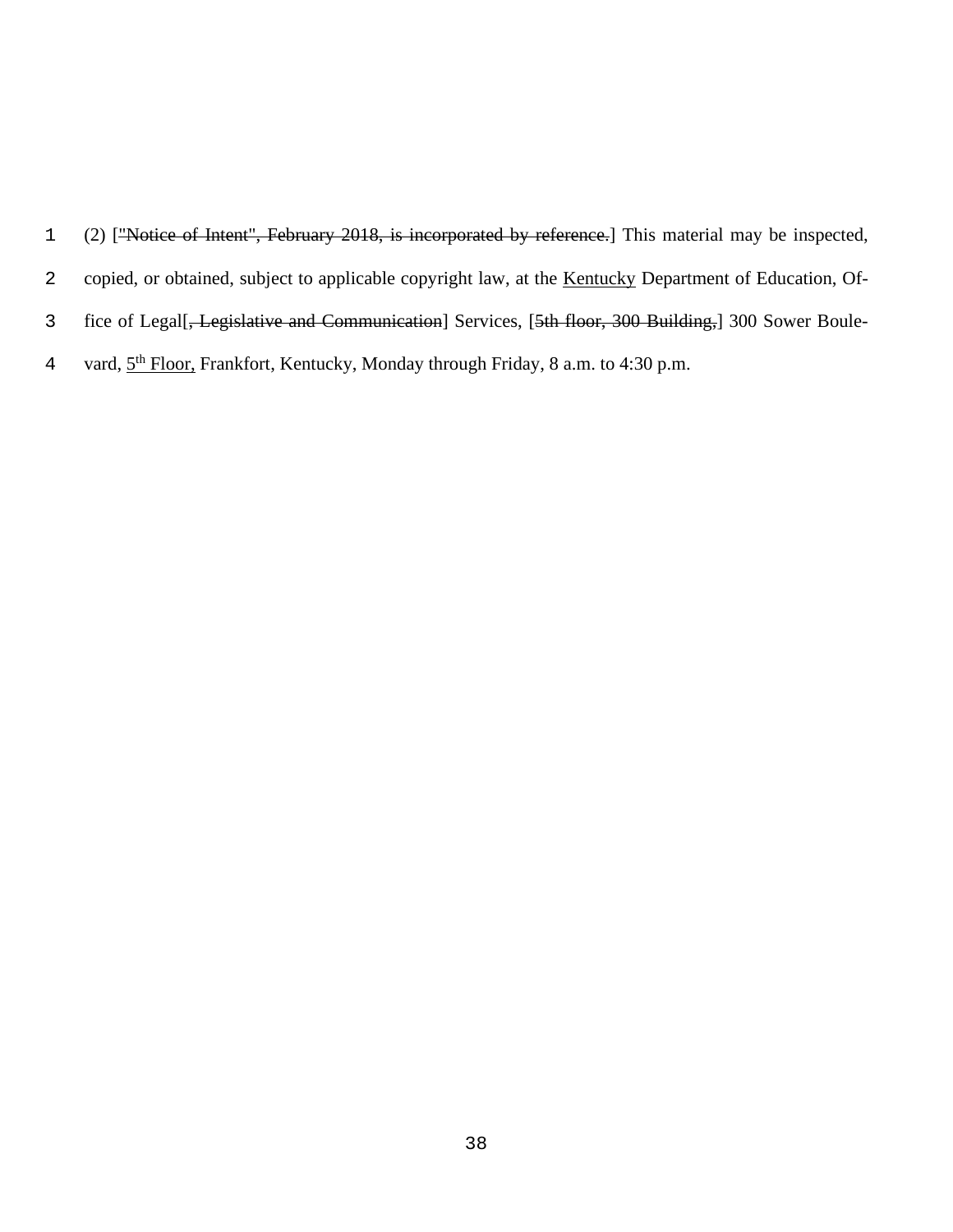- 1 (2) ["Notice of Intent", February 2018, is incorporated by reference.] This material may be inspected,
- 2 copied, or obtained, subject to applicable copyright law, at the Kentucky Department of Education, Of-
- 3 fice of Legal[<del>, Legislative and Communication</del>] Services, [5th floor, 300 Building,] 300 Sower Boule-
- 4 vard,  $5<sup>th</sup>$  Floor, Frankfort, Kentucky, Monday through Friday, 8 a.m. to 4:30 p.m.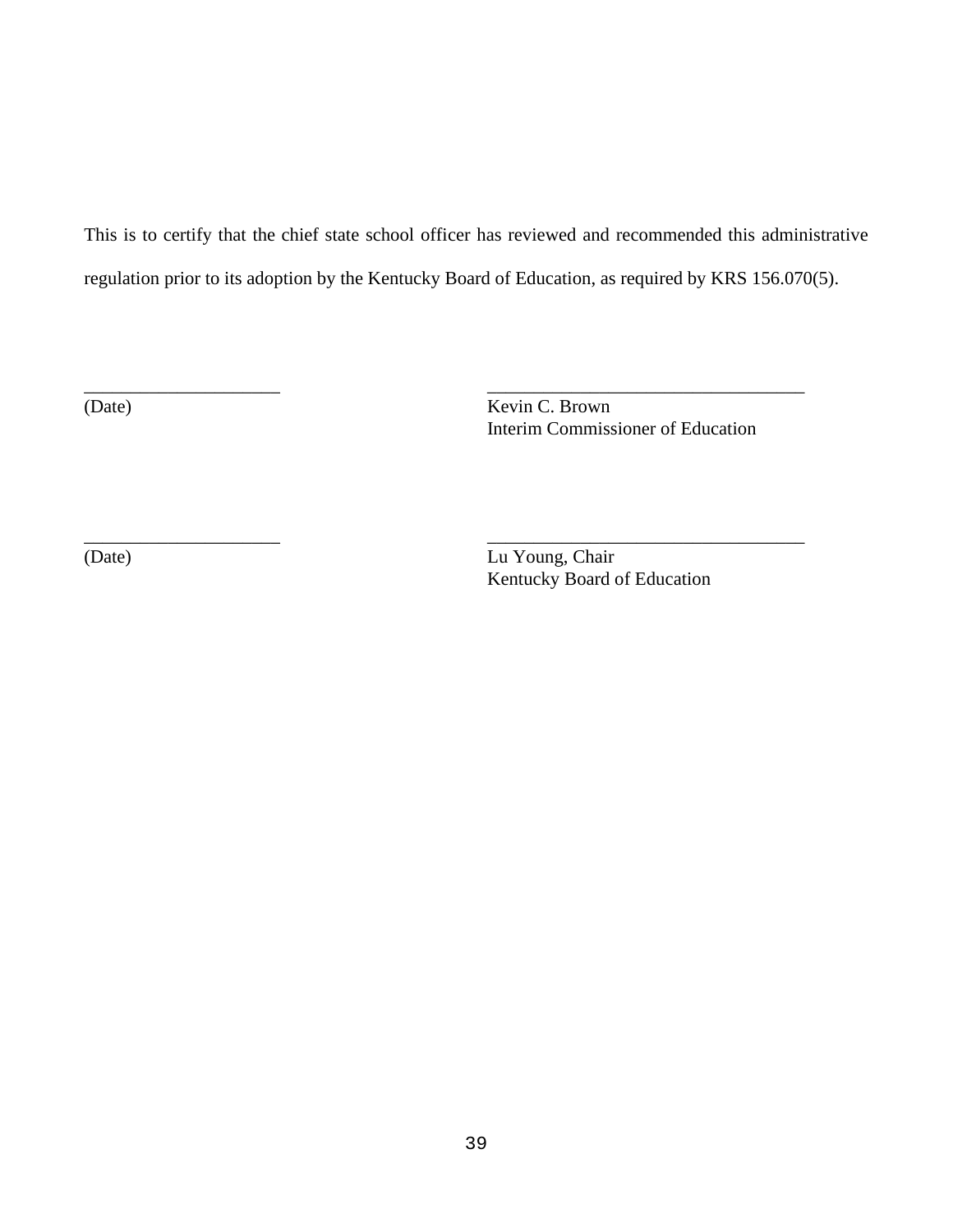This is to certify that the chief state school officer has reviewed and recommended this administrative regulation prior to its adoption by the Kentucky Board of Education, as required by KRS 156.070(5).

\_\_\_\_\_\_\_\_\_\_\_\_\_\_\_\_\_\_\_\_\_ \_\_\_\_\_\_\_\_\_\_\_\_\_\_\_\_\_\_\_\_\_\_\_\_\_\_\_\_\_\_\_\_\_\_

\_\_\_\_\_\_\_\_\_\_\_\_\_\_\_\_\_\_\_\_\_ \_\_\_\_\_\_\_\_\_\_\_\_\_\_\_\_\_\_\_\_\_\_\_\_\_\_\_\_\_\_\_\_\_\_

(Date) Kevin C. Brown Interim Commissioner of Education

(Date) Lu Young, Chair Kentucky Board of Education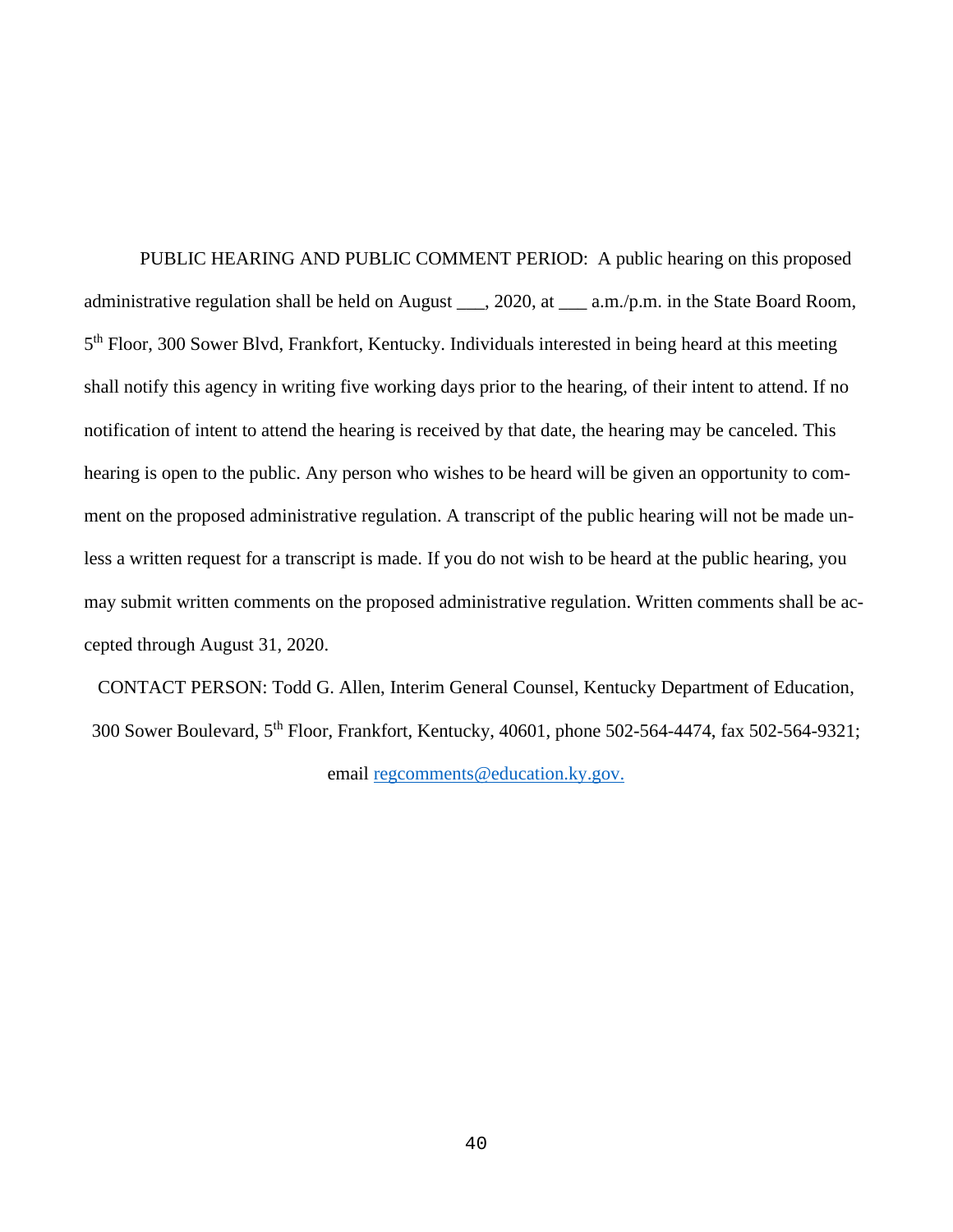PUBLIC HEARING AND PUBLIC COMMENT PERIOD: A public hearing on this proposed administrative regulation shall be held on August \_\_\_, 2020, at \_\_\_ a.m./p.m. in the State Board Room, 5th Floor, 300 Sower Blvd, Frankfort, Kentucky. Individuals interested in being heard at this meeting shall notify this agency in writing five working days prior to the hearing, of their intent to attend. If no notification of intent to attend the hearing is received by that date, the hearing may be canceled. This hearing is open to the public. Any person who wishes to be heard will be given an opportunity to comment on the proposed administrative regulation. A transcript of the public hearing will not be made unless a written request for a transcript is made. If you do not wish to be heard at the public hearing, you may submit written comments on the proposed administrative regulation. Written comments shall be accepted through August 31, 2020.

CONTACT PERSON: Todd G. Allen, Interim General Counsel, Kentucky Department of Education, 300 Sower Boulevard, 5th Floor, Frankfort, Kentucky, 40601, phone 502-564-4474, fax 502-564-9321; email [regcomments@education.ky.gov.](mailto:regcomments@education.ky.gov)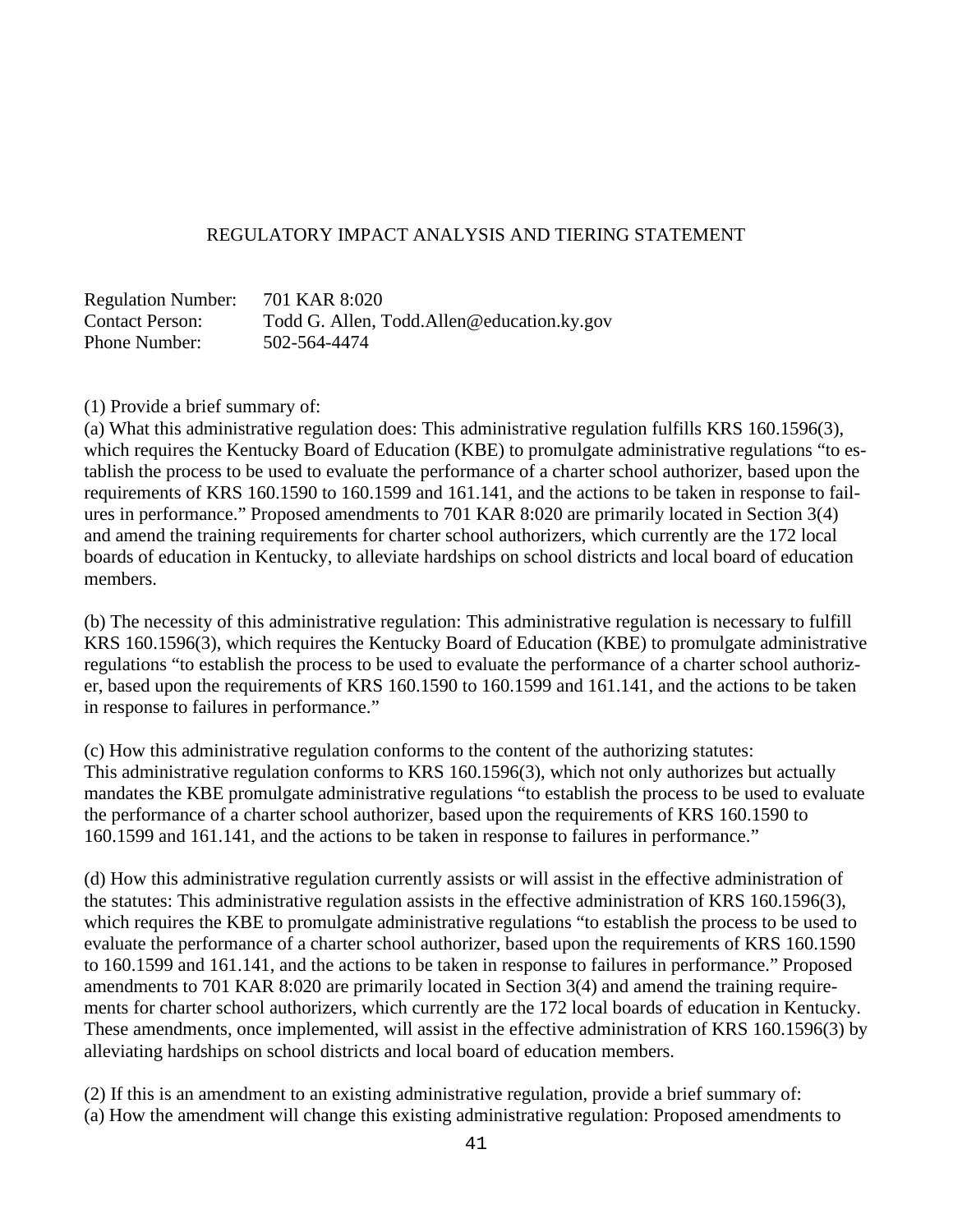## REGULATORY IMPACT ANALYSIS AND TIERING STATEMENT

Regulation Number: 701 KAR 8:020 Contact Person: Todd G. Allen, Todd.Allen@education.ky.gov Phone Number: 502-564-4474

(1) Provide a brief summary of:

(a) What this administrative regulation does: This administrative regulation fulfills KRS 160.1596(3), which requires the Kentucky Board of Education (KBE) to promulgate administrative regulations "to establish the process to be used to evaluate the performance of a charter school authorizer, based upon the requirements of KRS 160.1590 to 160.1599 and 161.141, and the actions to be taken in response to failures in performance." Proposed amendments to 701 KAR 8:020 are primarily located in Section 3(4) and amend the training requirements for charter school authorizers, which currently are the 172 local boards of education in Kentucky, to alleviate hardships on school districts and local board of education members.

(b) The necessity of this administrative regulation: This administrative regulation is necessary to fulfill KRS 160.1596(3), which requires the Kentucky Board of Education (KBE) to promulgate administrative regulations "to establish the process to be used to evaluate the performance of a charter school authorizer, based upon the requirements of KRS 160.1590 to 160.1599 and 161.141, and the actions to be taken in response to failures in performance."

(c) How this administrative regulation conforms to the content of the authorizing statutes: This administrative regulation conforms to KRS 160.1596(3), which not only authorizes but actually mandates the KBE promulgate administrative regulations "to establish the process to be used to evaluate the performance of a charter school authorizer, based upon the requirements of KRS 160.1590 to 160.1599 and 161.141, and the actions to be taken in response to failures in performance."

(d) How this administrative regulation currently assists or will assist in the effective administration of the statutes: This administrative regulation assists in the effective administration of KRS 160.1596(3), which requires the KBE to promulgate administrative regulations "to establish the process to be used to evaluate the performance of a charter school authorizer, based upon the requirements of KRS 160.1590 to 160.1599 and 161.141, and the actions to be taken in response to failures in performance." Proposed amendments to 701 KAR 8:020 are primarily located in Section 3(4) and amend the training requirements for charter school authorizers, which currently are the 172 local boards of education in Kentucky. These amendments, once implemented, will assist in the effective administration of KRS 160.1596(3) by alleviating hardships on school districts and local board of education members.

(2) If this is an amendment to an existing administrative regulation, provide a brief summary of: (a) How the amendment will change this existing administrative regulation: Proposed amendments to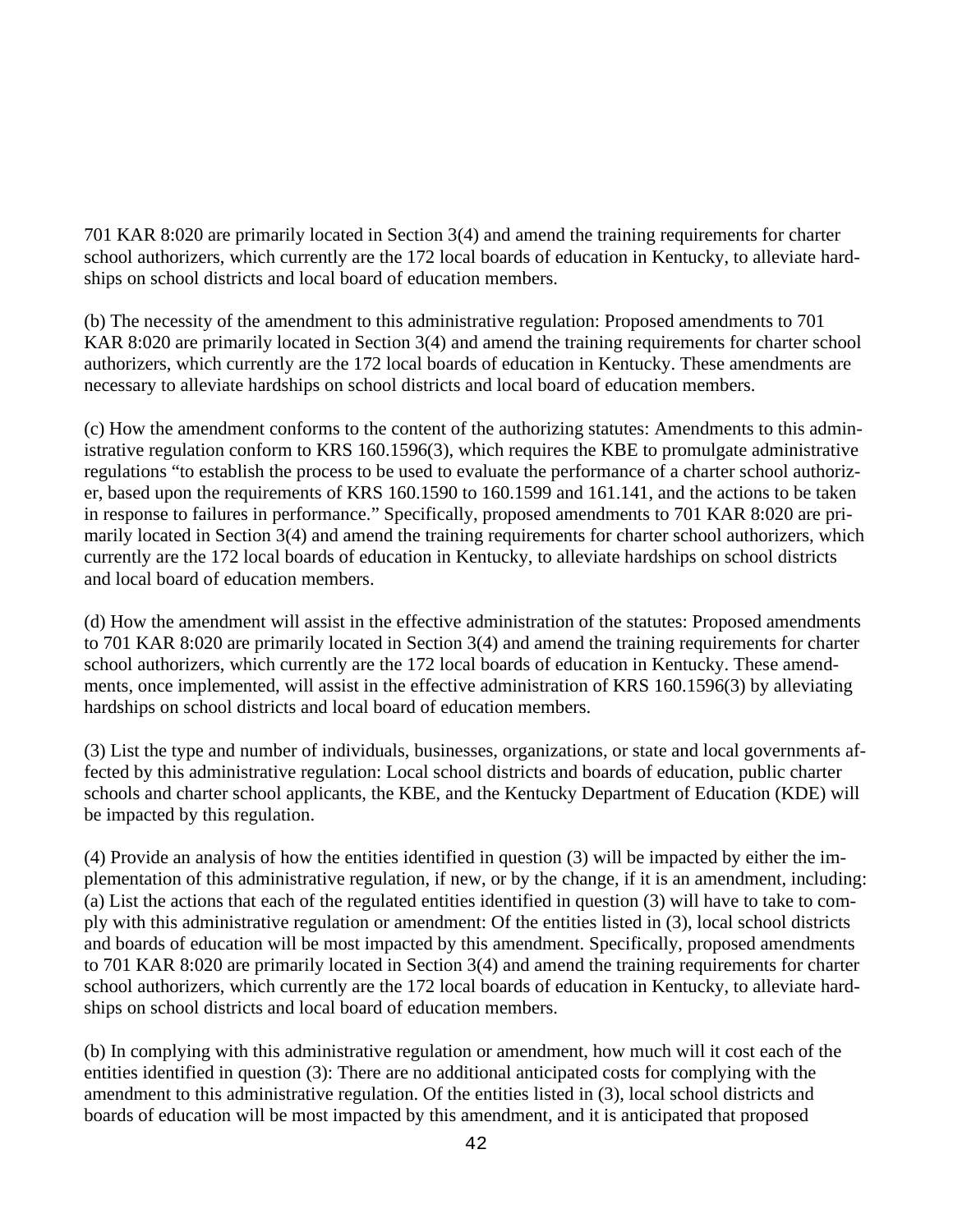701 KAR 8:020 are primarily located in Section 3(4) and amend the training requirements for charter school authorizers, which currently are the 172 local boards of education in Kentucky, to alleviate hardships on school districts and local board of education members.

(b) The necessity of the amendment to this administrative regulation: Proposed amendments to 701 KAR 8:020 are primarily located in Section 3(4) and amend the training requirements for charter school authorizers, which currently are the 172 local boards of education in Kentucky. These amendments are necessary to alleviate hardships on school districts and local board of education members.

(c) How the amendment conforms to the content of the authorizing statutes: Amendments to this administrative regulation conform to KRS 160.1596(3), which requires the KBE to promulgate administrative regulations "to establish the process to be used to evaluate the performance of a charter school authorizer, based upon the requirements of KRS 160.1590 to 160.1599 and 161.141, and the actions to be taken in response to failures in performance." Specifically, proposed amendments to 701 KAR 8:020 are primarily located in Section 3(4) and amend the training requirements for charter school authorizers, which currently are the 172 local boards of education in Kentucky, to alleviate hardships on school districts and local board of education members.

(d) How the amendment will assist in the effective administration of the statutes: Proposed amendments to 701 KAR 8:020 are primarily located in Section 3(4) and amend the training requirements for charter school authorizers, which currently are the 172 local boards of education in Kentucky. These amendments, once implemented, will assist in the effective administration of KRS 160.1596(3) by alleviating hardships on school districts and local board of education members.

(3) List the type and number of individuals, businesses, organizations, or state and local governments affected by this administrative regulation: Local school districts and boards of education, public charter schools and charter school applicants, the KBE, and the Kentucky Department of Education (KDE) will be impacted by this regulation.

(4) Provide an analysis of how the entities identified in question (3) will be impacted by either the implementation of this administrative regulation, if new, or by the change, if it is an amendment, including: (a) List the actions that each of the regulated entities identified in question (3) will have to take to comply with this administrative regulation or amendment: Of the entities listed in (3), local school districts and boards of education will be most impacted by this amendment. Specifically, proposed amendments to 701 KAR 8:020 are primarily located in Section 3(4) and amend the training requirements for charter school authorizers, which currently are the 172 local boards of education in Kentucky, to alleviate hardships on school districts and local board of education members.

(b) In complying with this administrative regulation or amendment, how much will it cost each of the entities identified in question (3): There are no additional anticipated costs for complying with the amendment to this administrative regulation. Of the entities listed in (3), local school districts and boards of education will be most impacted by this amendment, and it is anticipated that proposed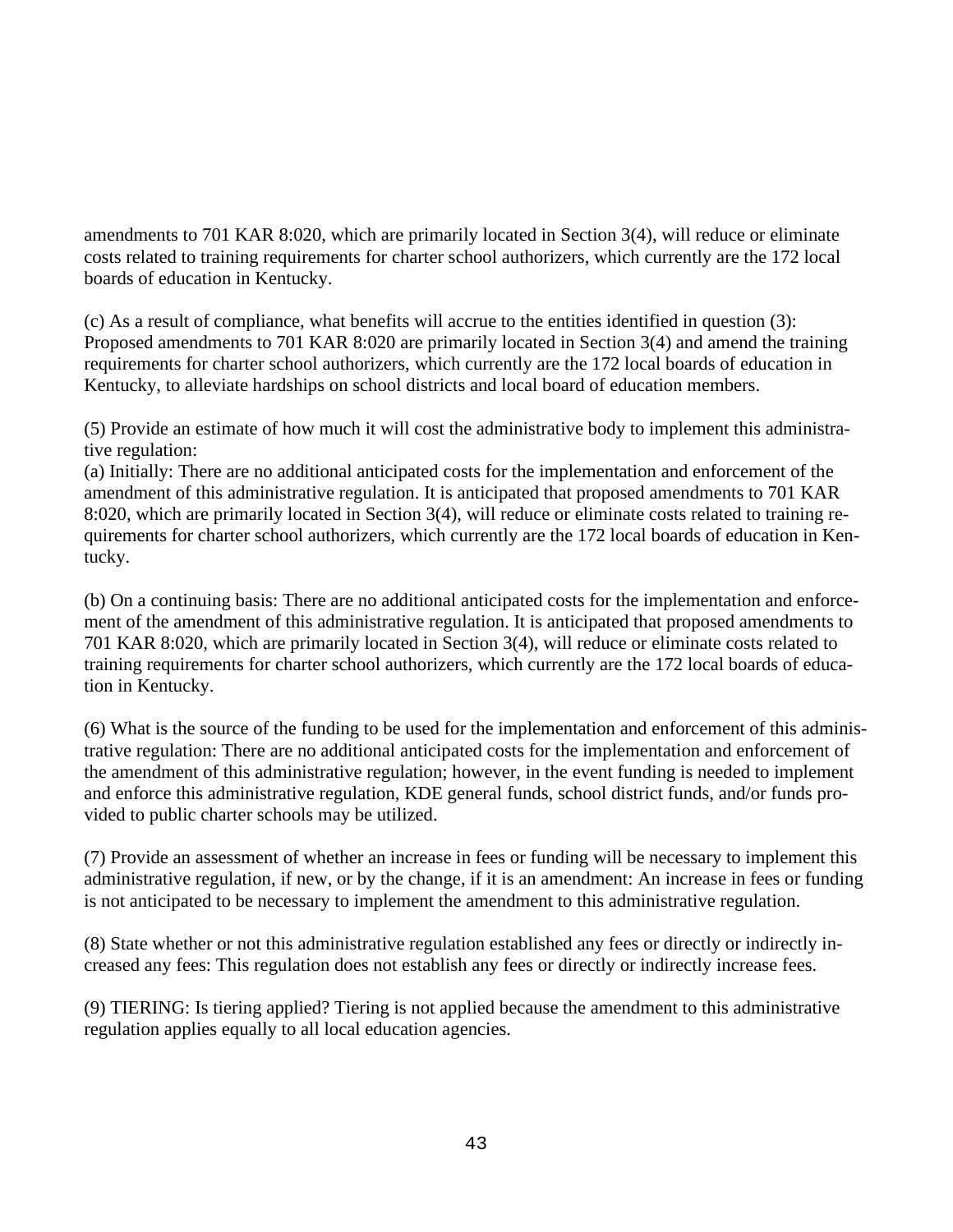amendments to 701 KAR 8:020, which are primarily located in Section 3(4), will reduce or eliminate costs related to training requirements for charter school authorizers, which currently are the 172 local boards of education in Kentucky.

(c) As a result of compliance, what benefits will accrue to the entities identified in question (3): Proposed amendments to 701 KAR 8:020 are primarily located in Section 3(4) and amend the training requirements for charter school authorizers, which currently are the 172 local boards of education in Kentucky, to alleviate hardships on school districts and local board of education members.

(5) Provide an estimate of how much it will cost the administrative body to implement this administrative regulation:

(a) Initially: There are no additional anticipated costs for the implementation and enforcement of the amendment of this administrative regulation. It is anticipated that proposed amendments to 701 KAR 8:020, which are primarily located in Section 3(4), will reduce or eliminate costs related to training requirements for charter school authorizers, which currently are the 172 local boards of education in Kentucky.

(b) On a continuing basis: There are no additional anticipated costs for the implementation and enforcement of the amendment of this administrative regulation. It is anticipated that proposed amendments to 701 KAR 8:020, which are primarily located in Section 3(4), will reduce or eliminate costs related to training requirements for charter school authorizers, which currently are the 172 local boards of education in Kentucky.

(6) What is the source of the funding to be used for the implementation and enforcement of this administrative regulation: There are no additional anticipated costs for the implementation and enforcement of the amendment of this administrative regulation; however, in the event funding is needed to implement and enforce this administrative regulation, KDE general funds, school district funds, and/or funds provided to public charter schools may be utilized.

(7) Provide an assessment of whether an increase in fees or funding will be necessary to implement this administrative regulation, if new, or by the change, if it is an amendment: An increase in fees or funding is not anticipated to be necessary to implement the amendment to this administrative regulation.

(8) State whether or not this administrative regulation established any fees or directly or indirectly increased any fees: This regulation does not establish any fees or directly or indirectly increase fees.

(9) TIERING: Is tiering applied? Tiering is not applied because the amendment to this administrative regulation applies equally to all local education agencies.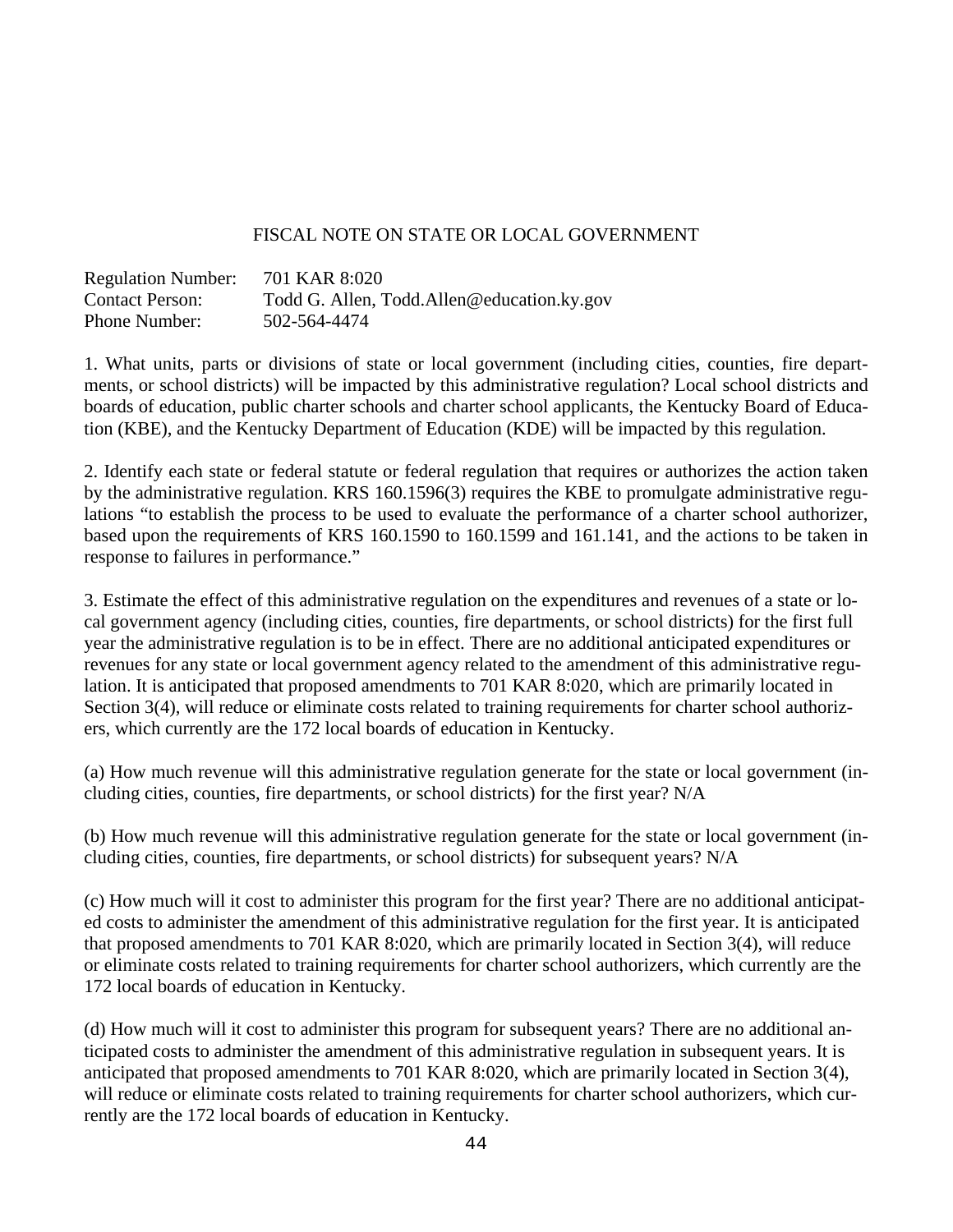## FISCAL NOTE ON STATE OR LOCAL GOVERNMENT

| <b>Regulation Number:</b> | 701 KAR 8:020                               |
|---------------------------|---------------------------------------------|
| <b>Contact Person:</b>    | Todd G. Allen, Todd. Allen@education.ky.gov |
| Phone Number:             | 502-564-4474                                |

1. What units, parts or divisions of state or local government (including cities, counties, fire departments, or school districts) will be impacted by this administrative regulation? Local school districts and boards of education, public charter schools and charter school applicants, the Kentucky Board of Education (KBE), and the Kentucky Department of Education (KDE) will be impacted by this regulation.

2. Identify each state or federal statute or federal regulation that requires or authorizes the action taken by the administrative regulation. KRS 160.1596(3) requires the KBE to promulgate administrative regulations "to establish the process to be used to evaluate the performance of a charter school authorizer, based upon the requirements of KRS 160.1590 to 160.1599 and 161.141, and the actions to be taken in response to failures in performance."

3. Estimate the effect of this administrative regulation on the expenditures and revenues of a state or local government agency (including cities, counties, fire departments, or school districts) for the first full year the administrative regulation is to be in effect. There are no additional anticipated expenditures or revenues for any state or local government agency related to the amendment of this administrative regulation. It is anticipated that proposed amendments to 701 KAR 8:020, which are primarily located in Section 3(4), will reduce or eliminate costs related to training requirements for charter school authorizers, which currently are the 172 local boards of education in Kentucky.

(a) How much revenue will this administrative regulation generate for the state or local government (including cities, counties, fire departments, or school districts) for the first year? N/A

(b) How much revenue will this administrative regulation generate for the state or local government (including cities, counties, fire departments, or school districts) for subsequent years? N/A

(c) How much will it cost to administer this program for the first year? There are no additional anticipated costs to administer the amendment of this administrative regulation for the first year. It is anticipated that proposed amendments to 701 KAR 8:020, which are primarily located in Section 3(4), will reduce or eliminate costs related to training requirements for charter school authorizers, which currently are the 172 local boards of education in Kentucky.

(d) How much will it cost to administer this program for subsequent years? There are no additional anticipated costs to administer the amendment of this administrative regulation in subsequent years. It is anticipated that proposed amendments to 701 KAR 8:020, which are primarily located in Section 3(4), will reduce or eliminate costs related to training requirements for charter school authorizers, which currently are the 172 local boards of education in Kentucky.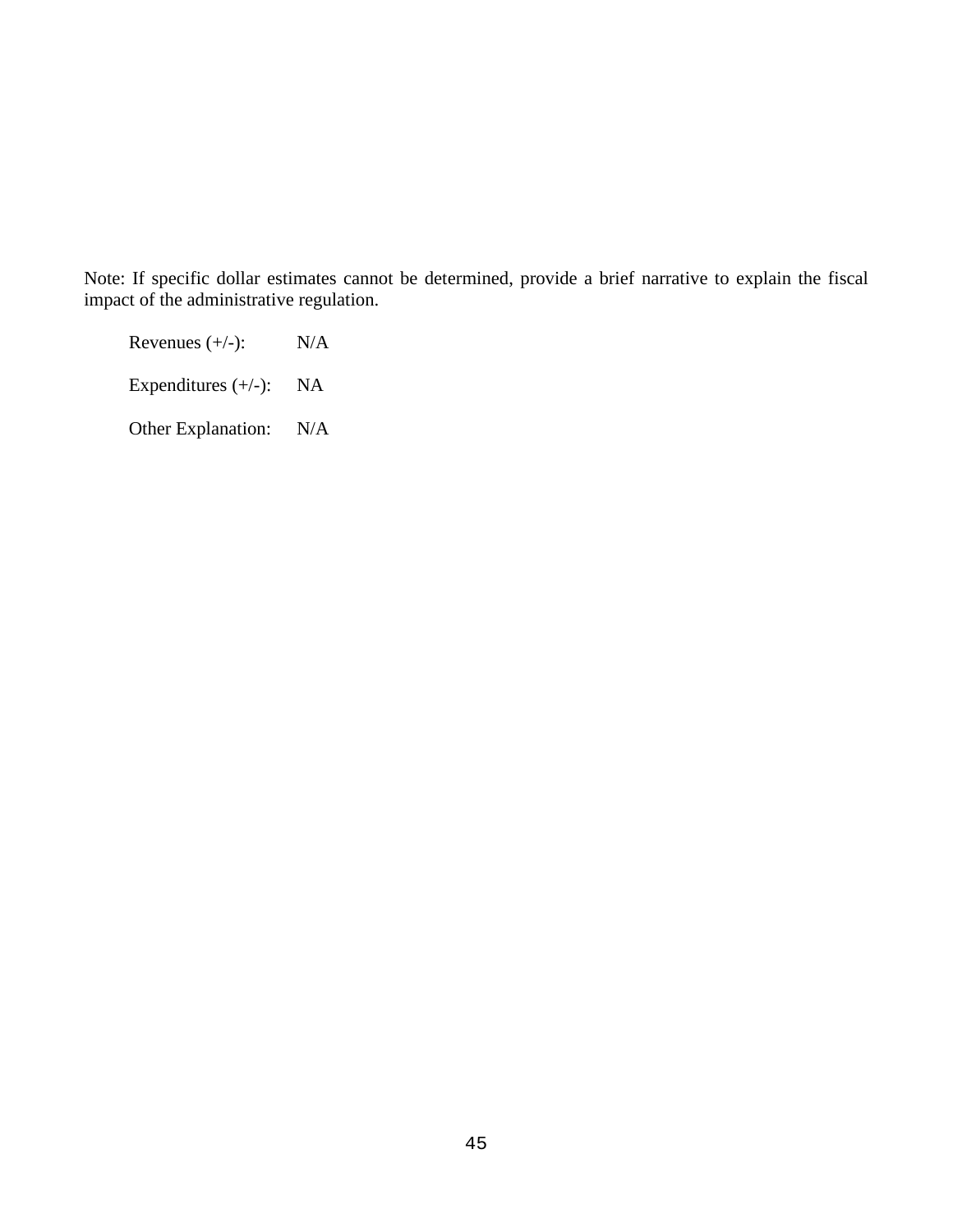Note: If specific dollar estimates cannot be determined, provide a brief narrative to explain the fiscal impact of the administrative regulation.

Revenues  $(+/-):$  N/A

Expenditures (+/-): NA

Other Explanation: N/A